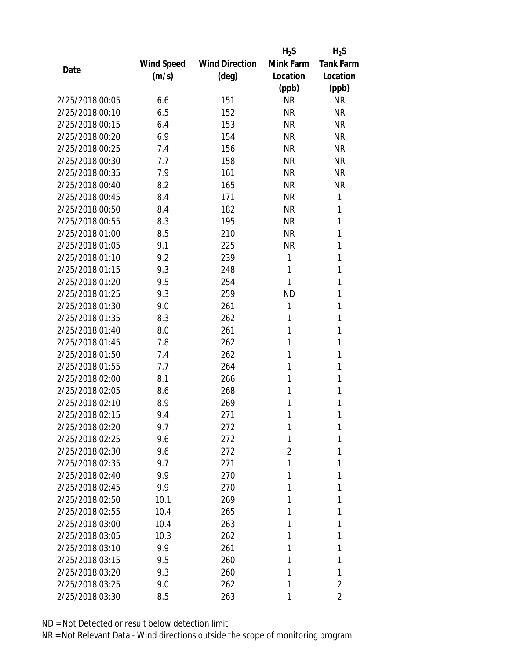|                 |            |                       | $H_2S$    | $H_2S$           |
|-----------------|------------|-----------------------|-----------|------------------|
|                 | Wind Speed | <b>Wind Direction</b> | Mink Farm | <b>Tank Farm</b> |
| Date            | (m/s)      | (deg)                 | Location  | Location         |
|                 |            |                       | (ppb)     | (ppb)            |
| 2/25/2018 00:05 | 6.6        | 151                   | <b>NR</b> | <b>NR</b>        |
| 2/25/2018 00:10 | 6.5        | 152                   | <b>NR</b> | <b>NR</b>        |
| 2/25/2018 00:15 | 6.4        | 153                   | <b>NR</b> | <b>NR</b>        |
| 2/25/2018 00:20 | 6.9        | 154                   | <b>NR</b> | <b>NR</b>        |
| 2/25/2018 00:25 | 7.4        | 156                   | <b>NR</b> | <b>NR</b>        |
| 2/25/2018 00:30 | 7.7        | 158                   | <b>NR</b> | <b>NR</b>        |
| 2/25/2018 00:35 | 7.9        | 161                   | <b>NR</b> | <b>NR</b>        |
| 2/25/2018 00:40 | 8.2        | 165                   | <b>NR</b> | <b>NR</b>        |
| 2/25/2018 00:45 | 8.4        | 171                   | <b>NR</b> | 1                |
| 2/25/2018 00:50 | 8.4        | 182                   | <b>NR</b> | 1                |
| 2/25/2018 00:55 | 8.3        | 195                   | <b>NR</b> | 1                |
| 2/25/2018 01:00 | 8.5        | 210                   | <b>NR</b> | 1                |
| 2/25/2018 01:05 | 9.1        | 225                   | <b>NR</b> | 1                |
| 2/25/2018 01:10 | 9.2        | 239                   | 1         | 1                |
| 2/25/2018 01:15 | 9.3        | 248                   | 1         | 1                |
| 2/25/2018 01:20 | 9.5        | 254                   | 1         | 1                |
| 2/25/2018 01:25 | 9.3        | 259                   | <b>ND</b> | 1                |
| 2/25/2018 01:30 | 9.0        | 261                   | 1         | 1                |
| 2/25/2018 01:35 | 8.3        | 262                   | 1         | 1                |
| 2/25/2018 01:40 | 8.0        | 261                   | 1         | 1                |
| 2/25/2018 01:45 | 7.8        | 262                   | 1         | 1                |
| 2/25/2018 01:50 | 7.4        | 262                   | 1         | 1                |
| 2/25/2018 01:55 | 7.7        | 264                   | 1         | 1                |
| 2/25/2018 02:00 | 8.1        | 266                   | 1         | 1                |
| 2/25/2018 02:05 | 8.6        | 268                   | 1         | 1                |
| 2/25/2018 02:10 | 8.9        | 269                   | 1         | 1                |
| 2/25/2018 02:15 | 9.4        | 271                   | 1         | 1                |
| 2/25/2018 02:20 | 9.7        | 272                   | 1         | 1                |
| 2/25/2018 02:25 | 9.6        | 272                   | 1         | 1                |
| 2/25/2018 02:30 | 9.6        | 272                   | 2         | 1                |
| 2/25/2018 02:35 | 9.7        | 271                   | 1         | 1                |
| 2/25/2018 02:40 | 9.9        | 270                   | 1         | 1                |
| 2/25/2018 02:45 | 9.9        | 270                   | 1         | 1                |
| 2/25/2018 02:50 | 10.1       | 269                   | 1         | 1                |
| 2/25/2018 02:55 | 10.4       | 265                   | 1         | 1                |
| 2/25/2018 03:00 | 10.4       | 263                   | 1         | 1                |
| 2/25/2018 03:05 | 10.3       | 262                   | 1         | 1                |
| 2/25/2018 03:10 | 9.9        | 261                   | 1         | 1                |
| 2/25/2018 03:15 | 9.5        | 260                   | 1         | 1                |
| 2/25/2018 03:20 | 9.3        | 260                   | 1         | 1                |
| 2/25/2018 03:25 | 9.0        | 262                   | 1         | 2                |
| 2/25/2018 03:30 | 8.5        | 263                   | 1         | 2                |
|                 |            |                       |           |                  |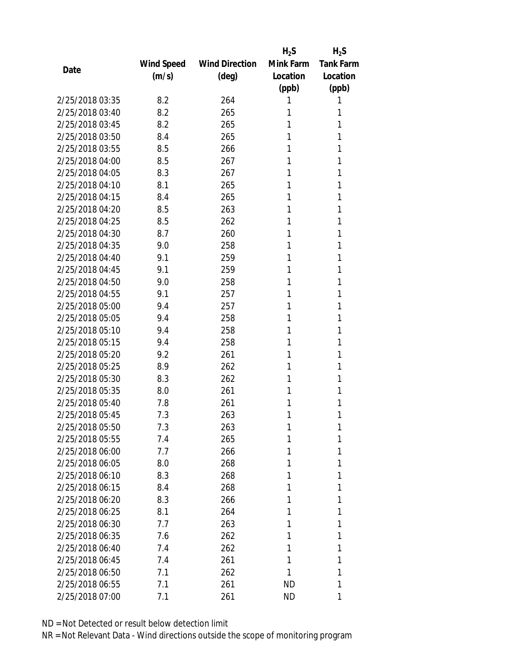|                 |            |                       | $H_2S$    | $H_2S$           |
|-----------------|------------|-----------------------|-----------|------------------|
|                 | Wind Speed | <b>Wind Direction</b> | Mink Farm | <b>Tank Farm</b> |
| Date            | (m/s)      | $(\text{deg})$        | Location  | Location         |
|                 |            |                       | (ppb)     | (ppb)            |
| 2/25/2018 03:35 | 8.2        | 264                   | 1         | 1                |
| 2/25/2018 03:40 | 8.2        | 265                   | 1         | 1                |
| 2/25/2018 03:45 | 8.2        | 265                   | 1         | 1                |
| 2/25/2018 03:50 | 8.4        | 265                   | 1         | 1                |
| 2/25/2018 03:55 | 8.5        | 266                   | 1         | 1                |
| 2/25/2018 04:00 | 8.5        | 267                   | 1         | 1                |
| 2/25/2018 04:05 | 8.3        | 267                   | 1         | 1                |
| 2/25/2018 04:10 | 8.1        | 265                   | 1         | 1                |
| 2/25/2018 04:15 | 8.4        | 265                   | 1         | 1                |
| 2/25/2018 04:20 | 8.5        | 263                   | 1         | 1                |
| 2/25/2018 04:25 | 8.5        | 262                   | 1         | 1                |
| 2/25/2018 04:30 | 8.7        | 260                   | 1         | 1                |
| 2/25/2018 04:35 | 9.0        | 258                   | 1         | 1                |
| 2/25/2018 04:40 | 9.1        | 259                   | 1         | 1                |
| 2/25/2018 04:45 | 9.1        | 259                   | 1         | 1                |
| 2/25/2018 04:50 | 9.0        | 258                   | 1         | 1                |
| 2/25/2018 04:55 | 9.1        | 257                   | 1         | 1                |
| 2/25/2018 05:00 | 9.4        | 257                   | 1         | 1                |
| 2/25/2018 05:05 | 9.4        | 258                   | 1         | 1                |
| 2/25/2018 05:10 | 9.4        | 258                   | 1         | 1                |
| 2/25/2018 05:15 | 9.4        | 258                   | 1         | 1                |
| 2/25/2018 05:20 | 9.2        | 261                   | 1         | 1                |
| 2/25/2018 05:25 | 8.9        | 262                   | 1         | 1                |
| 2/25/2018 05:30 | 8.3        | 262                   | 1         | 1                |
| 2/25/2018 05:35 | 8.0        | 261                   | 1         | 1                |
| 2/25/2018 05:40 | 7.8        | 261                   | 1         | 1                |
| 2/25/2018 05:45 | 7.3        | 263                   | 1         | 1                |
| 2/25/2018 05:50 | 7.3        | 263                   | 1         | 1                |
| 2/25/2018 05:55 | 7.4        | 265                   | 1         | 1                |
| 2/25/2018 06:00 | 7.7        | 266                   | 1         | 1                |
| 2/25/2018 06:05 | 8.0        | 268                   | 1         | 1                |
| 2/25/2018 06:10 | 8.3        | 268                   | 1         | 1                |
| 2/25/2018 06:15 | 8.4        | 268                   | 1         | 1                |
| 2/25/2018 06:20 | 8.3        | 266                   | 1         | 1                |
| 2/25/2018 06:25 | 8.1        | 264                   | 1         | 1                |
| 2/25/2018 06:30 | 7.7        | 263                   | 1         | 1                |
| 2/25/2018 06:35 | 7.6        | 262                   | 1         | 1                |
| 2/25/2018 06:40 | 7.4        | 262                   | 1         | 1                |
| 2/25/2018 06:45 | 7.4        | 261                   | 1         | 1                |
| 2/25/2018 06:50 | 7.1        | 262                   | 1         | 1                |
| 2/25/2018 06:55 | 7.1        | 261                   | ND        | 1                |
| 2/25/2018 07:00 | 7.1        | 261                   | ND        | 1                |
|                 |            |                       |           |                  |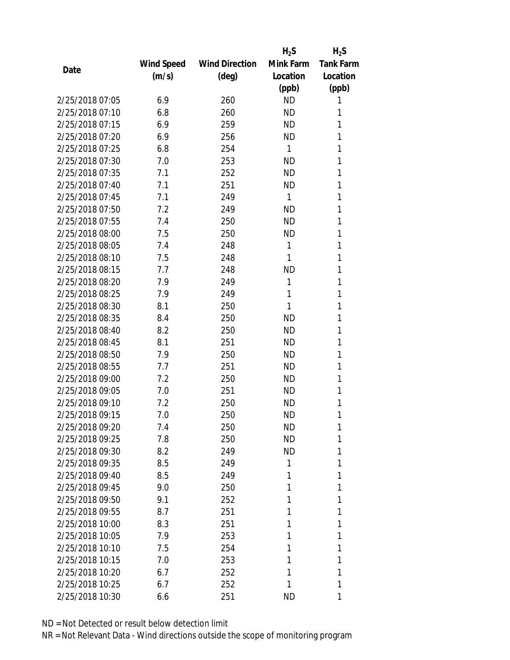|                 |            |                       | $H_2S$    | $H_2S$           |
|-----------------|------------|-----------------------|-----------|------------------|
|                 | Wind Speed | <b>Wind Direction</b> | Mink Farm | <b>Tank Farm</b> |
| Date            | (m/s)      | $(\text{deg})$        | Location  | Location         |
|                 |            |                       | (ppb)     | (ppb)            |
| 2/25/2018 07:05 | 6.9        | 260                   | <b>ND</b> | 1                |
| 2/25/2018 07:10 | 6.8        | 260                   | <b>ND</b> | 1                |
| 2/25/2018 07:15 | 6.9        | 259                   | <b>ND</b> | 1                |
| 2/25/2018 07:20 | 6.9        | 256                   | <b>ND</b> | 1                |
| 2/25/2018 07:25 | 6.8        | 254                   | 1         | 1                |
| 2/25/2018 07:30 | 7.0        | 253                   | <b>ND</b> | 1                |
| 2/25/2018 07:35 | 7.1        | 252                   | <b>ND</b> | 1                |
| 2/25/2018 07:40 | 7.1        | 251                   | <b>ND</b> | 1                |
| 2/25/2018 07:45 | 7.1        | 249                   | 1         | 1                |
| 2/25/2018 07:50 | 7.2        | 249                   | <b>ND</b> | 1                |
| 2/25/2018 07:55 | 7.4        | 250                   | <b>ND</b> | 1                |
| 2/25/2018 08:00 | 7.5        | 250                   | <b>ND</b> | 1                |
| 2/25/2018 08:05 | 7.4        | 248                   | 1         | 1                |
| 2/25/2018 08:10 | 7.5        | 248                   | 1         | 1                |
| 2/25/2018 08:15 | 7.7        | 248                   | <b>ND</b> | 1                |
| 2/25/2018 08:20 | 7.9        | 249                   | 1         | 1                |
| 2/25/2018 08:25 | 7.9        | 249                   | 1         | 1                |
| 2/25/2018 08:30 | 8.1        | 250                   | 1         | 1                |
| 2/25/2018 08:35 | 8.4        | 250                   | <b>ND</b> | 1                |
| 2/25/2018 08:40 | 8.2        | 250                   | <b>ND</b> | 1                |
| 2/25/2018 08:45 | 8.1        | 251                   | <b>ND</b> | 1                |
| 2/25/2018 08:50 | 7.9        | 250                   | <b>ND</b> | 1                |
| 2/25/2018 08:55 | 7.7        | 251                   | <b>ND</b> | 1                |
| 2/25/2018 09:00 | 7.2        | 250                   | <b>ND</b> | 1                |
| 2/25/2018 09:05 | 7.0        | 251                   | <b>ND</b> | 1                |
| 2/25/2018 09:10 | 7.2        | 250                   | <b>ND</b> | 1                |
| 2/25/2018 09:15 | 7.0        | 250                   | <b>ND</b> | 1                |
| 2/25/2018 09:20 | 7.4        | 250                   | ND        | 1                |
| 2/25/2018 09:25 | 7.8        | 250                   | <b>ND</b> | 1                |
| 2/25/2018 09:30 | 8.2        | 249                   | <b>ND</b> | 1                |
| 2/25/2018 09:35 | 8.5        | 249                   | 1         | 1                |
| 2/25/2018 09:40 | 8.5        | 249                   | 1         | 1                |
| 2/25/2018 09:45 | 9.0        | 250                   | 1         | 1                |
| 2/25/2018 09:50 | 9.1        | 252                   | 1         | 1                |
| 2/25/2018 09:55 | 8.7        | 251                   | 1         | 1                |
| 2/25/2018 10:00 | 8.3        | 251                   | 1         | 1                |
| 2/25/2018 10:05 | 7.9        | 253                   | 1         | 1                |
| 2/25/2018 10:10 | 7.5        | 254                   | 1         | 1                |
| 2/25/2018 10:15 | 7.0        | 253                   | 1         | 1                |
| 2/25/2018 10:20 | 6.7        | 252                   | 1         | 1                |
| 2/25/2018 10:25 | 6.7        | 252                   | 1         | 1                |
|                 |            |                       |           |                  |
| 2/25/2018 10:30 | 6.6        | 251                   | ND        | 1                |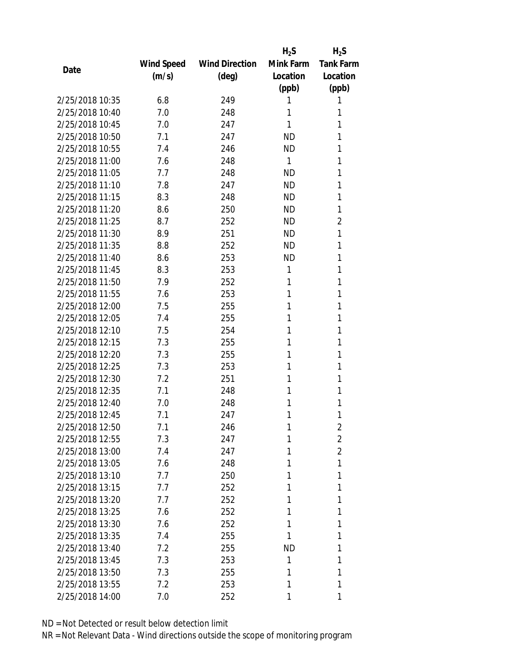|                 |            |                       | $H_2S$    | $H_2S$           |
|-----------------|------------|-----------------------|-----------|------------------|
|                 | Wind Speed | <b>Wind Direction</b> | Mink Farm | <b>Tank Farm</b> |
| Date            | (m/s)      | $(\text{deg})$        | Location  | Location         |
|                 |            |                       | (ppb)     | (ppb)            |
| 2/25/2018 10:35 | 6.8        | 249                   | 1         | 1                |
| 2/25/2018 10:40 | 7.0        | 248                   | 1         | 1                |
| 2/25/2018 10:45 | 7.0        | 247                   | 1         | 1                |
| 2/25/2018 10:50 | 7.1        | 247                   | <b>ND</b> | 1                |
| 2/25/2018 10:55 | 7.4        | 246                   | <b>ND</b> | 1                |
| 2/25/2018 11:00 | 7.6        | 248                   | 1         | 1                |
| 2/25/2018 11:05 | 7.7        | 248                   | <b>ND</b> | 1                |
| 2/25/2018 11:10 | 7.8        | 247                   | <b>ND</b> | 1                |
| 2/25/2018 11:15 | 8.3        | 248                   | <b>ND</b> | 1                |
| 2/25/2018 11:20 | 8.6        | 250                   | <b>ND</b> | 1                |
| 2/25/2018 11:25 | 8.7        | 252                   | <b>ND</b> | 2                |
| 2/25/2018 11:30 | 8.9        | 251                   | <b>ND</b> | 1                |
| 2/25/2018 11:35 | 8.8        | 252                   | <b>ND</b> | 1                |
| 2/25/2018 11:40 | 8.6        | 253                   | <b>ND</b> | 1                |
| 2/25/2018 11:45 | 8.3        | 253                   | 1         | 1                |
| 2/25/2018 11:50 | 7.9        | 252                   | 1         | 1                |
| 2/25/2018 11:55 | 7.6        | 253                   | 1         | 1                |
| 2/25/2018 12:00 | 7.5        | 255                   | 1         | 1                |
| 2/25/2018 12:05 | 7.4        | 255                   | 1         | 1                |
| 2/25/2018 12:10 | 7.5        | 254                   | 1         | 1                |
| 2/25/2018 12:15 | 7.3        | 255                   | 1         | 1                |
| 2/25/2018 12:20 | 7.3        | 255                   | 1         | 1                |
| 2/25/2018 12:25 | 7.3        | 253                   | 1         | 1                |
| 2/25/2018 12:30 | 7.2        | 251                   | 1         | 1                |
| 2/25/2018 12:35 | 7.1        | 248                   | 1         | 1                |
| 2/25/2018 12:40 | 7.0        | 248                   | 1         | 1                |
| 2/25/2018 12:45 | 7.1        | 247                   | 1         | 1                |
| 2/25/2018 12:50 | 7.1        | 246                   | 1         | $\overline{2}$   |
| 2/25/2018 12:55 | 7.3        | 247                   | 1         | $\overline{2}$   |
| 2/25/2018 13:00 | 7.4        | 247                   | 1         | $\overline{2}$   |
| 2/25/2018 13:05 | 7.6        | 248                   | 1         | 1                |
| 2/25/2018 13:10 | 7.7        | 250                   | 1         | 1                |
| 2/25/2018 13:15 | 7.7        | 252                   | 1         | 1                |
| 2/25/2018 13:20 | 7.7        | 252                   | 1         | 1                |
| 2/25/2018 13:25 | 7.6        | 252                   | 1         | 1                |
| 2/25/2018 13:30 | 7.6        | 252                   | 1         | 1                |
| 2/25/2018 13:35 | 7.4        | 255                   | 1         | 1                |
| 2/25/2018 13:40 | 7.2        | 255                   | <b>ND</b> | 1                |
| 2/25/2018 13:45 | 7.3        | 253                   | 1         | 1                |
| 2/25/2018 13:50 | 7.3        | 255                   | 1         | 1                |
| 2/25/2018 13:55 | 7.2        | 253                   | 1         | 1                |
| 2/25/2018 14:00 | 7.0        | 252                   | 1         | 1                |
|                 |            |                       |           |                  |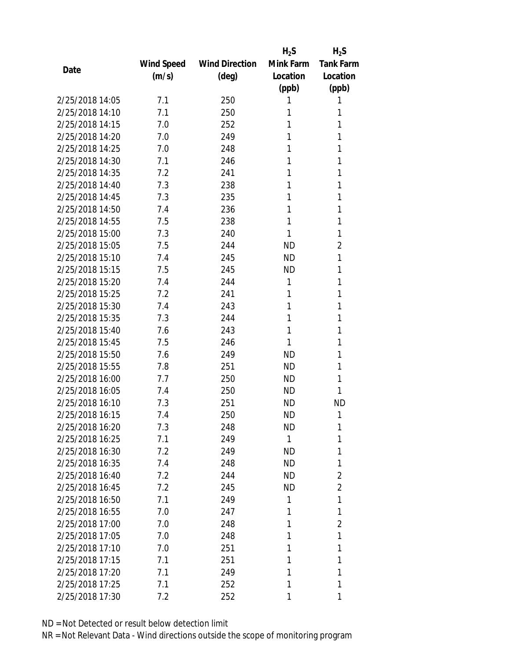|                 |            |                       | $H_2S$    | $H_2S$           |
|-----------------|------------|-----------------------|-----------|------------------|
|                 | Wind Speed | <b>Wind Direction</b> | Mink Farm | <b>Tank Farm</b> |
| Date            | (m/s)      | $(\text{deg})$        | Location  | Location         |
|                 |            |                       | (ppb)     | (ppb)            |
| 2/25/2018 14:05 | 7.1        | 250                   | 1         | 1                |
| 2/25/2018 14:10 | 7.1        | 250                   | 1         | 1                |
| 2/25/2018 14:15 | 7.0        | 252                   | 1         | 1                |
| 2/25/2018 14:20 | 7.0        | 249                   | 1         | 1                |
| 2/25/2018 14:25 | 7.0        | 248                   | 1         | 1                |
| 2/25/2018 14:30 | 7.1        | 246                   | 1         | 1                |
| 2/25/2018 14:35 | 7.2        | 241                   | 1         | 1                |
| 2/25/2018 14:40 | 7.3        | 238                   | 1         | 1                |
| 2/25/2018 14:45 | 7.3        | 235                   | 1         | 1                |
| 2/25/2018 14:50 | 7.4        | 236                   | 1         | 1                |
| 2/25/2018 14:55 | 7.5        | 238                   | 1         | 1                |
| 2/25/2018 15:00 | 7.3        | 240                   | 1         | 1                |
| 2/25/2018 15:05 | 7.5        | 244                   | <b>ND</b> | 2                |
| 2/25/2018 15:10 | 7.4        | 245                   | <b>ND</b> | 1                |
| 2/25/2018 15:15 | 7.5        | 245                   | <b>ND</b> | 1                |
| 2/25/2018 15:20 | 7.4        | 244                   | 1         | 1                |
| 2/25/2018 15:25 | 7.2        | 241                   | 1         | 1                |
| 2/25/2018 15:30 | 7.4        | 243                   | 1         | 1                |
| 2/25/2018 15:35 | 7.3        | 244                   | 1         | 1                |
| 2/25/2018 15:40 | 7.6        | 243                   | 1         | 1                |
| 2/25/2018 15:45 | 7.5        | 246                   | 1         | 1                |
| 2/25/2018 15:50 | 7.6        | 249                   | <b>ND</b> | 1                |
| 2/25/2018 15:55 | 7.8        | 251                   | ND        | 1                |
| 2/25/2018 16:00 | 7.7        | 250                   | <b>ND</b> | 1                |
| 2/25/2018 16:05 | 7.4        | 250                   | <b>ND</b> | 1                |
| 2/25/2018 16:10 | 7.3        | 251                   | <b>ND</b> | <b>ND</b>        |
| 2/25/2018 16:15 | 7.4        | 250                   | <b>ND</b> | 1                |
| 2/25/2018 16:20 | 7.3        | 248                   | ND        | 1                |
| 2/25/2018 16:25 | 7.1        | 249                   | 1         | 1                |
| 2/25/2018 16:30 | 7.2        | 249                   | ND        | 1                |
| 2/25/2018 16:35 | 7.4        | 248                   | ND.       | 1                |
| 2/25/2018 16:40 | 7.2        | 244                   | ND.       | $\overline{2}$   |
| 2/25/2018 16:45 | 7.2        | 245                   | ND.       | $\overline{2}$   |
| 2/25/2018 16:50 | 7.1        | 249                   | 1         | 1                |
| 2/25/2018 16:55 | 7.0        | 247                   | 1         | 1                |
| 2/25/2018 17:00 | 7.0        | 248                   | 1         | 2                |
| 2/25/2018 17:05 | 7.0        | 248                   | 1         | 1                |
| 2/25/2018 17:10 | 7.0        | 251                   | 1         | 1                |
| 2/25/2018 17:15 | 7.1        | 251                   | 1         | 1                |
| 2/25/2018 17:20 | 7.1        | 249                   | 1         | 1                |
| 2/25/2018 17:25 | 7.1        | 252                   | 1         | 1                |
| 2/25/2018 17:30 | 7.2        | 252                   | 1         | 1                |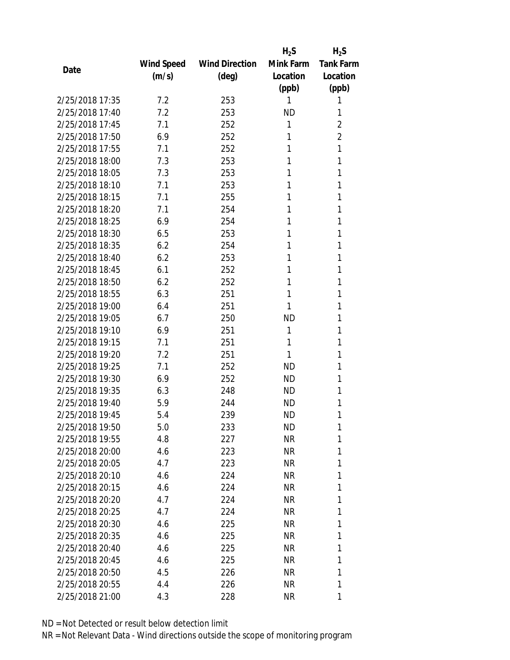|                 |            |                       | $H_2S$    | $H_2S$           |
|-----------------|------------|-----------------------|-----------|------------------|
|                 | Wind Speed | <b>Wind Direction</b> | Mink Farm | <b>Tank Farm</b> |
| Date            | (m/s)      | $(\text{deg})$        | Location  | Location         |
|                 |            |                       | (ppb)     | (ppb)            |
| 2/25/2018 17:35 | 7.2        | 253                   | 1         | 1                |
| 2/25/2018 17:40 | 7.2        | 253                   | <b>ND</b> | 1                |
| 2/25/2018 17:45 | 7.1        | 252                   | 1         | $\overline{2}$   |
| 2/25/2018 17:50 | 6.9        | 252                   | 1         | $\overline{2}$   |
| 2/25/2018 17:55 | 7.1        | 252                   | 1         | 1                |
| 2/25/2018 18:00 | 7.3        | 253                   | 1         | 1                |
| 2/25/2018 18:05 | 7.3        | 253                   | 1         | 1                |
| 2/25/2018 18:10 | 7.1        | 253                   | 1         | 1                |
| 2/25/2018 18:15 | 7.1        | 255                   | 1         | 1                |
| 2/25/2018 18:20 | 7.1        | 254                   | 1         | 1                |
| 2/25/2018 18:25 | 6.9        | 254                   | 1         | 1                |
| 2/25/2018 18:30 | 6.5        | 253                   | 1         | 1                |
| 2/25/2018 18:35 | 6.2        | 254                   | 1         | 1                |
| 2/25/2018 18:40 | 6.2        | 253                   | 1         | 1                |
| 2/25/2018 18:45 | 6.1        | 252                   | 1         | 1                |
| 2/25/2018 18:50 | 6.2        | 252                   | 1         | 1                |
| 2/25/2018 18:55 | 6.3        | 251                   | 1         | 1                |
| 2/25/2018 19:00 | 6.4        | 251                   | 1         | 1                |
| 2/25/2018 19:05 | 6.7        | 250                   | <b>ND</b> | 1                |
| 2/25/2018 19:10 | 6.9        | 251                   | 1         | 1                |
| 2/25/2018 19:15 | 7.1        | 251                   | 1         | 1                |
| 2/25/2018 19:20 | 7.2        | 251                   | 1         | 1                |
| 2/25/2018 19:25 | 7.1        | 252                   | <b>ND</b> | 1                |
| 2/25/2018 19:30 | 6.9        | 252                   | <b>ND</b> | 1                |
| 2/25/2018 19:35 | 6.3        | 248                   | <b>ND</b> | 1                |
| 2/25/2018 19:40 | 5.9        | 244                   | <b>ND</b> | 1                |
| 2/25/2018 19:45 | 5.4        | 239                   | <b>ND</b> | 1                |
| 2/25/2018 19:50 | 5.0        | 233                   | ND        | 1                |
| 2/25/2018 19:55 | 4.8        | 227                   | <b>NR</b> | 1                |
| 2/25/2018 20:00 | 4.6        | 223                   | NR        | 1                |
| 2/25/2018 20:05 | 4.7        | 223                   | NR        | 1                |
| 2/25/2018 20:10 | 4.6        | 224                   | NR        | 1                |
| 2/25/2018 20:15 | 4.6        | 224                   | NR        | 1                |
| 2/25/2018 20:20 | 4.7        | 224                   | <b>NR</b> | 1                |
| 2/25/2018 20:25 | 4.7        | 224                   | NR        | 1                |
| 2/25/2018 20:30 | 4.6        | 225                   | NR        | 1                |
| 2/25/2018 20:35 | 4.6        | 225                   | ΝR        | 1                |
| 2/25/2018 20:40 | 4.6        | 225                   | NR        | 1                |
| 2/25/2018 20:45 | 4.6        | 225                   | NR        | 1                |
| 2/25/2018 20:50 | 4.5        | 226                   | ΝR        | 1                |
| 2/25/2018 20:55 | 4.4        | 226                   | NR        | 1                |
| 2/25/2018 21:00 | 4.3        | 228                   | ΝR        | 1                |
|                 |            |                       |           |                  |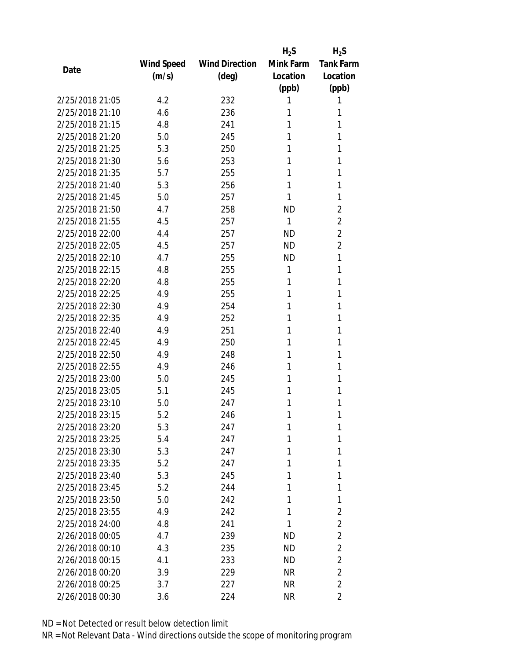|                 |            |                       | $H_2S$    | $H_2S$           |
|-----------------|------------|-----------------------|-----------|------------------|
|                 | Wind Speed | <b>Wind Direction</b> | Mink Farm | <b>Tank Farm</b> |
| Date            | (m/s)      | $(\text{deg})$        | Location  | Location         |
|                 |            |                       | (ppb)     | (ppb)            |
| 2/25/2018 21:05 | 4.2        | 232                   | 1         | 1                |
| 2/25/2018 21:10 | 4.6        | 236                   | 1         | 1                |
| 2/25/2018 21:15 | 4.8        | 241                   | 1         | 1                |
| 2/25/2018 21:20 | 5.0        | 245                   | 1         | 1                |
| 2/25/2018 21:25 | 5.3        | 250                   | 1         | 1                |
| 2/25/2018 21:30 | 5.6        | 253                   | 1         | 1                |
| 2/25/2018 21:35 | 5.7        | 255                   | 1         | 1                |
| 2/25/2018 21:40 | 5.3        | 256                   | 1         | 1                |
| 2/25/2018 21:45 | 5.0        | 257                   | 1         | 1                |
| 2/25/2018 21:50 | 4.7        | 258                   | <b>ND</b> | $\overline{2}$   |
| 2/25/2018 21:55 | 4.5        | 257                   | 1         | $\overline{2}$   |
| 2/25/2018 22:00 | 4.4        | 257                   | <b>ND</b> | $\overline{2}$   |
| 2/25/2018 22:05 | 4.5        | 257                   | <b>ND</b> | $\overline{2}$   |
| 2/25/2018 22:10 | 4.7        | 255                   | <b>ND</b> | 1                |
| 2/25/2018 22:15 | 4.8        | 255                   | 1         | 1                |
| 2/25/2018 22:20 | 4.8        | 255                   | 1         | 1                |
| 2/25/2018 22:25 | 4.9        | 255                   | 1         | 1                |
| 2/25/2018 22:30 | 4.9        | 254                   | 1         | 1                |
| 2/25/2018 22:35 | 4.9        | 252                   | 1         | 1                |
| 2/25/2018 22:40 | 4.9        | 251                   | 1         | 1                |
| 2/25/2018 22:45 | 4.9        | 250                   | 1         | 1                |
| 2/25/2018 22:50 | 4.9        | 248                   | 1         | 1                |
| 2/25/2018 22:55 | 4.9        | 246                   | 1         | 1                |
| 2/25/2018 23:00 | 5.0        | 245                   | 1         | 1                |
| 2/25/2018 23:05 | 5.1        | 245                   | 1         | 1                |
| 2/25/2018 23:10 | 5.0        | 247                   | 1         | 1                |
| 2/25/2018 23:15 | 5.2        | 246                   | 1         | 1                |
| 2/25/2018 23:20 | 5.3        | 247                   | 1         | 1                |
| 2/25/2018 23:25 | 5.4        | 247                   | 1         | 1                |
| 2/25/2018 23:30 | 5.3        | 247                   | 1         | 1                |
| 2/25/2018 23:35 | 5.2        | 247                   | 1         | 1                |
| 2/25/2018 23:40 | 5.3        | 245                   | 1         | 1                |
| 2/25/2018 23:45 | 5.2        | 244                   | 1         | 1                |
| 2/25/2018 23:50 | 5.0        | 242                   | 1         | 1                |
| 2/25/2018 23:55 | 4.9        | 242                   | 1         | $\overline{2}$   |
| 2/25/2018 24:00 | 4.8        | 241                   | 1         | 2                |
| 2/26/2018 00:05 | 4.7        | 239                   | ND        | $\overline{2}$   |
| 2/26/2018 00:10 | 4.3        | 235                   | ND.       | $\overline{2}$   |
| 2/26/2018 00:15 | 4.1        | 233                   | <b>ND</b> | $\overline{2}$   |
| 2/26/2018 00:20 | 3.9        | 229                   | NR        | $\overline{2}$   |
| 2/26/2018 00:25 | 3.7        | 227                   | <b>NR</b> | $\overline{2}$   |
| 2/26/2018 00:30 | 3.6        | 224                   | <b>NR</b> | $\overline{2}$   |
|                 |            |                       |           |                  |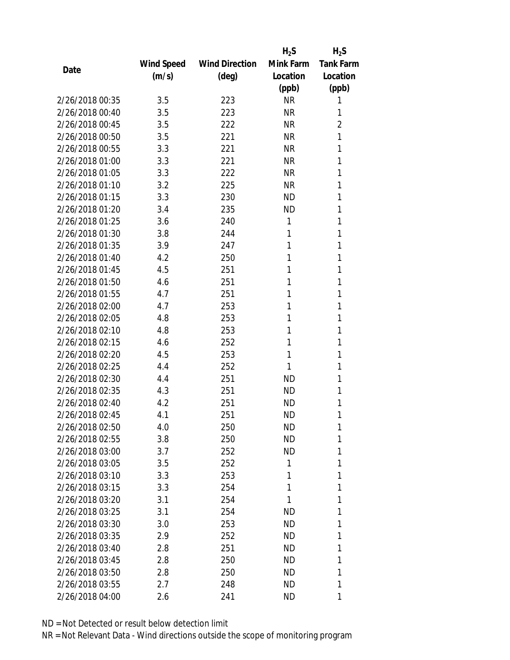|                 |            |                       | $H_2S$    | $H_2S$           |
|-----------------|------------|-----------------------|-----------|------------------|
|                 | Wind Speed | <b>Wind Direction</b> | Mink Farm | <b>Tank Farm</b> |
| Date            | (m/s)      | $(\text{deg})$        | Location  | Location         |
|                 |            |                       | (ppb)     | (ppb)            |
| 2/26/2018 00:35 | 3.5        | 223                   | <b>NR</b> | 1                |
| 2/26/2018 00:40 | 3.5        | 223                   | <b>NR</b> | 1                |
| 2/26/2018 00:45 | 3.5        | 222                   | <b>NR</b> | $\overline{2}$   |
| 2/26/2018 00:50 | 3.5        | 221                   | <b>NR</b> | 1                |
| 2/26/2018 00:55 | 3.3        | 221                   | <b>NR</b> | 1                |
| 2/26/2018 01:00 | 3.3        | 221                   | <b>NR</b> | 1                |
| 2/26/2018 01:05 | 3.3        | 222                   | <b>NR</b> | 1                |
| 2/26/2018 01:10 | 3.2        | 225                   | <b>NR</b> | 1                |
| 2/26/2018 01:15 | 3.3        | 230                   | <b>ND</b> | 1                |
| 2/26/2018 01:20 | 3.4        | 235                   | <b>ND</b> | 1                |
| 2/26/2018 01:25 | 3.6        | 240                   | 1         | 1                |
| 2/26/2018 01:30 | 3.8        | 244                   | 1         | 1                |
| 2/26/2018 01:35 | 3.9        | 247                   | 1         | 1                |
| 2/26/2018 01:40 | 4.2        | 250                   | 1         | 1                |
| 2/26/2018 01:45 | 4.5        | 251                   | 1         | 1                |
| 2/26/2018 01:50 | 4.6        | 251                   | 1         | 1                |
| 2/26/2018 01:55 | 4.7        | 251                   | 1         | 1                |
| 2/26/2018 02:00 | 4.7        | 253                   | 1         | 1                |
| 2/26/2018 02:05 | 4.8        | 253                   | 1         | 1                |
| 2/26/2018 02:10 | 4.8        | 253                   | 1         | 1                |
| 2/26/2018 02:15 | 4.6        | 252                   | 1         | 1                |
| 2/26/2018 02:20 | 4.5        | 253                   | 1         | 1                |
| 2/26/2018 02:25 | 4.4        | 252                   | 1         | 1                |
| 2/26/2018 02:30 | 4.4        | 251                   | <b>ND</b> | 1                |
| 2/26/2018 02:35 | 4.3        | 251                   | <b>ND</b> | 1                |
| 2/26/2018 02:40 | 4.2        | 251                   | ND        | 1                |
| 2/26/2018 02:45 | 4.1        | 251                   | <b>ND</b> | 1                |
| 2/26/2018 02:50 | 4.0        | 250                   | ND        | 1                |
| 2/26/2018 02:55 | 3.8        | 250                   | <b>ND</b> | 1                |
| 2/26/2018 03:00 | 3.7        | 252                   | ND        | 1                |
| 2/26/2018 03:05 | 3.5        | 252                   | 1         | 1                |
| 2/26/2018 03:10 | 3.3        | 253                   | 1         | 1                |
| 2/26/2018 03:15 | 3.3        | 254                   | 1         | 1                |
| 2/26/2018 03:20 | 3.1        | 254                   | 1         | 1                |
| 2/26/2018 03:25 | 3.1        | 254                   | <b>ND</b> | 1                |
| 2/26/2018 03:30 | 3.0        | 253                   | ND        | 1                |
| 2/26/2018 03:35 | 2.9        | 252                   | ND        | 1                |
| 2/26/2018 03:40 | 2.8        | 251                   | ND        | 1                |
| 2/26/2018 03:45 | 2.8        | 250                   | ND        | 1                |
| 2/26/2018 03:50 | 2.8        | 250                   | ND        | 1                |
| 2/26/2018 03:55 | 2.7        | 248                   | ND        | 1                |
| 2/26/2018 04:00 | 2.6        | 241                   | ND        | 1                |
|                 |            |                       |           |                  |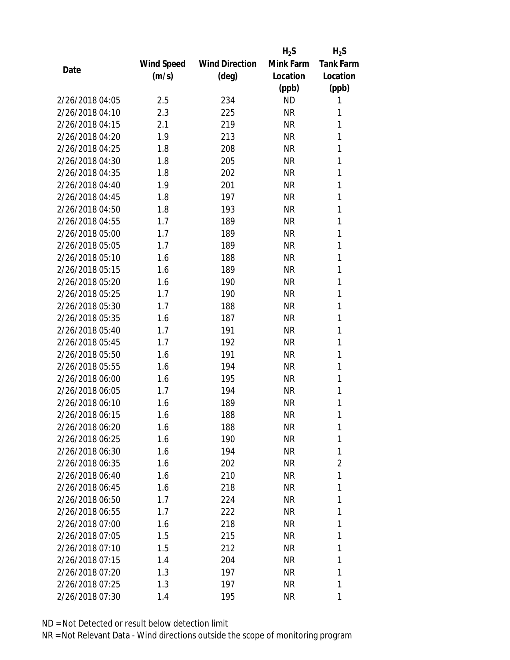|                 |            |                       | $H_2S$    | $H_2S$           |
|-----------------|------------|-----------------------|-----------|------------------|
|                 | Wind Speed | <b>Wind Direction</b> | Mink Farm | <b>Tank Farm</b> |
| Date            | (m/s)      | $(\text{deg})$        | Location  | Location         |
|                 |            |                       | (ppb)     | (ppb)            |
| 2/26/2018 04:05 | 2.5        | 234                   | <b>ND</b> | 1                |
| 2/26/2018 04:10 | 2.3        | 225                   | <b>NR</b> | 1                |
| 2/26/2018 04:15 | 2.1        | 219                   | <b>NR</b> | 1                |
| 2/26/2018 04:20 | 1.9        | 213                   | <b>NR</b> | 1                |
| 2/26/2018 04:25 | 1.8        | 208                   | <b>NR</b> | 1                |
| 2/26/2018 04:30 | 1.8        | 205                   | <b>NR</b> | 1                |
| 2/26/2018 04:35 | 1.8        | 202                   | <b>NR</b> | 1                |
| 2/26/2018 04:40 | 1.9        | 201                   | <b>NR</b> | 1                |
| 2/26/2018 04:45 | 1.8        | 197                   | <b>NR</b> | 1                |
| 2/26/2018 04:50 | 1.8        | 193                   | <b>NR</b> | 1                |
| 2/26/2018 04:55 | 1.7        | 189                   | <b>NR</b> | 1                |
| 2/26/2018 05:00 | 1.7        | 189                   | <b>NR</b> | 1                |
| 2/26/2018 05:05 | 1.7        | 189                   | <b>NR</b> | 1                |
| 2/26/2018 05:10 | 1.6        | 188                   | <b>NR</b> | 1                |
| 2/26/2018 05:15 | 1.6        | 189                   | <b>NR</b> | 1                |
| 2/26/2018 05:20 | 1.6        | 190                   | <b>NR</b> | 1                |
| 2/26/2018 05:25 | 1.7        | 190                   | <b>NR</b> | 1                |
| 2/26/2018 05:30 | 1.7        | 188                   | <b>NR</b> | 1                |
| 2/26/2018 05:35 | 1.6        | 187                   | <b>NR</b> | 1                |
| 2/26/2018 05:40 | 1.7        | 191                   | <b>NR</b> | 1                |
| 2/26/2018 05:45 | 1.7        | 192                   | <b>NR</b> | 1                |
| 2/26/2018 05:50 | 1.6        | 191                   | <b>NR</b> | 1                |
| 2/26/2018 05:55 | 1.6        | 194                   | <b>NR</b> | 1                |
| 2/26/2018 06:00 | 1.6        | 195                   | <b>NR</b> | 1                |
| 2/26/2018 06:05 | 1.7        | 194                   | <b>NR</b> | 1                |
| 2/26/2018 06:10 | 1.6        | 189                   | <b>NR</b> | 1                |
| 2/26/2018 06:15 | 1.6        | 188                   | <b>NR</b> | 1                |
| 2/26/2018 06:20 | 1.6        | 188                   | ΝR        | 1                |
| 2/26/2018 06:25 | 1.6        | 190                   | <b>NR</b> | 1                |
| 2/26/2018 06:30 | 1.6        | 194                   | NR        | 1                |
| 2/26/2018 06:35 | 1.6        | 202                   | NR        | $\overline{2}$   |
| 2/26/2018 06:40 | 1.6        | 210                   | ΝR        | 1                |
| 2/26/2018 06:45 | 1.6        | 218                   | NR        | 1                |
| 2/26/2018 06:50 | 1.7        | 224                   | <b>NR</b> | 1                |
| 2/26/2018 06:55 | 1.7        | 222                   | NR        | 1                |
| 2/26/2018 07:00 | 1.6        | 218                   | <b>NR</b> | 1                |
| 2/26/2018 07:05 | 1.5        | 215                   | NR        | 1                |
| 2/26/2018 07:10 | 1.5        | 212                   | NR        | 1                |
| 2/26/2018 07:15 |            |                       |           | 1                |
| 2/26/2018 07:20 | 1.4        | 204                   | NR        | 1                |
|                 | 1.3        | 197                   | ΝR        |                  |
| 2/26/2018 07:25 | 1.3        | 197                   | <b>NR</b> | 1                |
| 2/26/2018 07:30 | 1.4        | 195                   | ΝR        | 1                |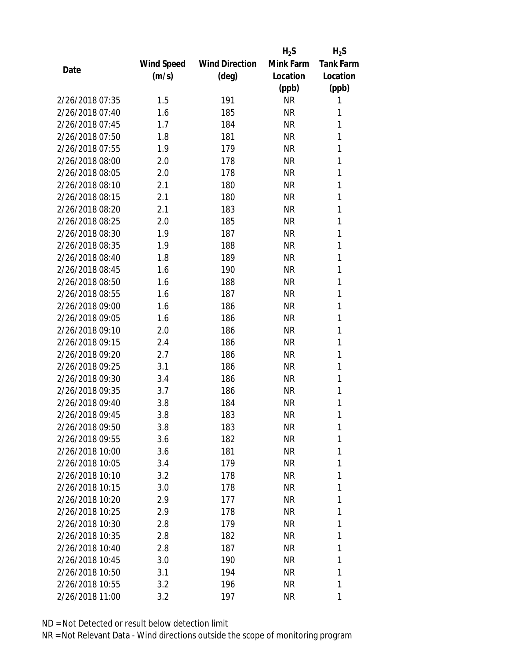|                 |            |                       | $H_2S$    | $H_2S$           |
|-----------------|------------|-----------------------|-----------|------------------|
|                 | Wind Speed | <b>Wind Direction</b> | Mink Farm | <b>Tank Farm</b> |
| Date            | (m/s)      | (deg)                 | Location  | Location         |
|                 |            |                       | (ppb)     | (ppb)            |
| 2/26/2018 07:35 | 1.5        | 191                   | <b>NR</b> | 1                |
| 2/26/2018 07:40 | 1.6        | 185                   | <b>NR</b> | 1                |
| 2/26/2018 07:45 | 1.7        | 184                   | <b>NR</b> | 1                |
| 2/26/2018 07:50 | 1.8        | 181                   | <b>NR</b> | 1                |
| 2/26/2018 07:55 | 1.9        | 179                   | <b>NR</b> | 1                |
| 2/26/2018 08:00 | 2.0        | 178                   | <b>NR</b> | 1                |
| 2/26/2018 08:05 | 2.0        | 178                   | <b>NR</b> | 1                |
| 2/26/2018 08:10 | 2.1        | 180                   | <b>NR</b> | 1                |
| 2/26/2018 08:15 | 2.1        | 180                   | <b>NR</b> | 1                |
| 2/26/2018 08:20 | 2.1        | 183                   | <b>NR</b> | 1                |
| 2/26/2018 08:25 | 2.0        | 185                   | ΝR        | 1                |
| 2/26/2018 08:30 | 1.9        | 187                   | <b>NR</b> | 1                |
| 2/26/2018 08:35 | 1.9        | 188                   | <b>NR</b> | 1                |
| 2/26/2018 08:40 | 1.8        | 189                   | <b>NR</b> | 1                |
| 2/26/2018 08:45 | 1.6        | 190                   | <b>NR</b> | 1                |
| 2/26/2018 08:50 | 1.6        | 188                   | <b>NR</b> | 1                |
| 2/26/2018 08:55 | 1.6        | 187                   | <b>NR</b> | 1                |
| 2/26/2018 09:00 | 1.6        | 186                   | <b>NR</b> | 1                |
| 2/26/2018 09:05 | 1.6        | 186                   | <b>NR</b> | 1                |
| 2/26/2018 09:10 | 2.0        | 186                   | <b>NR</b> | 1                |
| 2/26/2018 09:15 | 2.4        | 186                   | <b>NR</b> | 1                |
| 2/26/2018 09:20 | 2.7        | 186                   | <b>NR</b> | 1                |
| 2/26/2018 09:25 | 3.1        | 186                   | <b>NR</b> | 1                |
| 2/26/2018 09:30 | 3.4        | 186                   | <b>NR</b> | 1                |
| 2/26/2018 09:35 | 3.7        | 186                   | <b>NR</b> | 1                |
| 2/26/2018 09:40 | 3.8        | 184                   | ΝR        | 1                |
| 2/26/2018 09:45 | 3.8        | 183                   | <b>NR</b> | 1                |
| 2/26/2018 09:50 | 3.8        | 183                   | ΝR        | 1                |
| 2/26/2018 09:55 | 3.6        | 182                   | <b>NR</b> | 1                |
| 2/26/2018 10:00 | 3.6        | 181                   | NR        | 1                |
| 2/26/2018 10:05 | 3.4        | 179                   | NR        | 1                |
| 2/26/2018 10:10 | 3.2        | 178                   | <b>NR</b> | 1                |
| 2/26/2018 10:15 | 3.0        | 178                   | NR        | 1                |
| 2/26/2018 10:20 | 2.9        | 177                   | <b>NR</b> | 1                |
| 2/26/2018 10:25 | 2.9        | 178                   | NR        | 1                |
| 2/26/2018 10:30 | 2.8        | 179                   | ΝR        | 1                |
| 2/26/2018 10:35 | 2.8        | 182                   | ΝR        | 1                |
| 2/26/2018 10:40 | 2.8        | 187                   | ΝR        | 1                |
| 2/26/2018 10:45 | 3.0        | 190                   | <b>NR</b> | 1                |
| 2/26/2018 10:50 | 3.1        | 194                   | NR        | 1                |
| 2/26/2018 10:55 | 3.2        | 196                   | NR        | 1                |
| 2/26/2018 11:00 | 3.2        | 197                   | <b>NR</b> | 1                |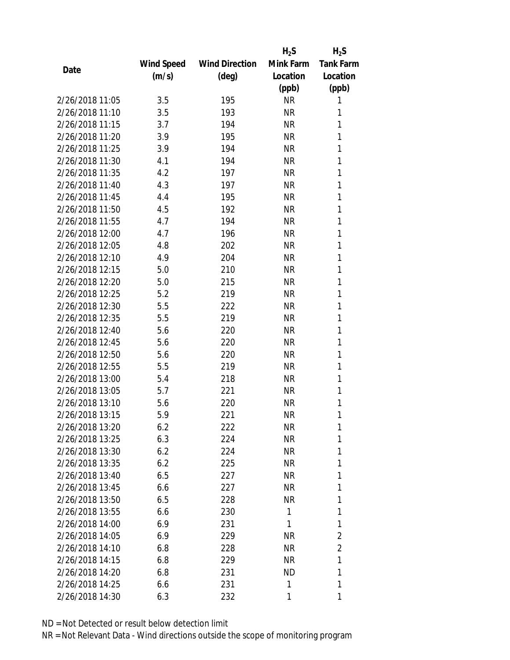|                 |            |                       | $H_2S$    | $H_2S$           |
|-----------------|------------|-----------------------|-----------|------------------|
|                 | Wind Speed | <b>Wind Direction</b> | Mink Farm | <b>Tank Farm</b> |
| Date            | (m/s)      | $(\text{deg})$        | Location  | Location         |
|                 |            |                       | (ppb)     | (ppb)            |
| 2/26/2018 11:05 | 3.5        | 195                   | <b>NR</b> | 1                |
| 2/26/2018 11:10 | 3.5        | 193                   | <b>NR</b> | 1                |
| 2/26/2018 11:15 | 3.7        | 194                   | <b>NR</b> | 1                |
| 2/26/2018 11:20 | 3.9        | 195                   | <b>NR</b> | 1                |
| 2/26/2018 11:25 | 3.9        | 194                   | <b>NR</b> | 1                |
| 2/26/2018 11:30 | 4.1        | 194                   | <b>NR</b> | 1                |
| 2/26/2018 11:35 | 4.2        | 197                   | <b>NR</b> | 1                |
| 2/26/2018 11:40 | 4.3        | 197                   | <b>NR</b> | 1                |
| 2/26/2018 11:45 | 4.4        | 195                   | <b>NR</b> | 1                |
| 2/26/2018 11:50 | 4.5        | 192                   | <b>NR</b> | 1                |
| 2/26/2018 11:55 | 4.7        | 194                   | <b>NR</b> | 1                |
| 2/26/2018 12:00 | 4.7        | 196                   | <b>NR</b> | 1                |
| 2/26/2018 12:05 | 4.8        | 202                   | <b>NR</b> | 1                |
| 2/26/2018 12:10 | 4.9        | 204                   | <b>NR</b> | 1                |
| 2/26/2018 12:15 | 5.0        | 210                   | <b>NR</b> | 1                |
| 2/26/2018 12:20 | 5.0        | 215                   | <b>NR</b> | 1                |
| 2/26/2018 12:25 | 5.2        | 219                   | <b>NR</b> | 1                |
| 2/26/2018 12:30 | 5.5        | 222                   | <b>NR</b> | 1                |
| 2/26/2018 12:35 | 5.5        | 219                   | <b>NR</b> | 1                |
| 2/26/2018 12:40 | 5.6        | 220                   | <b>NR</b> | 1                |
| 2/26/2018 12:45 | 5.6        | 220                   | <b>NR</b> | 1                |
| 2/26/2018 12:50 | 5.6        | 220                   | <b>NR</b> | 1                |
| 2/26/2018 12:55 | 5.5        | 219                   | NR        | 1                |
| 2/26/2018 13:00 | 5.4        | 218                   | <b>NR</b> | 1                |
| 2/26/2018 13:05 | 5.7        | 221                   | NR        | 1                |
| 2/26/2018 13:10 | 5.6        | 220                   | <b>NR</b> | 1                |
| 2/26/2018 13:15 | 5.9        | 221                   | <b>NR</b> | 1                |
| 2/26/2018 13:20 | 6.2        | 222                   | ΝR        | 1                |
| 2/26/2018 13:25 | 6.3        | 224                   | <b>NR</b> | 1                |
| 2/26/2018 13:30 | 6.2        | 224                   | NR        | 1                |
| 2/26/2018 13:35 | 6.2        | 225                   | NR        | 1                |
| 2/26/2018 13:40 | 6.5        | 227                   | NR        | 1                |
| 2/26/2018 13:45 | 6.6        | 227                   | NR        | 1                |
| 2/26/2018 13:50 | 6.5        | 228                   | <b>NR</b> | 1                |
| 2/26/2018 13:55 | 6.6        | 230                   | 1         | 1                |
| 2/26/2018 14:00 | 6.9        | 231                   | 1         | 1                |
| 2/26/2018 14:05 | 6.9        | 229                   | ΝR        | 2                |
| 2/26/2018 14:10 | 6.8        |                       | NR        | $\overline{2}$   |
| 2/26/2018 14:15 | 6.8        | 228<br>229            | NR        | 1                |
| 2/26/2018 14:20 | 6.8        | 231                   | ND        | 1                |
| 2/26/2018 14:25 |            |                       | 1         | 1                |
|                 | 6.6        | 231                   |           |                  |
| 2/26/2018 14:30 | 6.3        | 232                   | 1         | 1                |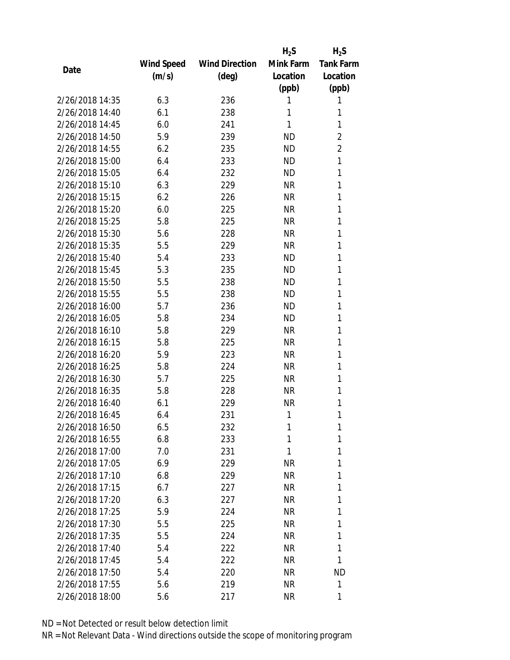|                 |            |                       | $H_2S$    | $H_2S$           |
|-----------------|------------|-----------------------|-----------|------------------|
|                 | Wind Speed | <b>Wind Direction</b> | Mink Farm | <b>Tank Farm</b> |
| Date            | (m/s)      | $(\text{deg})$        | Location  | Location         |
|                 |            |                       | (ppb)     | (ppb)            |
| 2/26/2018 14:35 | 6.3        | 236                   | 1         | 1                |
| 2/26/2018 14:40 | 6.1        | 238                   | 1         | 1                |
| 2/26/2018 14:45 | 6.0        | 241                   | 1         | 1                |
| 2/26/2018 14:50 | 5.9        | 239                   | <b>ND</b> | $\overline{2}$   |
| 2/26/2018 14:55 | 6.2        | 235                   | <b>ND</b> | $\overline{2}$   |
| 2/26/2018 15:00 | 6.4        | 233                   | ND.       | 1                |
| 2/26/2018 15:05 | 6.4        | 232                   | <b>ND</b> | 1                |
| 2/26/2018 15:10 | 6.3        | 229                   | <b>NR</b> | 1                |
| 2/26/2018 15:15 | 6.2        | 226                   | <b>NR</b> | 1                |
| 2/26/2018 15:20 | 6.0        | 225                   | <b>NR</b> | 1                |
| 2/26/2018 15:25 | 5.8        | 225                   | <b>NR</b> | 1                |
| 2/26/2018 15:30 | 5.6        | 228                   | <b>NR</b> | 1                |
| 2/26/2018 15:35 | 5.5        | 229                   | <b>NR</b> | 1                |
| 2/26/2018 15:40 | 5.4        | 233                   | <b>ND</b> | 1                |
| 2/26/2018 15:45 | 5.3        | 235                   | <b>ND</b> | 1                |
| 2/26/2018 15:50 | 5.5        | 238                   | <b>ND</b> | 1                |
| 2/26/2018 15:55 | 5.5        | 238                   | <b>ND</b> | 1                |
| 2/26/2018 16:00 | 5.7        | 236                   | ND        | 1                |
| 2/26/2018 16:05 | 5.8        | 234                   | <b>ND</b> | 1                |
| 2/26/2018 16:10 | 5.8        | 229                   | <b>NR</b> | 1                |
| 2/26/2018 16:15 | 5.8        | 225                   | <b>NR</b> | 1                |
| 2/26/2018 16:20 | 5.9        | 223                   | <b>NR</b> | 1                |
| 2/26/2018 16:25 | 5.8        | 224                   | <b>NR</b> | 1                |
| 2/26/2018 16:30 | 5.7        | 225                   | <b>NR</b> | 1                |
| 2/26/2018 16:35 | 5.8        | 228                   | <b>NR</b> | 1                |
| 2/26/2018 16:40 | 6.1        | 229                   | <b>NR</b> | 1                |
| 2/26/2018 16:45 | 6.4        | 231                   | 1         | 1                |
| 2/26/2018 16:50 | 6.5        | 232                   | 1         | 1                |
| 2/26/2018 16:55 | 6.8        | 233                   | 1         | 1                |
| 2/26/2018 17:00 | 7.0        | 231                   | 1         | 1                |
| 2/26/2018 17:05 | 6.9        | 229                   | <b>NR</b> | 1                |
| 2/26/2018 17:10 | 6.8        | 229                   | <b>NR</b> | 1                |
| 2/26/2018 17:15 | 6.7        | 227                   | NR        | 1                |
| 2/26/2018 17:20 | 6.3        | 227                   | <b>NR</b> | 1                |
| 2/26/2018 17:25 | 5.9        | 224                   | <b>NR</b> | 1                |
| 2/26/2018 17:30 | 5.5        | 225                   | NR        | 1                |
| 2/26/2018 17:35 | 5.5        | 224                   | <b>NR</b> | 1                |
| 2/26/2018 17:40 | 5.4        | 222                   | NR        | 1                |
| 2/26/2018 17:45 | 5.4        | 222                   | NR        | 1                |
| 2/26/2018 17:50 | 5.4        | 220                   | NR        | ND               |
| 2/26/2018 17:55 | 5.6        | 219                   | NR        | 1                |
| 2/26/2018 18:00 | 5.6        | 217                   | ΝR        | 1                |
|                 |            |                       |           |                  |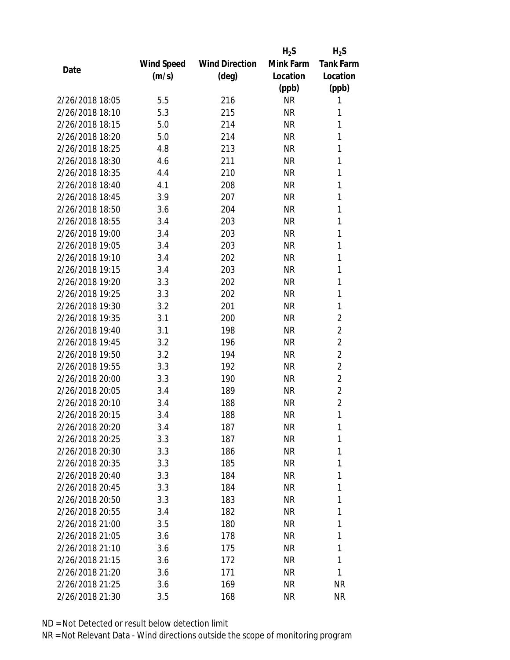|                 |            |                       | $H_2S$    | $H_2S$           |
|-----------------|------------|-----------------------|-----------|------------------|
|                 | Wind Speed | <b>Wind Direction</b> | Mink Farm | <b>Tank Farm</b> |
| Date            | (m/s)      | (deg)                 | Location  | Location         |
|                 |            |                       | (ppb)     | (ppb)            |
| 2/26/2018 18:05 | 5.5        | 216                   | <b>NR</b> | 1                |
| 2/26/2018 18:10 | 5.3        | 215                   | <b>NR</b> | 1                |
| 2/26/2018 18:15 | 5.0        | 214                   | <b>NR</b> | 1                |
| 2/26/2018 18:20 | 5.0        | 214                   | <b>NR</b> | 1                |
| 2/26/2018 18:25 | 4.8        | 213                   | <b>NR</b> | 1                |
| 2/26/2018 18:30 | 4.6        | 211                   | <b>NR</b> | 1                |
| 2/26/2018 18:35 | 4.4        | 210                   | <b>NR</b> | 1                |
| 2/26/2018 18:40 | 4.1        | 208                   | <b>NR</b> | 1                |
| 2/26/2018 18:45 | 3.9        | 207                   | <b>NR</b> | 1                |
| 2/26/2018 18:50 | 3.6        | 204                   | <b>NR</b> | 1                |
| 2/26/2018 18:55 | 3.4        | 203                   | <b>NR</b> | 1                |
| 2/26/2018 19:00 | 3.4        | 203                   | <b>NR</b> | 1                |
| 2/26/2018 19:05 | 3.4        | 203                   | <b>NR</b> | 1                |
| 2/26/2018 19:10 | 3.4        | 202                   | <b>NR</b> | 1                |
| 2/26/2018 19:15 | 3.4        | 203                   | <b>NR</b> | 1                |
| 2/26/2018 19:20 | 3.3        | 202                   | <b>NR</b> | 1                |
| 2/26/2018 19:25 | 3.3        | 202                   | <b>NR</b> | 1                |
| 2/26/2018 19:30 | 3.2        | 201                   | <b>NR</b> | 1                |
| 2/26/2018 19:35 | 3.1        | 200                   | <b>NR</b> | $\overline{2}$   |
| 2/26/2018 19:40 | 3.1        | 198                   | <b>NR</b> | $\overline{2}$   |
| 2/26/2018 19:45 | 3.2        | 196                   | <b>NR</b> | $\overline{2}$   |
| 2/26/2018 19:50 | 3.2        | 194                   | <b>NR</b> | $\overline{2}$   |
| 2/26/2018 19:55 | 3.3        | 192                   | <b>NR</b> | $\overline{2}$   |
| 2/26/2018 20:00 | 3.3        | 190                   | <b>NR</b> | $\overline{2}$   |
| 2/26/2018 20:05 | 3.4        | 189                   | <b>NR</b> | $\overline{2}$   |
| 2/26/2018 20:10 | 3.4        | 188                   | <b>NR</b> | $\overline{2}$   |
| 2/26/2018 20:15 | 3.4        | 188                   | <b>NR</b> | 1                |
| 2/26/2018 20:20 | 3.4        | 187                   | <b>NR</b> | 1                |
| 2/26/2018 20:25 | 3.3        | 187                   | <b>NR</b> | 1                |
| 2/26/2018 20:30 | 3.3        | 186                   | NR        | 1                |
| 2/26/2018 20:35 | 3.3        | 185                   | <b>NR</b> | 1                |
| 2/26/2018 20:40 | 3.3        | 184                   | <b>NR</b> | 1                |
| 2/26/2018 20:45 | 3.3        | 184                   | NR        | 1                |
| 2/26/2018 20:50 | 3.3        | 183                   | <b>NR</b> | 1                |
| 2/26/2018 20:55 | 3.4        | 182                   | <b>NR</b> | 1                |
| 2/26/2018 21:00 | 3.5        | 180                   | <b>NR</b> | 1                |
| 2/26/2018 21:05 | 3.6        | 178                   | NR        | 1                |
| 2/26/2018 21:10 | 3.6        | 175                   | NR        | 1                |
| 2/26/2018 21:15 | 3.6        | 172                   | <b>NR</b> | 1                |
| 2/26/2018 21:20 | 3.6        | 171                   | <b>NR</b> | 1                |
| 2/26/2018 21:25 | 3.6        | 169                   | <b>NR</b> | <b>NR</b>        |
| 2/26/2018 21:30 | 3.5        | 168                   | ΝR        | <b>NR</b>        |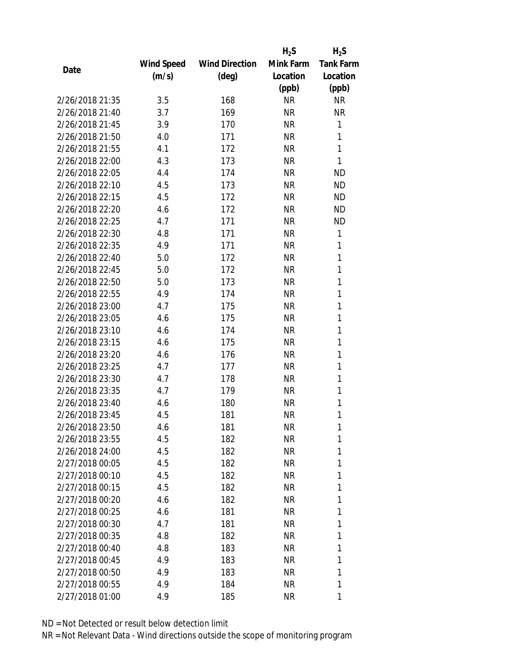|                 |            |                       | $H_2S$    | $H_2S$           |
|-----------------|------------|-----------------------|-----------|------------------|
|                 | Wind Speed | <b>Wind Direction</b> | Mink Farm | <b>Tank Farm</b> |
| Date            | (m/s)      | $(\text{deg})$        | Location  | Location         |
|                 |            |                       | (ppb)     | (ppb)            |
| 2/26/2018 21:35 | 3.5        | 168                   | <b>NR</b> | <b>NR</b>        |
| 2/26/2018 21:40 | 3.7        | 169                   | <b>NR</b> | <b>NR</b>        |
| 2/26/2018 21:45 | 3.9        | 170                   | <b>NR</b> | $\mathbf{1}$     |
| 2/26/2018 21:50 | 4.0        | 171                   | <b>NR</b> | 1                |
| 2/26/2018 21:55 | 4.1        | 172                   | <b>NR</b> | 1                |
| 2/26/2018 22:00 | 4.3        | 173                   | <b>NR</b> | 1                |
| 2/26/2018 22:05 | 4.4        | 174                   | <b>NR</b> | <b>ND</b>        |
| 2/26/2018 22:10 | 4.5        | 173                   | <b>NR</b> | <b>ND</b>        |
| 2/26/2018 22:15 | 4.5        | 172                   | <b>NR</b> | <b>ND</b>        |
| 2/26/2018 22:20 | 4.6        | 172                   | <b>NR</b> | <b>ND</b>        |
| 2/26/2018 22:25 | 4.7        | 171                   | <b>NR</b> | <b>ND</b>        |
| 2/26/2018 22:30 | 4.8        | 171                   | <b>NR</b> | 1                |
| 2/26/2018 22:35 | 4.9        | 171                   | <b>NR</b> | 1                |
| 2/26/2018 22:40 | 5.0        | 172                   | <b>NR</b> | 1                |
| 2/26/2018 22:45 | 5.0        | 172                   | <b>NR</b> | 1                |
| 2/26/2018 22:50 | 5.0        | 173                   | <b>NR</b> | 1                |
| 2/26/2018 22:55 | 4.9        | 174                   | <b>NR</b> | 1                |
| 2/26/2018 23:00 | 4.7        | 175                   | <b>NR</b> | 1                |
| 2/26/2018 23:05 | 4.6        | 175                   | <b>NR</b> | 1                |
| 2/26/2018 23:10 | 4.6        | 174                   | <b>NR</b> | 1                |
| 2/26/2018 23:15 | 4.6        | 175                   | <b>NR</b> | 1                |
| 2/26/2018 23:20 | 4.6        | 176                   | <b>NR</b> | 1                |
| 2/26/2018 23:25 | 4.7        | 177                   | <b>NR</b> | 1                |
| 2/26/2018 23:30 | 4.7        | 178                   | <b>NR</b> | 1                |
| 2/26/2018 23:35 | 4.7        | 179                   | <b>NR</b> | 1                |
| 2/26/2018 23:40 | 4.6        | 180                   | <b>NR</b> | 1                |
| 2/26/2018 23:45 | 4.5        | 181                   | <b>NR</b> | 1                |
| 2/26/2018 23:50 | 4.6        | 181                   | ΝR        | 1                |
| 2/26/2018 23:55 | 4.5        | 182                   | <b>NR</b> | 1                |
| 2/26/2018 24:00 | 4.5        | 182                   | NR        | 1                |
| 2/27/2018 00:05 | 4.5        | 182                   | <b>NR</b> | 1                |
| 2/27/2018 00:10 | 4.5        | 182                   | <b>NR</b> | 1                |
| 2/27/2018 00:15 | 4.5        | 182                   | NR        | 1                |
| 2/27/2018 00:20 | 4.6        | 182                   | <b>NR</b> | 1                |
| 2/27/2018 00:25 | 4.6        | 181                   | NR        | 1                |
| 2/27/2018 00:30 | 4.7        | 181                   | <b>NR</b> | 1                |
| 2/27/2018 00:35 | 4.8        | 182                   | ΝR        | 1                |
| 2/27/2018 00:40 | 4.8        | 183                   | NR        | 1                |
| 2/27/2018 00:45 | 4.9        | 183                   | NR        | 1                |
| 2/27/2018 00:50 | 4.9        | 183                   | ΝR        | 1                |
| 2/27/2018 00:55 | 4.9        | 184                   | <b>NR</b> | 1                |
| 2/27/2018 01:00 | 4.9        | 185                   | <b>NR</b> | 1                |
|                 |            |                       |           |                  |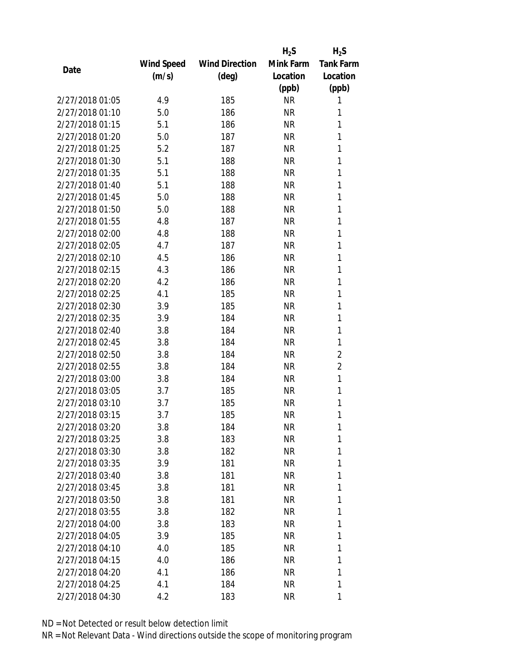|                 |            |                       | $H_2S$    | $H_2S$           |
|-----------------|------------|-----------------------|-----------|------------------|
|                 | Wind Speed | <b>Wind Direction</b> | Mink Farm | <b>Tank Farm</b> |
| Date            | (m/s)      | $(\text{deg})$        | Location  | Location         |
|                 |            |                       | (ppb)     | (ppb)            |
| 2/27/2018 01:05 | 4.9        | 185                   | <b>NR</b> | 1                |
| 2/27/2018 01:10 | 5.0        | 186                   | <b>NR</b> | 1                |
| 2/27/2018 01:15 | 5.1        | 186                   | <b>NR</b> | 1                |
| 2/27/2018 01:20 | 5.0        | 187                   | <b>NR</b> | 1                |
| 2/27/2018 01:25 | 5.2        | 187                   | <b>NR</b> | 1                |
| 2/27/2018 01:30 | 5.1        | 188                   | <b>NR</b> | 1                |
| 2/27/2018 01:35 | 5.1        | 188                   | <b>NR</b> | 1                |
| 2/27/2018 01:40 | 5.1        | 188                   | <b>NR</b> | 1                |
| 2/27/2018 01:45 | 5.0        | 188                   | <b>NR</b> | 1                |
| 2/27/2018 01:50 | 5.0        | 188                   | <b>NR</b> | 1                |
| 2/27/2018 01:55 | 4.8        | 187                   | <b>NR</b> | 1                |
| 2/27/2018 02:00 | 4.8        | 188                   | <b>NR</b> | 1                |
| 2/27/2018 02:05 | 4.7        | 187                   | <b>NR</b> | 1                |
| 2/27/2018 02:10 | 4.5        | 186                   | <b>NR</b> | 1                |
| 2/27/2018 02:15 | 4.3        | 186                   | <b>NR</b> | 1                |
| 2/27/2018 02:20 | 4.2        | 186                   | <b>NR</b> | 1                |
| 2/27/2018 02:25 | 4.1        | 185                   | <b>NR</b> | 1                |
| 2/27/2018 02:30 | 3.9        | 185                   | <b>NR</b> | 1                |
| 2/27/2018 02:35 | 3.9        | 184                   | <b>NR</b> | 1                |
| 2/27/2018 02:40 | 3.8        | 184                   | <b>NR</b> | 1                |
| 2/27/2018 02:45 | 3.8        | 184                   | <b>NR</b> | 1                |
| 2/27/2018 02:50 | 3.8        | 184                   | <b>NR</b> | $\overline{2}$   |
| 2/27/2018 02:55 | 3.8        | 184                   | <b>NR</b> | $\overline{2}$   |
| 2/27/2018 03:00 | 3.8        | 184                   | <b>NR</b> | 1                |
| 2/27/2018 03:05 | 3.7        | 185                   | <b>NR</b> | 1                |
| 2/27/2018 03:10 | 3.7        | 185                   | <b>NR</b> | 1                |
| 2/27/2018 03:15 | 3.7        | 185                   | <b>NR</b> | 1                |
| 2/27/2018 03:20 | 3.8        | 184                   | ΝR        | 1                |
| 2/27/2018 03:25 | 3.8        | 183                   | <b>NR</b> | 1                |
| 2/27/2018 03:30 | 3.8        | 182                   | NR        | 1                |
| 2/27/2018 03:35 | 3.9        | 181                   | <b>NR</b> | 1                |
| 2/27/2018 03:40 | 3.8        | 181                   | <b>NR</b> | 1                |
| 2/27/2018 03:45 | 3.8        | 181                   | NR        | 1                |
| 2/27/2018 03:50 | 3.8        | 181                   | <b>NR</b> | 1                |
| 2/27/2018 03:55 | 3.8        | 182                   | NR        | 1                |
| 2/27/2018 04:00 | 3.8        | 183                   | <b>NR</b> | 1                |
| 2/27/2018 04:05 | 3.9        | 185                   | NR        | 1                |
| 2/27/2018 04:10 | 4.0        | 185                   | NR        | 1                |
| 2/27/2018 04:15 | 4.0        | 186                   | <b>NR</b> | 1                |
| 2/27/2018 04:20 | 4.1        | 186                   | NR        | 1                |
| 2/27/2018 04:25 | 4.1        | 184                   | <b>NR</b> | 1                |
| 2/27/2018 04:30 | 4.2        | 183                   | <b>NR</b> | 1                |
|                 |            |                       |           |                  |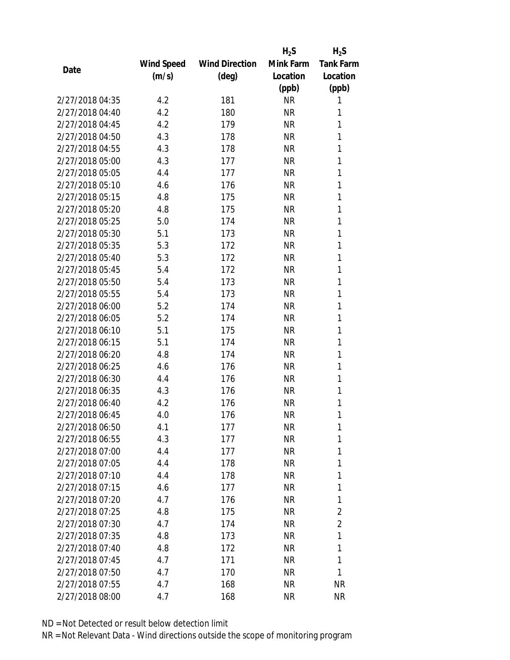|                 |            |                       | $H_2S$    | $H_2S$           |
|-----------------|------------|-----------------------|-----------|------------------|
|                 | Wind Speed | <b>Wind Direction</b> | Mink Farm | <b>Tank Farm</b> |
| Date            | (m/s)      | (deg)                 | Location  | Location         |
|                 |            |                       | (ppb)     | (ppb)            |
| 2/27/2018 04:35 | 4.2        | 181                   | <b>NR</b> | 1                |
| 2/27/2018 04:40 | 4.2        | 180                   | <b>NR</b> | 1                |
| 2/27/2018 04:45 | 4.2        | 179                   | <b>NR</b> | 1                |
| 2/27/2018 04:50 | 4.3        | 178                   | <b>NR</b> | 1                |
| 2/27/2018 04:55 | 4.3        | 178                   | <b>NR</b> | 1                |
| 2/27/2018 05:00 | 4.3        | 177                   | <b>NR</b> | 1                |
| 2/27/2018 05:05 | 4.4        | 177                   | <b>NR</b> | 1                |
| 2/27/2018 05:10 | 4.6        | 176                   | <b>NR</b> | 1                |
| 2/27/2018 05:15 | 4.8        | 175                   | <b>NR</b> | 1                |
| 2/27/2018 05:20 | 4.8        | 175                   | <b>NR</b> | 1                |
| 2/27/2018 05:25 | 5.0        | 174                   | <b>NR</b> | 1                |
| 2/27/2018 05:30 | 5.1        | 173                   | <b>NR</b> | 1                |
| 2/27/2018 05:35 | 5.3        | 172                   | <b>NR</b> | 1                |
| 2/27/2018 05:40 | 5.3        | 172                   | <b>NR</b> | 1                |
| 2/27/2018 05:45 | 5.4        | 172                   | <b>NR</b> | 1                |
| 2/27/2018 05:50 | 5.4        | 173                   | <b>NR</b> | 1                |
| 2/27/2018 05:55 | 5.4        | 173                   | <b>NR</b> | 1                |
| 2/27/2018 06:00 | 5.2        | 174                   | <b>NR</b> | 1                |
| 2/27/2018 06:05 | 5.2        | 174                   | <b>NR</b> | 1                |
| 2/27/2018 06:10 | 5.1        | 175                   | <b>NR</b> | 1                |
| 2/27/2018 06:15 | 5.1        | 174                   | <b>NR</b> | 1                |
| 2/27/2018 06:20 | 4.8        | 174                   | <b>NR</b> | 1                |
| 2/27/2018 06:25 | 4.6        | 176                   | <b>NR</b> | 1                |
| 2/27/2018 06:30 | 4.4        | 176                   | <b>NR</b> | 1                |
| 2/27/2018 06:35 | 4.3        | 176                   | <b>NR</b> | 1                |
| 2/27/2018 06:40 | 4.2        | 176                   | <b>NR</b> | 1                |
| 2/27/2018 06:45 | 4.0        | 176                   | <b>NR</b> | 1                |
| 2/27/2018 06:50 | 4.1        | 177                   | ΝR        | 1                |
| 2/27/2018 06:55 | 4.3        | 177                   | <b>NR</b> | 1                |
| 2/27/2018 07:00 | 4.4        | 177                   | NR        | 1                |
| 2/27/2018 07:05 | 4.4        | 178                   | <b>NR</b> | 1                |
| 2/27/2018 07:10 | 4.4        | 178                   | ΝR        | 1                |
| 2/27/2018 07:15 | 4.6        | 177                   | ΝR        | 1                |
| 2/27/2018 07:20 | 4.7        | 176                   | <b>NR</b> | 1                |
| 2/27/2018 07:25 | 4.8        | 175                   | NR        | $\overline{c}$   |
| 2/27/2018 07:30 | 4.7        | 174                   | <b>NR</b> | $\overline{2}$   |
| 2/27/2018 07:35 | 4.8        | 173                   | ΝR        | 1                |
| 2/27/2018 07:40 | 4.8        | 172                   | ΝR        | 1                |
| 2/27/2018 07:45 | 4.7        | 171                   | ΝR        | 1                |
| 2/27/2018 07:50 | 4.7        | 170                   | ΝR        | 1                |
| 2/27/2018 07:55 | 4.7        | 168                   | <b>NR</b> | <b>NR</b>        |
| 2/27/2018 08:00 | 4.7        | 168                   | <b>NR</b> | <b>NR</b>        |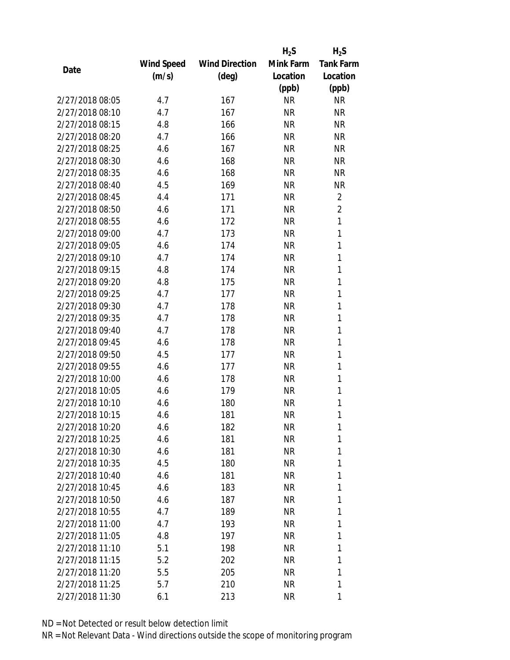|                 |            |                       | $H_2S$    | $H_2S$           |
|-----------------|------------|-----------------------|-----------|------------------|
|                 | Wind Speed | <b>Wind Direction</b> | Mink Farm | <b>Tank Farm</b> |
| Date            | (m/s)      | (deg)                 | Location  | Location         |
|                 |            |                       | (ppb)     | (ppb)            |
| 2/27/2018 08:05 | 4.7        | 167                   | <b>NR</b> | <b>NR</b>        |
| 2/27/2018 08:10 | 4.7        | 167                   | <b>NR</b> | <b>NR</b>        |
| 2/27/2018 08:15 | 4.8        | 166                   | <b>NR</b> | <b>NR</b>        |
| 2/27/2018 08:20 | 4.7        | 166                   | <b>NR</b> | <b>NR</b>        |
| 2/27/2018 08:25 | 4.6        | 167                   | <b>NR</b> | <b>NR</b>        |
| 2/27/2018 08:30 | 4.6        | 168                   | <b>NR</b> | <b>NR</b>        |
| 2/27/2018 08:35 | 4.6        | 168                   | <b>NR</b> | <b>NR</b>        |
| 2/27/2018 08:40 | 4.5        | 169                   | <b>NR</b> | <b>NR</b>        |
| 2/27/2018 08:45 | 4.4        | 171                   | <b>NR</b> | $\overline{2}$   |
| 2/27/2018 08:50 | 4.6        | 171                   | <b>NR</b> | $\overline{2}$   |
| 2/27/2018 08:55 | 4.6        | 172                   | <b>NR</b> | 1                |
| 2/27/2018 09:00 | 4.7        | 173                   | <b>NR</b> | 1                |
| 2/27/2018 09:05 | 4.6        | 174                   | <b>NR</b> | 1                |
| 2/27/2018 09:10 | 4.7        | 174                   | <b>NR</b> | 1                |
| 2/27/2018 09:15 | 4.8        | 174                   | <b>NR</b> | 1                |
| 2/27/2018 09:20 | 4.8        | 175                   | <b>NR</b> | 1                |
| 2/27/2018 09:25 | 4.7        | 177                   | <b>NR</b> | 1                |
| 2/27/2018 09:30 | 4.7        | 178                   | <b>NR</b> | 1                |
| 2/27/2018 09:35 | 4.7        | 178                   | <b>NR</b> | 1                |
| 2/27/2018 09:40 | 4.7        | 178                   | <b>NR</b> | 1                |
| 2/27/2018 09:45 | 4.6        | 178                   | <b>NR</b> | 1                |
| 2/27/2018 09:50 | 4.5        | 177                   | <b>NR</b> | 1                |
| 2/27/2018 09:55 | 4.6        | 177                   | <b>NR</b> | 1                |
| 2/27/2018 10:00 | 4.6        | 178                   | <b>NR</b> | 1                |
| 2/27/2018 10:05 | 4.6        | 179                   | <b>NR</b> | 1                |
| 2/27/2018 10:10 | 4.6        | 180                   | <b>NR</b> | 1                |
| 2/27/2018 10:15 | 4.6        | 181                   | <b>NR</b> | 1                |
| 2/27/2018 10:20 | 4.6        | 182                   | ΝR        | 1                |
| 2/27/2018 10:25 | 4.6        | 181                   | <b>NR</b> | 1                |
| 2/27/2018 10:30 | 4.6        | 181                   | NR        | 1                |
| 2/27/2018 10:35 | 4.5        | 180                   | <b>NR</b> | 1                |
| 2/27/2018 10:40 | 4.6        | 181                   | NR        | 1                |
| 2/27/2018 10:45 | 4.6        | 183                   | NR        | 1                |
| 2/27/2018 10:50 | 4.6        | 187                   | <b>NR</b> | 1                |
| 2/27/2018 10:55 | 4.7        | 189                   | NR        | 1                |
| 2/27/2018 11:00 | 4.7        | 193                   | <b>NR</b> | 1                |
| 2/27/2018 11:05 | 4.8        | 197                   | NR        | 1                |
| 2/27/2018 11:10 | 5.1        | 198                   | NR        | 1                |
| 2/27/2018 11:15 | 5.2        | 202                   | NR        | 1                |
| 2/27/2018 11:20 | 5.5        | 205                   | ΝR        | 1                |
| 2/27/2018 11:25 | 5.7        | 210                   | <b>NR</b> | 1                |
| 2/27/2018 11:30 | 6.1        | 213                   | <b>NR</b> | 1                |
|                 |            |                       |           |                  |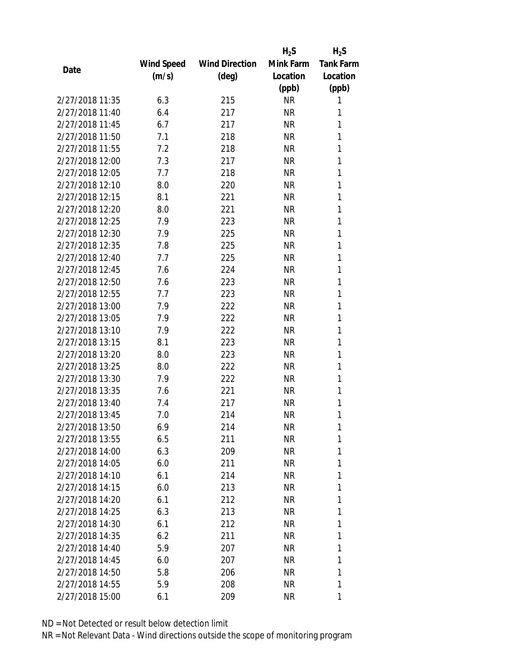|      |                 |            |                       | $H_2S$    | $H_2S$           |
|------|-----------------|------------|-----------------------|-----------|------------------|
|      |                 | Wind Speed | <b>Wind Direction</b> | Mink Farm | <b>Tank Farm</b> |
| Date |                 | (m/s)      | $(\text{deg})$        | Location  | Location         |
|      |                 |            |                       | (ppb)     | (ppb)            |
|      | 2/27/2018 11:35 | 6.3        | 215                   | <b>NR</b> | 1                |
|      | 2/27/2018 11:40 | 6.4        | 217                   | <b>NR</b> | 1                |
|      | 2/27/2018 11:45 | 6.7        | 217                   | <b>NR</b> | 1                |
|      | 2/27/2018 11:50 | 7.1        | 218                   | <b>NR</b> | 1                |
|      | 2/27/2018 11:55 | 7.2        | 218                   | <b>NR</b> | 1                |
|      | 2/27/2018 12:00 | 7.3        | 217                   | <b>NR</b> | 1                |
|      | 2/27/2018 12:05 | 7.7        | 218                   | <b>NR</b> | 1                |
|      | 2/27/2018 12:10 | 8.0        | 220                   | <b>NR</b> | 1                |
|      | 2/27/2018 12:15 | 8.1        | 221                   | <b>NR</b> | 1                |
|      | 2/27/2018 12:20 | 8.0        | 221                   | <b>NR</b> | 1                |
|      | 2/27/2018 12:25 | 7.9        | 223                   | NR        | 1                |
|      | 2/27/2018 12:30 | 7.9        | 225                   | <b>NR</b> | 1                |
|      | 2/27/2018 12:35 | 7.8        | 225                   | <b>NR</b> | 1                |
|      | 2/27/2018 12:40 | 7.7        | 225                   | <b>NR</b> | 1                |
|      | 2/27/2018 12:45 | 7.6        | 224                   | <b>NR</b> | 1                |
|      | 2/27/2018 12:50 | 7.6        | 223                   | <b>NR</b> | 1                |
|      | 2/27/2018 12:55 | 7.7        | 223                   | <b>NR</b> | 1                |
|      | 2/27/2018 13:00 | 7.9        | 222                   | <b>NR</b> | 1                |
|      | 2/27/2018 13:05 | 7.9        | 222                   | <b>NR</b> | 1                |
|      | 2/27/2018 13:10 | 7.9        | 222                   | <b>NR</b> | 1                |
|      | 2/27/2018 13:15 | 8.1        | 223                   | <b>NR</b> | 1                |
|      | 2/27/2018 13:20 | 8.0        | 223                   | <b>NR</b> | 1                |
|      | 2/27/2018 13:25 | 8.0        | 222                   | <b>NR</b> | 1                |
|      | 2/27/2018 13:30 | 7.9        | 222                   | <b>NR</b> | 1                |
|      | 2/27/2018 13:35 | 7.6        | 221                   | <b>NR</b> | 1                |
|      | 2/27/2018 13:40 | 7.4        | 217                   | <b>NR</b> | 1                |
|      | 2/27/2018 13:45 | 7.0        | 214                   | <b>NR</b> | 1                |
|      | 2/27/2018 13:50 | 6.9        | 214                   | NR        | 1                |
|      | 2/27/2018 13:55 | 6.5        | 211                   | <b>NR</b> | 1                |
|      | 2/27/2018 14:00 | 6.3        | 209                   | NR        | 1                |
|      | 2/27/2018 14:05 | 6.0        | 211                   | NR        | 1                |
|      | 2/27/2018 14:10 | 6.1        | 214                   | <b>NR</b> | 1                |
|      | 2/27/2018 14:15 | 6.0        | 213                   | NR        | 1                |
|      | 2/27/2018 14:20 | 6.1        | 212                   | <b>NR</b> | 1                |
|      | 2/27/2018 14:25 | 6.3        | 213                   | NR        | 1                |
|      | 2/27/2018 14:30 | 6.1        | 212                   | NR        | 1                |
|      | 2/27/2018 14:35 | 6.2        | 211                   | NR        | 1                |
|      | 2/27/2018 14:40 | 5.9        | 207                   | NR        | 1                |
|      | 2/27/2018 14:45 | 6.0        | 207                   | <b>NR</b> | 1                |
|      | 2/27/2018 14:50 | 5.8        | 206                   | NR        | 1                |
|      | 2/27/2018 14:55 | 5.9        | 208                   | <b>NR</b> | 1                |
|      | 2/27/2018 15:00 | 6.1        | 209                   | <b>NR</b> | 1                |
|      |                 |            |                       |           |                  |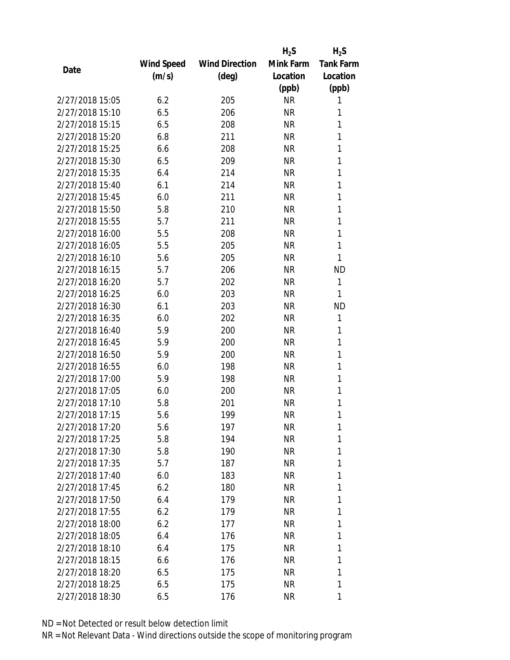|                 |            |                       | $H_2S$          | $H_2S$           |
|-----------------|------------|-----------------------|-----------------|------------------|
|                 | Wind Speed | <b>Wind Direction</b> | Mink Farm       | <b>Tank Farm</b> |
| Date            | (m/s)      | $(\text{deg})$        | Location        | Location         |
|                 |            |                       | (ppb)           | (ppb)            |
| 2/27/2018 15:05 | 6.2        | 205                   | <b>NR</b>       | 1                |
| 2/27/2018 15:10 | 6.5        | 206                   | <b>NR</b>       | 1                |
| 2/27/2018 15:15 | 6.5        | 208                   | <b>NR</b>       | 1                |
| 2/27/2018 15:20 | 6.8        | 211                   | <b>NR</b>       | 1                |
| 2/27/2018 15:25 | 6.6        | 208                   | <b>NR</b>       | 1                |
| 2/27/2018 15:30 | 6.5        | 209                   | <b>NR</b>       | 1                |
| 2/27/2018 15:35 | 6.4        | 214                   | <b>NR</b>       | 1                |
| 2/27/2018 15:40 | 6.1        | 214                   | <b>NR</b>       | 1                |
| 2/27/2018 15:45 | 6.0        | 211                   | <b>NR</b>       | 1                |
| 2/27/2018 15:50 | 5.8        | 210                   | <b>NR</b>       | 1                |
| 2/27/2018 15:55 | 5.7        | 211                   | <b>NR</b>       | 1                |
| 2/27/2018 16:00 | 5.5        | 208                   | <b>NR</b>       | 1                |
| 2/27/2018 16:05 | 5.5        | 205                   | <b>NR</b>       | 1                |
| 2/27/2018 16:10 | 5.6        | 205                   | <b>NR</b>       | 1                |
| 2/27/2018 16:15 | 5.7        | 206                   | <b>NR</b>       | <b>ND</b>        |
| 2/27/2018 16:20 | 5.7        | 202                   | <b>NR</b>       | 1                |
| 2/27/2018 16:25 | 6.0        | 203                   | <b>NR</b>       | 1                |
| 2/27/2018 16:30 | 6.1        | 203                   | <b>NR</b>       | <b>ND</b>        |
| 2/27/2018 16:35 | 6.0        | 202                   | <b>NR</b>       | 1                |
| 2/27/2018 16:40 | 5.9        | 200                   | <b>NR</b>       | 1                |
| 2/27/2018 16:45 | 5.9        | 200                   | <b>NR</b>       | 1                |
| 2/27/2018 16:50 | 5.9        | 200                   | <b>NR</b>       | 1                |
| 2/27/2018 16:55 | 6.0        | 198                   | <b>NR</b>       | 1                |
| 2/27/2018 17:00 | 5.9        | 198                   | <b>NR</b>       | 1                |
| 2/27/2018 17:05 | 6.0        | 200                   | <b>NR</b>       | 1                |
| 2/27/2018 17:10 | 5.8        | 201                   | <b>NR</b>       | 1                |
| 2/27/2018 17:15 | 5.6        | 199                   | <b>NR</b>       | 1                |
| 2/27/2018 17:20 | 5.6        | 197                   | ΝR              | 1                |
| 2/27/2018 17:25 | 5.8        | 194                   | <b>NR</b>       | 1                |
| 2/27/2018 17:30 | 5.8        | 190                   | NR              | 1                |
| 2/27/2018 17:35 | 5.7        | 187                   | NR              | 1                |
| 2/27/2018 17:40 | 6.0        | 183                   | <b>NR</b>       | 1                |
| 2/27/2018 17:45 | 6.2        | 180                   | NR              | 1                |
| 2/27/2018 17:50 | 6.4        | 179                   | <b>NR</b>       | 1                |
| 2/27/2018 17:55 | 6.2        | 179                   | NR              | 1                |
| 2/27/2018 18:00 | 6.2        | 177                   | <b>NR</b>       | 1                |
| 2/27/2018 18:05 | 6.4        | 176                   | NR              | 1                |
| 2/27/2018 18:10 |            |                       |                 | 1                |
| 2/27/2018 18:15 | 6.4        | 175<br>176            | NR<br><b>NR</b> | 1                |
| 2/27/2018 18:20 | 6.6<br>6.5 |                       | NR              | 1                |
|                 |            | 175                   |                 |                  |
| 2/27/2018 18:25 | 6.5        | 175                   | <b>NR</b>       | 1                |
| 2/27/2018 18:30 | 6.5        | 176                   | <b>NR</b>       | 1                |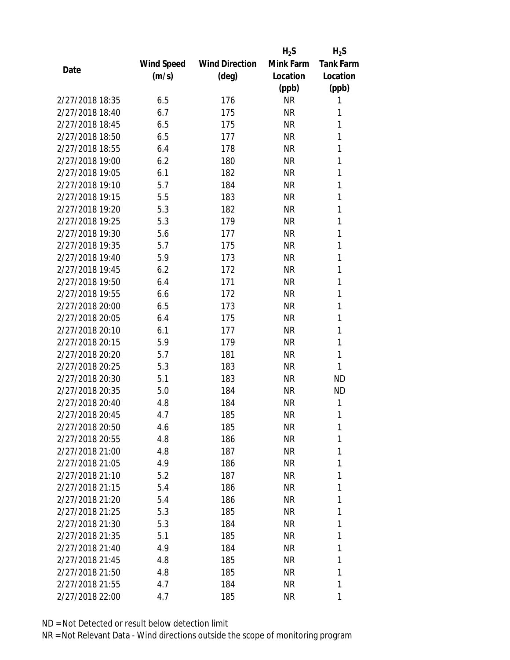|                 |            |                       | $H_2S$    | $H_2S$           |
|-----------------|------------|-----------------------|-----------|------------------|
|                 | Wind Speed | <b>Wind Direction</b> | Mink Farm | <b>Tank Farm</b> |
| Date            | (m/s)      | (deg)                 | Location  | Location         |
|                 |            |                       | (ppb)     | (ppb)            |
| 2/27/2018 18:35 | 6.5        | 176                   | <b>NR</b> | 1                |
| 2/27/2018 18:40 | 6.7        | 175                   | <b>NR</b> | 1                |
| 2/27/2018 18:45 | 6.5        | 175                   | <b>NR</b> | 1                |
| 2/27/2018 18:50 | 6.5        | 177                   | <b>NR</b> | 1                |
| 2/27/2018 18:55 | 6.4        | 178                   | <b>NR</b> | 1                |
| 2/27/2018 19:00 | 6.2        | 180                   | <b>NR</b> | 1                |
| 2/27/2018 19:05 | 6.1        | 182                   | <b>NR</b> | 1                |
| 2/27/2018 19:10 | 5.7        | 184                   | <b>NR</b> | 1                |
| 2/27/2018 19:15 | 5.5        | 183                   | <b>NR</b> | 1                |
| 2/27/2018 19:20 | 5.3        | 182                   | <b>NR</b> | 1                |
| 2/27/2018 19:25 | 5.3        | 179                   | <b>NR</b> | 1                |
| 2/27/2018 19:30 | 5.6        | 177                   | <b>NR</b> | 1                |
| 2/27/2018 19:35 | 5.7        | 175                   | <b>NR</b> | 1                |
| 2/27/2018 19:40 | 5.9        | 173                   | <b>NR</b> | 1                |
| 2/27/2018 19:45 | 6.2        | 172                   | <b>NR</b> | 1                |
| 2/27/2018 19:50 | 6.4        | 171                   | <b>NR</b> | 1                |
| 2/27/2018 19:55 | 6.6        | 172                   | <b>NR</b> | 1                |
| 2/27/2018 20:00 | 6.5        | 173                   | <b>NR</b> | 1                |
| 2/27/2018 20:05 | 6.4        | 175                   | <b>NR</b> | 1                |
| 2/27/2018 20:10 | 6.1        | 177                   | <b>NR</b> | 1                |
| 2/27/2018 20:15 | 5.9        | 179                   | <b>NR</b> | 1                |
| 2/27/2018 20:20 | 5.7        | 181                   | <b>NR</b> | 1                |
| 2/27/2018 20:25 | 5.3        | 183                   | <b>NR</b> | 1                |
| 2/27/2018 20:30 | 5.1        | 183                   | <b>NR</b> | <b>ND</b>        |
| 2/27/2018 20:35 | 5.0        | 184                   | <b>NR</b> | <b>ND</b>        |
| 2/27/2018 20:40 | 4.8        | 184                   | <b>NR</b> | 1                |
| 2/27/2018 20:45 | 4.7        | 185                   | <b>NR</b> | 1                |
| 2/27/2018 20:50 | 4.6        | 185                   | ΝR        | 1                |
| 2/27/2018 20:55 | 4.8        | 186                   | <b>NR</b> | 1                |
| 2/27/2018 21:00 | 4.8        | 187                   | NR        | 1                |
| 2/27/2018 21:05 | 4.9        | 186                   | NR        | 1                |
| 2/27/2018 21:10 | 5.2        | 187                   | <b>NR</b> | 1                |
| 2/27/2018 21:15 | 5.4        | 186                   | NR        | 1                |
| 2/27/2018 21:20 | 5.4        | 186                   | <b>NR</b> | 1                |
| 2/27/2018 21:25 | 5.3        | 185                   | NR        | 1                |
| 2/27/2018 21:30 | 5.3        | 184                   | <b>NR</b> | 1                |
| 2/27/2018 21:35 | 5.1        | 185                   | NR        | 1                |
| 2/27/2018 21:40 | 4.9        | 184                   | NR        | 1                |
| 2/27/2018 21:45 | 4.8        | 185                   | <b>NR</b> | 1                |
| 2/27/2018 21:50 | 4.8        | 185                   | NR        | 1                |
| 2/27/2018 21:55 | 4.7        | 184                   | <b>NR</b> | 1                |
| 2/27/2018 22:00 | 4.7        | 185                   | <b>NR</b> | 1                |
|                 |            |                       |           |                  |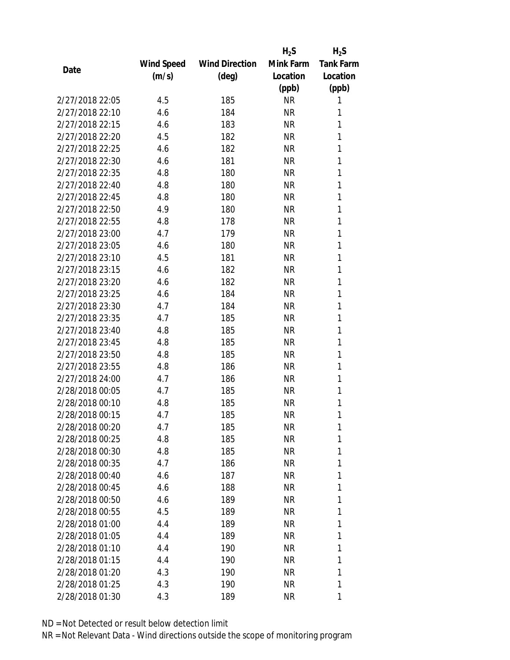|                 |            |                       | $H_2S$    | $H_2S$           |
|-----------------|------------|-----------------------|-----------|------------------|
|                 | Wind Speed | <b>Wind Direction</b> | Mink Farm | <b>Tank Farm</b> |
| Date            | (m/s)      | $(\text{deg})$        | Location  | Location         |
|                 |            |                       | (ppb)     | (ppb)            |
| 2/27/2018 22:05 | 4.5        | 185                   | <b>NR</b> | 1                |
| 2/27/2018 22:10 | 4.6        | 184                   | <b>NR</b> | 1                |
| 2/27/2018 22:15 | 4.6        | 183                   | <b>NR</b> | 1                |
| 2/27/2018 22:20 | 4.5        | 182                   | NR        | 1                |
| 2/27/2018 22:25 | 4.6        | 182                   | <b>NR</b> | 1                |
| 2/27/2018 22:30 | 4.6        | 181                   | <b>NR</b> | 1                |
| 2/27/2018 22:35 | 4.8        | 180                   | NR        | 1                |
| 2/27/2018 22:40 | 4.8        | 180                   | <b>NR</b> | 1                |
| 2/27/2018 22:45 | 4.8        | 180                   | <b>NR</b> | 1                |
| 2/27/2018 22:50 | 4.9        | 180                   | <b>NR</b> | 1                |
| 2/27/2018 22:55 | 4.8        | 178                   | NR        | 1                |
| 2/27/2018 23:00 | 4.7        | 179                   | <b>NR</b> | 1                |
| 2/27/2018 23:05 | 4.6        | 180                   | <b>NR</b> | 1                |
| 2/27/2018 23:10 | 4.5        | 181                   | <b>NR</b> | 1                |
| 2/27/2018 23:15 | 4.6        | 182                   | <b>NR</b> | 1                |
| 2/27/2018 23:20 | 4.6        | 182                   | <b>NR</b> | 1                |
| 2/27/2018 23:25 | 4.6        | 184                   | <b>NR</b> | 1                |
| 2/27/2018 23:30 | 4.7        | 184                   | <b>NR</b> | 1                |
| 2/27/2018 23:35 | 4.7        | 185                   | <b>NR</b> | 1                |
| 2/27/2018 23:40 | 4.8        | 185                   | <b>NR</b> | 1                |
| 2/27/2018 23:45 | 4.8        | 185                   | <b>NR</b> | 1                |
| 2/27/2018 23:50 | 4.8        | 185                   | <b>NR</b> | 1                |
| 2/27/2018 23:55 | 4.8        | 186                   | NR        | 1                |
| 2/27/2018 24:00 | 4.7        | 186                   | <b>NR</b> | 1                |
| 2/28/2018 00:05 | 4.7        | 185                   | NR        | 1                |
| 2/28/2018 00:10 | 4.8        | 185                   | <b>NR</b> | 1                |
| 2/28/2018 00:15 | 4.7        | 185                   | <b>NR</b> | 1                |
| 2/28/2018 00:20 | 4.7        | 185                   | ΝR        | 1                |
| 2/28/2018 00:25 | 4.8        | 185                   | <b>NR</b> | 1                |
| 2/28/2018 00:30 | 4.8        | 185                   | NR        | 1                |
| 2/28/2018 00:35 | 4.7        | 186                   | <b>NR</b> | 1                |
| 2/28/2018 00:40 | 4.6        | 187                   | ΝR        | 1                |
| 2/28/2018 00:45 | 4.6        | 188                   | NR        | 1                |
| 2/28/2018 00:50 | 4.6        | 189                   | <b>NR</b> | 1                |
| 2/28/2018 00:55 | 4.5        | 189                   | NR        | 1                |
| 2/28/2018 01:00 | 4.4        | 189                   | <b>NR</b> | 1                |
| 2/28/2018 01:05 |            |                       |           |                  |
|                 | 4.4        | 189                   | ΝR        | 1                |
| 2/28/2018 01:10 | 4.4        | 190                   | NR        | 1                |
| 2/28/2018 01:15 | 4.4        | 190                   | NR        | 1                |
| 2/28/2018 01:20 | 4.3        | 190                   | ΝR        | 1                |
| 2/28/2018 01:25 | 4.3        | 190                   | <b>NR</b> | 1                |
| 2/28/2018 01:30 | 4.3        | 189                   | <b>NR</b> | 1                |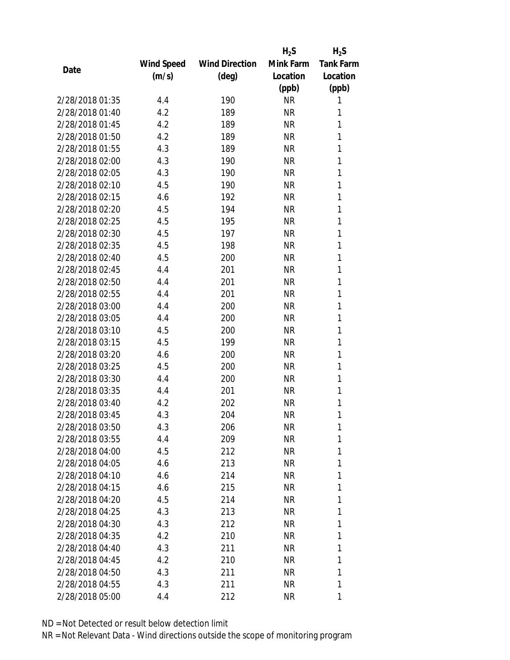|                 |            |                       | $H_2S$    | $H_2S$           |
|-----------------|------------|-----------------------|-----------|------------------|
|                 | Wind Speed | <b>Wind Direction</b> | Mink Farm | <b>Tank Farm</b> |
| Date            | (m/s)      | (deg)                 | Location  | Location         |
|                 |            |                       | (ppb)     | (ppb)            |
| 2/28/2018 01:35 | 4.4        | 190                   | <b>NR</b> | 1                |
| 2/28/2018 01:40 | 4.2        | 189                   | <b>NR</b> | 1                |
| 2/28/2018 01:45 | 4.2        | 189                   | <b>NR</b> | 1                |
| 2/28/2018 01:50 | 4.2        | 189                   | <b>NR</b> | 1                |
| 2/28/2018 01:55 | 4.3        | 189                   | <b>NR</b> | 1                |
| 2/28/2018 02:00 | 4.3        | 190                   | <b>NR</b> | 1                |
| 2/28/2018 02:05 | 4.3        | 190                   | <b>NR</b> | 1                |
| 2/28/2018 02:10 | 4.5        | 190                   | <b>NR</b> | 1                |
| 2/28/2018 02:15 | 4.6        | 192                   | <b>NR</b> | 1                |
| 2/28/2018 02:20 | 4.5        | 194                   | <b>NR</b> | 1                |
| 2/28/2018 02:25 | 4.5        | 195                   | <b>NR</b> | 1                |
| 2/28/2018 02:30 | 4.5        | 197                   | <b>NR</b> | 1                |
| 2/28/2018 02:35 | 4.5        | 198                   | <b>NR</b> | 1                |
| 2/28/2018 02:40 | 4.5        | 200                   | <b>NR</b> | 1                |
| 2/28/2018 02:45 | 4.4        | 201                   | <b>NR</b> | 1                |
| 2/28/2018 02:50 | 4.4        | 201                   | <b>NR</b> | 1                |
| 2/28/2018 02:55 | 4.4        | 201                   | <b>NR</b> | 1                |
| 2/28/2018 03:00 | 4.4        | 200                   | <b>NR</b> | 1                |
| 2/28/2018 03:05 | 4.4        | 200                   | <b>NR</b> | 1                |
| 2/28/2018 03:10 | 4.5        | 200                   | <b>NR</b> | 1                |
| 2/28/2018 03:15 | 4.5        | 199                   | <b>NR</b> | 1                |
| 2/28/2018 03:20 | 4.6        | 200                   | <b>NR</b> | 1                |
| 2/28/2018 03:25 | 4.5        | 200                   | <b>NR</b> | 1                |
| 2/28/2018 03:30 | 4.4        | 200                   | <b>NR</b> | 1                |
| 2/28/2018 03:35 | 4.4        | 201                   | <b>NR</b> | 1                |
| 2/28/2018 03:40 | 4.2        | 202                   | <b>NR</b> | 1                |
| 2/28/2018 03:45 | 4.3        | 204                   | <b>NR</b> | 1                |
| 2/28/2018 03:50 | 4.3        | 206                   | ΝR        | 1                |
| 2/28/2018 03:55 | 4.4        | 209                   | <b>NR</b> | 1                |
| 2/28/2018 04:00 | 4.5        | 212                   | NR        | 1                |
| 2/28/2018 04:05 | 4.6        | 213                   | NR        | 1                |
| 2/28/2018 04:10 | 4.6        | 214                   | <b>NR</b> | 1                |
| 2/28/2018 04:15 | 4.6        | 215                   | NR        | 1                |
| 2/28/2018 04:20 | 4.5        | 214                   | <b>NR</b> | 1                |
| 2/28/2018 04:25 | 4.3        | 213                   | NR        | 1                |
| 2/28/2018 04:30 | 4.3        | 212                   | <b>NR</b> | 1                |
| 2/28/2018 04:35 | 4.2        | 210                   | NR        | 1                |
| 2/28/2018 04:40 | 4.3        | 211                   | NR        | 1                |
| 2/28/2018 04:45 | 4.2        | 210                   | <b>NR</b> | 1                |
| 2/28/2018 04:50 | 4.3        | 211                   | NR        | 1                |
| 2/28/2018 04:55 | 4.3        | 211                   | <b>NR</b> | 1                |
| 2/28/2018 05:00 | 4.4        | 212                   | <b>NR</b> | 1                |
|                 |            |                       |           |                  |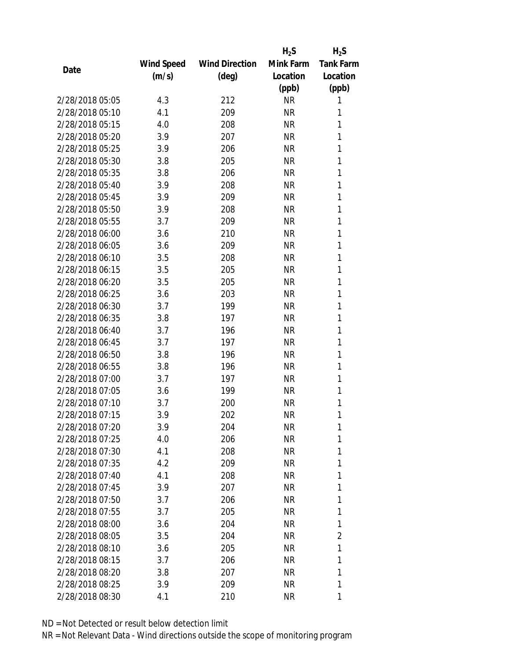|                 |            |                       | $H_2S$    | $H_2S$           |
|-----------------|------------|-----------------------|-----------|------------------|
|                 | Wind Speed | <b>Wind Direction</b> | Mink Farm | <b>Tank Farm</b> |
| Date            | (m/s)      | $(\text{deg})$        | Location  | Location         |
|                 |            |                       | (ppb)     | (ppb)            |
| 2/28/2018 05:05 | 4.3        | 212                   | <b>NR</b> | 1                |
| 2/28/2018 05:10 | 4.1        | 209                   | <b>NR</b> | 1                |
| 2/28/2018 05:15 | 4.0        | 208                   | <b>NR</b> | 1                |
| 2/28/2018 05:20 | 3.9        | 207                   | <b>NR</b> | 1                |
| 2/28/2018 05:25 | 3.9        | 206                   | <b>NR</b> | 1                |
| 2/28/2018 05:30 | 3.8        | 205                   | <b>NR</b> | 1                |
| 2/28/2018 05:35 | 3.8        | 206                   | <b>NR</b> | 1                |
| 2/28/2018 05:40 | 3.9        | 208                   | <b>NR</b> | 1                |
| 2/28/2018 05:45 | 3.9        | 209                   | <b>NR</b> | 1                |
| 2/28/2018 05:50 | 3.9        | 208                   | <b>NR</b> | 1                |
| 2/28/2018 05:55 | 3.7        | 209                   | <b>NR</b> | 1                |
| 2/28/2018 06:00 | 3.6        | 210                   | <b>NR</b> | 1                |
| 2/28/2018 06:05 | 3.6        | 209                   | <b>NR</b> | 1                |
| 2/28/2018 06:10 | 3.5        | 208                   | <b>NR</b> | 1                |
| 2/28/2018 06:15 | 3.5        | 205                   | <b>NR</b> | 1                |
| 2/28/2018 06:20 | 3.5        | 205                   | <b>NR</b> | 1                |
| 2/28/2018 06:25 | 3.6        | 203                   | <b>NR</b> | 1                |
| 2/28/2018 06:30 | 3.7        | 199                   | <b>NR</b> | 1                |
| 2/28/2018 06:35 | 3.8        | 197                   | <b>NR</b> | 1                |
| 2/28/2018 06:40 | 3.7        | 196                   | <b>NR</b> | 1                |
| 2/28/2018 06:45 | 3.7        | 197                   | <b>NR</b> | 1                |
| 2/28/2018 06:50 | 3.8        | 196                   | <b>NR</b> | 1                |
| 2/28/2018 06:55 | 3.8        | 196                   | <b>NR</b> | 1                |
| 2/28/2018 07:00 | 3.7        | 197                   | <b>NR</b> | 1                |
| 2/28/2018 07:05 | 3.6        | 199                   | <b>NR</b> | 1                |
| 2/28/2018 07:10 | 3.7        | 200                   | ΝR        | 1                |
| 2/28/2018 07:15 | 3.9        | 202                   | <b>NR</b> | 1                |
| 2/28/2018 07:20 | 3.9        | 204                   | ΝR        | 1                |
| 2/28/2018 07:25 | 4.0        | 206                   | <b>NR</b> | 1                |
| 2/28/2018 07:30 | 4.1        | 208                   | NR        | 1                |
| 2/28/2018 07:35 | 4.2        | 209                   | ΝR        | 1                |
| 2/28/2018 07:40 | 4.1        | 208                   | NR        | 1                |
| 2/28/2018 07:45 | 3.9        | 207                   | NR        | 1                |
| 2/28/2018 07:50 | 3.7        | 206                   | <b>NR</b> | 1                |
| 2/28/2018 07:55 | 3.7        | 205                   | NR        | 1                |
| 2/28/2018 08:00 | 3.6        | 204                   | NR        | 1                |
| 2/28/2018 08:05 | 3.5        | 204                   | NR        | 2                |
| 2/28/2018 08:10 | 3.6        | 205                   | NR        | 1                |
| 2/28/2018 08:15 | 3.7        | 206                   | NR        | 1                |
| 2/28/2018 08:20 | 3.8        | 207                   | NR        | 1                |
| 2/28/2018 08:25 | 3.9        | 209                   | NR        | 1                |
| 2/28/2018 08:30 | 4.1        | 210                   | <b>NR</b> | 1                |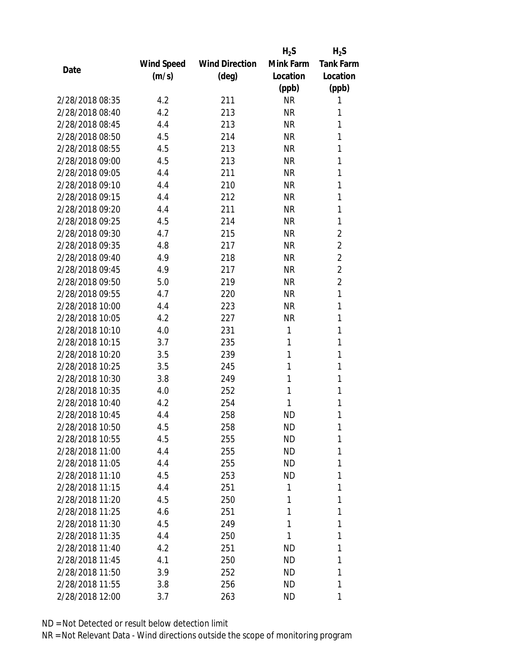|                 |            |                       | $H_2S$    | $H_2S$           |
|-----------------|------------|-----------------------|-----------|------------------|
|                 | Wind Speed | <b>Wind Direction</b> | Mink Farm | <b>Tank Farm</b> |
| Date            | (m/s)      | (deg)                 | Location  | Location         |
|                 |            |                       | (ppb)     | (ppb)            |
| 2/28/2018 08:35 | 4.2        | 211                   | <b>NR</b> | 1                |
| 2/28/2018 08:40 | 4.2        | 213                   | <b>NR</b> | 1                |
| 2/28/2018 08:45 | 4.4        | 213                   | <b>NR</b> | 1                |
| 2/28/2018 08:50 | 4.5        | 214                   | <b>NR</b> | 1                |
| 2/28/2018 08:55 | 4.5        | 213                   | <b>NR</b> | 1                |
| 2/28/2018 09:00 | 4.5        | 213                   | <b>NR</b> | 1                |
| 2/28/2018 09:05 | 4.4        | 211                   | <b>NR</b> | 1                |
| 2/28/2018 09:10 | 4.4        | 210                   | <b>NR</b> | 1                |
| 2/28/2018 09:15 | 4.4        | 212                   | <b>NR</b> | 1                |
| 2/28/2018 09:20 | 4.4        | 211                   | <b>NR</b> | 1                |
| 2/28/2018 09:25 | 4.5        | 214                   | <b>NR</b> | 1                |
| 2/28/2018 09:30 | 4.7        | 215                   | <b>NR</b> | $\overline{2}$   |
| 2/28/2018 09:35 | 4.8        | 217                   | <b>NR</b> | $\overline{2}$   |
| 2/28/2018 09:40 | 4.9        | 218                   | <b>NR</b> | $\overline{2}$   |
| 2/28/2018 09:45 | 4.9        | 217                   | <b>NR</b> | $\overline{2}$   |
| 2/28/2018 09:50 | 5.0        | 219                   | <b>NR</b> | $\overline{2}$   |
| 2/28/2018 09:55 | 4.7        | 220                   | <b>NR</b> | 1                |
| 2/28/2018 10:00 | 4.4        | 223                   | <b>NR</b> | 1                |
| 2/28/2018 10:05 | 4.2        | 227                   | <b>NR</b> | 1                |
| 2/28/2018 10:10 | 4.0        | 231                   | 1         | 1                |
| 2/28/2018 10:15 | 3.7        | 235                   | 1         | 1                |
| 2/28/2018 10:20 | 3.5        | 239                   | 1         | 1                |
| 2/28/2018 10:25 | 3.5        | 245                   | 1         | 1                |
| 2/28/2018 10:30 | 3.8        | 249                   | 1         | 1                |
| 2/28/2018 10:35 | 4.0        | 252                   | 1         | 1                |
| 2/28/2018 10:40 | 4.2        | 254                   | 1         | 1                |
| 2/28/2018 10:45 | 4.4        | 258                   | <b>ND</b> | 1                |
| 2/28/2018 10:50 | 4.5        | 258                   | ND        | 1                |
| 2/28/2018 10:55 | 4.5        | 255                   | <b>ND</b> | 1                |
| 2/28/2018 11:00 | 4.4        | 255                   | ND        | 1                |
| 2/28/2018 11:05 | 4.4        | 255                   | ND        | 1                |
| 2/28/2018 11:10 | 4.5        | 253                   | ND        | 1                |
| 2/28/2018 11:15 | 4.4        | 251                   | 1         | 1                |
| 2/28/2018 11:20 | 4.5        | 250                   | 1         | 1                |
| 2/28/2018 11:25 | 4.6        | 251                   | 1         | 1                |
| 2/28/2018 11:30 | 4.5        | 249                   | 1         | 1                |
| 2/28/2018 11:35 | 4.4        | 250                   | 1         | 1                |
| 2/28/2018 11:40 | 4.2        | 251                   | ND        | 1                |
| 2/28/2018 11:45 | 4.1        | 250                   | <b>ND</b> | 1                |
| 2/28/2018 11:50 | 3.9        | 252                   | ND        | 1                |
| 2/28/2018 11:55 | 3.8        | 256                   | ND        | 1                |
| 2/28/2018 12:00 | 3.7        | 263                   | ND        | 1                |
|                 |            |                       |           |                  |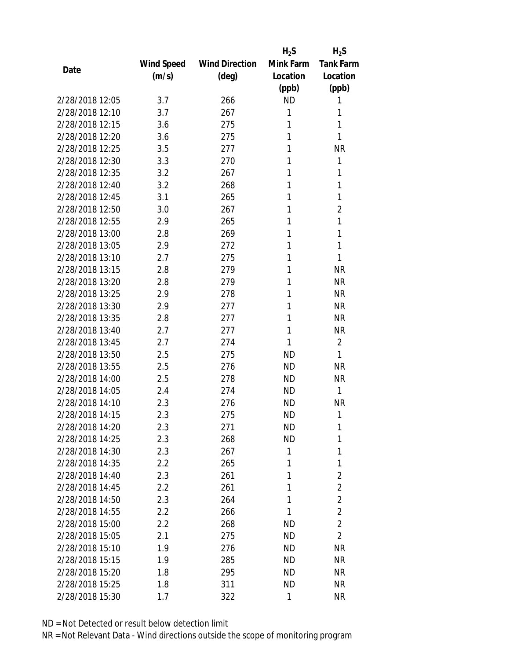|                 |            |                       | $H_2S$    | $H_2S$           |
|-----------------|------------|-----------------------|-----------|------------------|
|                 | Wind Speed | <b>Wind Direction</b> | Mink Farm | <b>Tank Farm</b> |
| Date            | (m/s)      | (deg)                 | Location  | Location         |
|                 |            |                       | (ppb)     | (ppb)            |
| 2/28/2018 12:05 | 3.7        | 266                   | <b>ND</b> | 1                |
| 2/28/2018 12:10 | 3.7        | 267                   | 1         | 1                |
| 2/28/2018 12:15 | 3.6        | 275                   | 1         | 1                |
| 2/28/2018 12:20 | 3.6        | 275                   | 1         | 1                |
| 2/28/2018 12:25 | 3.5        | 277                   | 1         | <b>NR</b>        |
| 2/28/2018 12:30 | 3.3        | 270                   | 1         | 1                |
| 2/28/2018 12:35 | 3.2        | 267                   | 1         | 1                |
| 2/28/2018 12:40 | 3.2        | 268                   | 1         | 1                |
| 2/28/2018 12:45 | 3.1        | 265                   | 1         | 1                |
| 2/28/2018 12:50 | 3.0        | 267                   | 1         | $\overline{2}$   |
| 2/28/2018 12:55 | 2.9        | 265                   | 1         | 1                |
| 2/28/2018 13:00 | 2.8        | 269                   | 1         | 1                |
| 2/28/2018 13:05 | 2.9        | 272                   | 1         | 1                |
| 2/28/2018 13:10 | 2.7        | 275                   | 1         | 1                |
| 2/28/2018 13:15 | 2.8        | 279                   | 1         | <b>NR</b>        |
| 2/28/2018 13:20 | 2.8        | 279                   | 1         | <b>NR</b>        |
| 2/28/2018 13:25 | 2.9        | 278                   | 1         | <b>NR</b>        |
| 2/28/2018 13:30 | 2.9        | 277                   | 1         | <b>NR</b>        |
| 2/28/2018 13:35 | 2.8        | 277                   | 1         | <b>NR</b>        |
| 2/28/2018 13:40 | 2.7        | 277                   | 1         | <b>NR</b>        |
| 2/28/2018 13:45 | 2.7        | 274                   | 1         | $\overline{2}$   |
| 2/28/2018 13:50 | 2.5        | 275                   | <b>ND</b> | 1                |
| 2/28/2018 13:55 | 2.5        | 276                   | <b>ND</b> | <b>NR</b>        |
| 2/28/2018 14:00 | 2.5        | 278                   | <b>ND</b> | <b>NR</b>        |
| 2/28/2018 14:05 | 2.4        | 274                   | <b>ND</b> | $\mathbf{1}$     |
| 2/28/2018 14:10 | 2.3        | 276                   | <b>ND</b> | <b>NR</b>        |
| 2/28/2018 14:15 | 2.3        | 275                   | <b>ND</b> | 1                |
| 2/28/2018 14:20 | 2.3        | 271                   | <b>ND</b> | 1                |
| 2/28/2018 14:25 | 2.3        | 268                   | <b>ND</b> | 1                |
| 2/28/2018 14:30 | 2.3        | 267                   | 1         | 1                |
| 2/28/2018 14:35 | 2.2        | 265                   | 1         | 1                |
| 2/28/2018 14:40 | 2.3        | 261                   | 1         | $\overline{c}$   |
| 2/28/2018 14:45 | 2.2        | 261                   | 1         | $\overline{2}$   |
| 2/28/2018 14:50 | 2.3        | 264                   | 1         | $\overline{2}$   |
| 2/28/2018 14:55 | 2.2        | 266                   | 1         | $\overline{2}$   |
| 2/28/2018 15:00 | 2.2        | 268                   | <b>ND</b> | $\overline{2}$   |
| 2/28/2018 15:05 | 2.1        | 275                   | ND.       | $\overline{2}$   |
| 2/28/2018 15:10 | 1.9        | 276                   | ND.       | <b>NR</b>        |
| 2/28/2018 15:15 | 1.9        | 285                   | <b>ND</b> | <b>NR</b>        |
| 2/28/2018 15:20 | 1.8        | 295                   | ND.       | NR               |
| 2/28/2018 15:25 | 1.8        | 311                   | ND        | <b>NR</b>        |
| 2/28/2018 15:30 | 1.7        | 322                   | 1         | <b>NR</b>        |
|                 |            |                       |           |                  |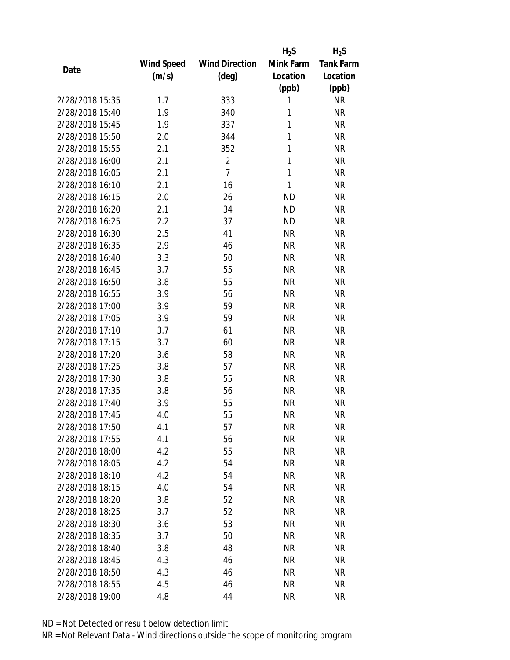|                 |            |                       | $H_2S$    | $H_2S$           |
|-----------------|------------|-----------------------|-----------|------------------|
|                 | Wind Speed | <b>Wind Direction</b> | Mink Farm | <b>Tank Farm</b> |
| Date            | (m/s)      | (deg)                 | Location  | Location         |
|                 |            |                       | (ppb)     | (ppb)            |
| 2/28/2018 15:35 | 1.7        | 333                   | 1         | <b>NR</b>        |
| 2/28/2018 15:40 | 1.9        | 340                   | 1         | <b>NR</b>        |
| 2/28/2018 15:45 | 1.9        | 337                   | 1         | <b>NR</b>        |
| 2/28/2018 15:50 | 2.0        | 344                   | 1         | <b>NR</b>        |
| 2/28/2018 15:55 | 2.1        | 352                   | 1         | <b>NR</b>        |
| 2/28/2018 16:00 | 2.1        | $\overline{2}$        | 1         | <b>NR</b>        |
| 2/28/2018 16:05 | 2.1        | $\overline{7}$        | 1         | <b>NR</b>        |
| 2/28/2018 16:10 | 2.1        | 16                    | 1         | <b>NR</b>        |
| 2/28/2018 16:15 | 2.0        | 26                    | <b>ND</b> | <b>NR</b>        |
| 2/28/2018 16:20 | 2.1        | 34                    | <b>ND</b> | <b>NR</b>        |
| 2/28/2018 16:25 | 2.2        | 37                    | <b>ND</b> | <b>NR</b>        |
| 2/28/2018 16:30 | 2.5        | 41                    | <b>NR</b> | <b>NR</b>        |
| 2/28/2018 16:35 | 2.9        | 46                    | <b>NR</b> | <b>NR</b>        |
| 2/28/2018 16:40 | 3.3        | 50                    | <b>NR</b> | <b>NR</b>        |
| 2/28/2018 16:45 | 3.7        | 55                    | <b>NR</b> | <b>NR</b>        |
| 2/28/2018 16:50 | 3.8        | 55                    | <b>NR</b> | <b>NR</b>        |
| 2/28/2018 16:55 | 3.9        | 56                    | <b>NR</b> | <b>NR</b>        |
| 2/28/2018 17:00 | 3.9        | 59                    | <b>NR</b> | <b>NR</b>        |
| 2/28/2018 17:05 | 3.9        | 59                    | <b>NR</b> | <b>NR</b>        |
| 2/28/2018 17:10 | 3.7        | 61                    | <b>NR</b> | <b>NR</b>        |
| 2/28/2018 17:15 | 3.7        | 60                    | <b>NR</b> | <b>NR</b>        |
| 2/28/2018 17:20 | 3.6        | 58                    | <b>NR</b> | <b>NR</b>        |
| 2/28/2018 17:25 | 3.8        | 57                    | <b>NR</b> | <b>NR</b>        |
| 2/28/2018 17:30 | 3.8        | 55                    | <b>NR</b> | <b>NR</b>        |
| 2/28/2018 17:35 | 3.8        | 56                    | <b>NR</b> | <b>NR</b>        |
| 2/28/2018 17:40 | 3.9        | 55                    | <b>NR</b> | <b>NR</b>        |
| 2/28/2018 17:45 | 4.0        | 55                    | <b>NR</b> | <b>NR</b>        |
| 2/28/2018 17:50 | 4.1        | 57                    | ΝR        | <b>NR</b>        |
| 2/28/2018 17:55 | 4.1        | 56                    | <b>NR</b> | <b>NR</b>        |
| 2/28/2018 18:00 | 4.2        | 55                    | ΝR        | <b>NR</b>        |
| 2/28/2018 18:05 | 4.2        | 54                    | <b>NR</b> | <b>NR</b>        |
| 2/28/2018 18:10 | 4.2        | 54                    | <b>NR</b> | <b>NR</b>        |
| 2/28/2018 18:15 | 4.0        | 54                    | NR        | <b>NR</b>        |
| 2/28/2018 18:20 | 3.8        | 52                    | <b>NR</b> | <b>NR</b>        |
| 2/28/2018 18:25 | 3.7        | 52                    | NR        | <b>NR</b>        |
| 2/28/2018 18:30 | 3.6        | 53                    | <b>NR</b> | <b>NR</b>        |
| 2/28/2018 18:35 | 3.7        | 50                    | ΝR        | <b>NR</b>        |
| 2/28/2018 18:40 |            | 48                    |           | <b>NR</b>        |
|                 | 3.8        |                       | ΝR        |                  |
| 2/28/2018 18:45 | 4.3        | 46                    | <b>NR</b> | <b>NR</b>        |
| 2/28/2018 18:50 | 4.3        | 46                    | ΝR        | <b>NR</b>        |
| 2/28/2018 18:55 | 4.5        | 46                    | <b>NR</b> | <b>NR</b>        |
| 2/28/2018 19:00 | 4.8        | 44                    | <b>NR</b> | <b>NR</b>        |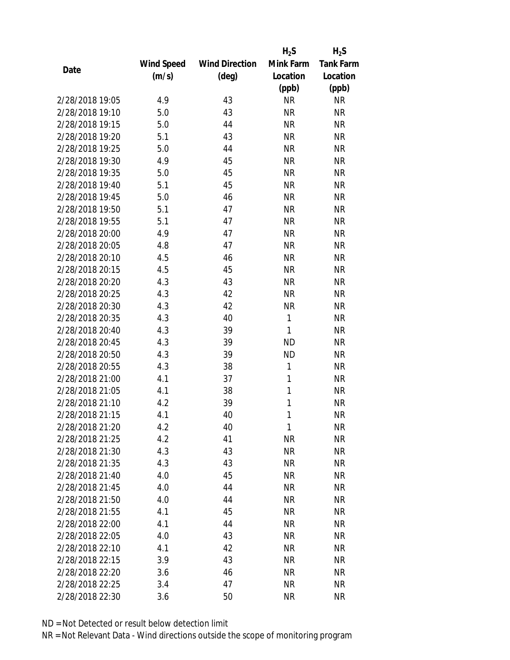|                 |            |                       | $H_2S$    | $H_2S$           |
|-----------------|------------|-----------------------|-----------|------------------|
|                 | Wind Speed | <b>Wind Direction</b> | Mink Farm | <b>Tank Farm</b> |
| Date            | (m/s)      | $(\text{deg})$        | Location  | Location         |
|                 |            |                       | (ppb)     | (ppb)            |
| 2/28/2018 19:05 | 4.9        | 43                    | <b>NR</b> | <b>NR</b>        |
| 2/28/2018 19:10 | 5.0        | 43                    | <b>NR</b> | <b>NR</b>        |
| 2/28/2018 19:15 | 5.0        | 44                    | <b>NR</b> | <b>NR</b>        |
| 2/28/2018 19:20 | 5.1        | 43                    | <b>NR</b> | <b>NR</b>        |
| 2/28/2018 19:25 | 5.0        | 44                    | <b>NR</b> | <b>NR</b>        |
| 2/28/2018 19:30 | 4.9        | 45                    | <b>NR</b> | <b>NR</b>        |
| 2/28/2018 19:35 | 5.0        | 45                    | <b>NR</b> | <b>NR</b>        |
| 2/28/2018 19:40 | 5.1        | 45                    | <b>NR</b> | <b>NR</b>        |
| 2/28/2018 19:45 | 5.0        | 46                    | <b>NR</b> | <b>NR</b>        |
| 2/28/2018 19:50 | 5.1        | 47                    | <b>NR</b> | <b>NR</b>        |
| 2/28/2018 19:55 | 5.1        | 47                    | <b>NR</b> | <b>NR</b>        |
| 2/28/2018 20:00 | 4.9        | 47                    | <b>NR</b> | <b>NR</b>        |
| 2/28/2018 20:05 | 4.8        | 47                    | <b>NR</b> | <b>NR</b>        |
| 2/28/2018 20:10 | 4.5        | 46                    | <b>NR</b> | <b>NR</b>        |
| 2/28/2018 20:15 | 4.5        | 45                    | <b>NR</b> | <b>NR</b>        |
| 2/28/2018 20:20 | 4.3        | 43                    | <b>NR</b> | <b>NR</b>        |
| 2/28/2018 20:25 | 4.3        | 42                    | <b>NR</b> | <b>NR</b>        |
| 2/28/2018 20:30 | 4.3        | 42                    | <b>NR</b> | <b>NR</b>        |
| 2/28/2018 20:35 | 4.3        | 40                    | 1         | <b>NR</b>        |
| 2/28/2018 20:40 | 4.3        | 39                    | 1         | <b>NR</b>        |
| 2/28/2018 20:45 | 4.3        | 39                    | <b>ND</b> | <b>NR</b>        |
| 2/28/2018 20:50 | 4.3        | 39                    | <b>ND</b> | <b>NR</b>        |
| 2/28/2018 20:55 | 4.3        | 38                    | 1         | <b>NR</b>        |
| 2/28/2018 21:00 | 4.1        | 37                    | 1         | <b>NR</b>        |
| 2/28/2018 21:05 | 4.1        | 38                    | 1         | <b>NR</b>        |
| 2/28/2018 21:10 | 4.2        | 39                    | 1         | <b>NR</b>        |
| 2/28/2018 21:15 | 4.1        | 40                    | 1         | <b>NR</b>        |
| 2/28/2018 21:20 | 4.2        | 40                    | 1         | <b>NR</b>        |
| 2/28/2018 21:25 | 4.2        | 41                    | <b>NR</b> | <b>NR</b>        |
| 2/28/2018 21:30 | 4.3        | 43                    | <b>NR</b> | <b>NR</b>        |
| 2/28/2018 21:35 | 4.3        | 43                    | <b>NR</b> | <b>NR</b>        |
| 2/28/2018 21:40 | 4.0        | 45                    | <b>NR</b> | <b>NR</b>        |
| 2/28/2018 21:45 | 4.0        | 44                    | ΝR        | <b>NR</b>        |
| 2/28/2018 21:50 | 4.0        | 44                    | <b>NR</b> | <b>NR</b>        |
| 2/28/2018 21:55 | 4.1        | 45                    | NR        | <b>NR</b>        |
| 2/28/2018 22:00 | 4.1        | 44                    | <b>NR</b> | <b>NR</b>        |
| 2/28/2018 22:05 | 4.0        | 43                    | ΝR        | <b>NR</b>        |
| 2/28/2018 22:10 | 4.1        | 42                    | ΝR        | <b>NR</b>        |
| 2/28/2018 22:15 | 3.9        | 43                    | <b>NR</b> | <b>NR</b>        |
| 2/28/2018 22:20 | 3.6        | 46                    | ΝR        | <b>NR</b>        |
| 2/28/2018 22:25 | 3.4        | 47                    | <b>NR</b> | <b>NR</b>        |
| 2/28/2018 22:30 | 3.6        | 50                    | <b>NR</b> | <b>NR</b>        |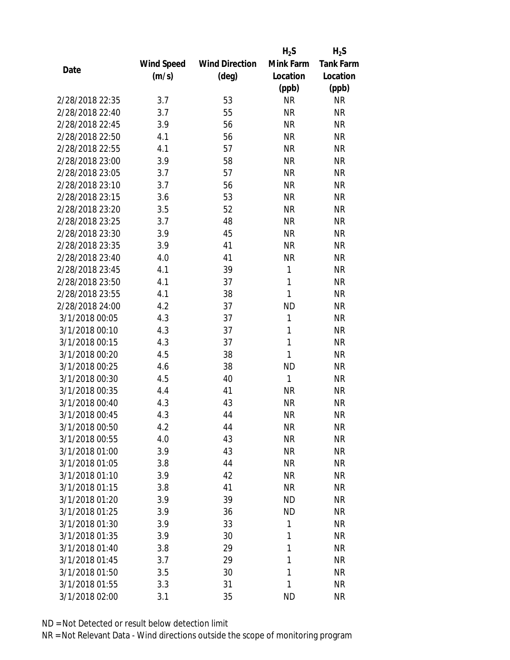|                 |            |                       | $H_2S$    | $H_2S$           |
|-----------------|------------|-----------------------|-----------|------------------|
|                 | Wind Speed | <b>Wind Direction</b> | Mink Farm | <b>Tank Farm</b> |
| Date            | (m/s)      | (deg)                 | Location  | Location         |
|                 |            |                       | (ppb)     | (ppb)            |
| 2/28/2018 22:35 | 3.7        | 53                    | <b>NR</b> | <b>NR</b>        |
| 2/28/2018 22:40 | 3.7        | 55                    | <b>NR</b> | <b>NR</b>        |
| 2/28/2018 22:45 | 3.9        | 56                    | <b>NR</b> | <b>NR</b>        |
| 2/28/2018 22:50 | 4.1        | 56                    | <b>NR</b> | <b>NR</b>        |
| 2/28/2018 22:55 | 4.1        | 57                    | <b>NR</b> | <b>NR</b>        |
| 2/28/2018 23:00 | 3.9        | 58                    | <b>NR</b> | <b>NR</b>        |
| 2/28/2018 23:05 | 3.7        | 57                    | <b>NR</b> | <b>NR</b>        |
| 2/28/2018 23:10 | 3.7        | 56                    | <b>NR</b> | <b>NR</b>        |
| 2/28/2018 23:15 | 3.6        | 53                    | <b>NR</b> | <b>NR</b>        |
| 2/28/2018 23:20 | 3.5        | 52                    | <b>NR</b> | <b>NR</b>        |
| 2/28/2018 23:25 | 3.7        | 48                    | <b>NR</b> | <b>NR</b>        |
| 2/28/2018 23:30 | 3.9        | 45                    | <b>NR</b> | <b>NR</b>        |
| 2/28/2018 23:35 | 3.9        | 41                    | <b>NR</b> | <b>NR</b>        |
| 2/28/2018 23:40 | 4.0        | 41                    | <b>NR</b> | <b>NR</b>        |
| 2/28/2018 23:45 | 4.1        | 39                    | 1         | <b>NR</b>        |
| 2/28/2018 23:50 | 4.1        | 37                    | 1         | <b>NR</b>        |
| 2/28/2018 23:55 | 4.1        | 38                    | 1         | <b>NR</b>        |
| 2/28/2018 24:00 | 4.2        | 37                    | <b>ND</b> | <b>NR</b>        |
| 3/1/2018 00:05  | 4.3        | 37                    | 1         | <b>NR</b>        |
| 3/1/2018 00:10  | 4.3        | 37                    | 1         | <b>NR</b>        |
| 3/1/2018 00:15  | 4.3        | 37                    | 1         | <b>NR</b>        |
| 3/1/2018 00:20  | 4.5        | 38                    | 1         | <b>NR</b>        |
| 3/1/2018 00:25  | 4.6        | 38                    | <b>ND</b> | <b>NR</b>        |
| 3/1/2018 00:30  | 4.5        | 40                    | 1         | <b>NR</b>        |
| 3/1/2018 00:35  | 4.4        | 41                    | <b>NR</b> | <b>NR</b>        |
| 3/1/2018 00:40  | 4.3        | 43                    | <b>NR</b> | <b>NR</b>        |
| 3/1/2018 00:45  | 4.3        | 44                    | <b>NR</b> | <b>NR</b>        |
| 3/1/2018 00:50  | 4.2        | 44                    | <b>NR</b> | <b>NR</b>        |
| 3/1/2018 00:55  | 4.0        | 43                    | <b>NR</b> | <b>NR</b>        |
| 3/1/2018 01:00  | 3.9        | 43                    | <b>NR</b> | <b>NR</b>        |
| 3/1/2018 01:05  | 3.8        | 44                    | <b>NR</b> | <b>NR</b>        |
| 3/1/2018 01:10  | 3.9        | 42                    | <b>NR</b> | <b>NR</b>        |
| 3/1/2018 01:15  | 3.8        | 41                    | <b>NR</b> | <b>NR</b>        |
| 3/1/2018 01:20  | 3.9        | 39                    | <b>ND</b> | <b>NR</b>        |
| 3/1/2018 01:25  | 3.9        | 36                    | <b>ND</b> | <b>NR</b>        |
| 3/1/2018 01:30  | 3.9        | 33                    | 1         | <b>NR</b>        |
| 3/1/2018 01:35  | 3.9        | 30                    | 1         | <b>NR</b>        |
| 3/1/2018 01:40  | 3.8        | 29                    | 1         | <b>NR</b>        |
| 3/1/2018 01:45  | 3.7        | 29                    | 1         | <b>NR</b>        |
| 3/1/2018 01:50  | 3.5        | 30                    | 1         | <b>NR</b>        |
| 3/1/2018 01:55  | 3.3        | 31                    | 1         | <b>NR</b>        |
| 3/1/2018 02:00  | 3.1        | 35                    | <b>ND</b> | <b>NR</b>        |
|                 |            |                       |           |                  |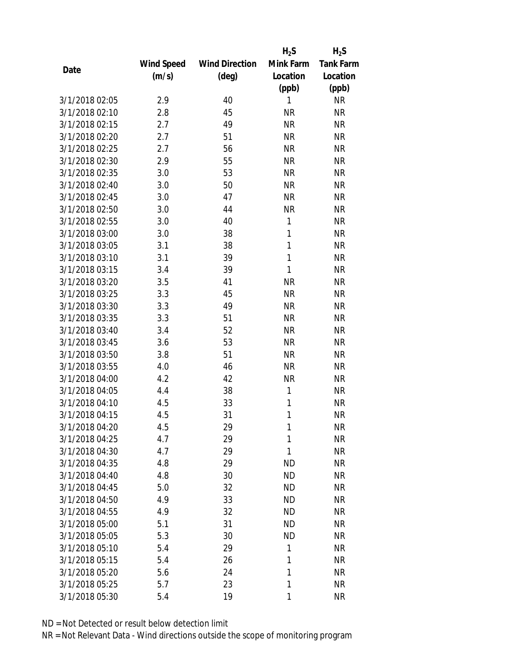|                |            |                       | $H_2S$    | $H_2S$           |
|----------------|------------|-----------------------|-----------|------------------|
|                | Wind Speed | <b>Wind Direction</b> | Mink Farm | <b>Tank Farm</b> |
| Date           | (m/s)      | $(\text{deg})$        | Location  | Location         |
|                |            |                       | (ppb)     | (ppb)            |
| 3/1/2018 02:05 | 2.9        | 40                    | 1         | <b>NR</b>        |
| 3/1/2018 02:10 | 2.8        | 45                    | <b>NR</b> | <b>NR</b>        |
| 3/1/2018 02:15 | 2.7        | 49                    | <b>NR</b> | <b>NR</b>        |
| 3/1/2018 02:20 | 2.7        | 51                    | <b>NR</b> | <b>NR</b>        |
| 3/1/2018 02:25 | 2.7        | 56                    | <b>NR</b> | <b>NR</b>        |
| 3/1/2018 02:30 | 2.9        | 55                    | <b>NR</b> | <b>NR</b>        |
| 3/1/2018 02:35 | 3.0        | 53                    | <b>NR</b> | <b>NR</b>        |
| 3/1/2018 02:40 | 3.0        | 50                    | <b>NR</b> | <b>NR</b>        |
| 3/1/2018 02:45 | 3.0        | 47                    | <b>NR</b> | <b>NR</b>        |
| 3/1/2018 02:50 | 3.0        | 44                    | <b>NR</b> | <b>NR</b>        |
| 3/1/2018 02:55 | 3.0        | 40                    | 1         | <b>NR</b>        |
| 3/1/2018 03:00 | 3.0        | 38                    | 1         | <b>NR</b>        |
| 3/1/2018 03:05 | 3.1        | 38                    | 1         | <b>NR</b>        |
| 3/1/2018 03:10 | 3.1        | 39                    | 1         | <b>NR</b>        |
| 3/1/2018 03:15 | 3.4        | 39                    | 1         | <b>NR</b>        |
| 3/1/2018 03:20 | 3.5        | 41                    | <b>NR</b> | <b>NR</b>        |
| 3/1/2018 03:25 | 3.3        | 45                    | <b>NR</b> | <b>NR</b>        |
| 3/1/2018 03:30 | 3.3        | 49                    | <b>NR</b> | <b>NR</b>        |
| 3/1/2018 03:35 | 3.3        | 51                    | <b>NR</b> | <b>NR</b>        |
| 3/1/2018 03:40 | 3.4        | 52                    | <b>NR</b> | <b>NR</b>        |
| 3/1/2018 03:45 | 3.6        | 53                    | <b>NR</b> | <b>NR</b>        |
| 3/1/2018 03:50 | 3.8        | 51                    | <b>NR</b> | <b>NR</b>        |
| 3/1/2018 03:55 | 4.0        | 46                    | <b>NR</b> | <b>NR</b>        |
| 3/1/2018 04:00 | 4.2        | 42                    | <b>NR</b> | <b>NR</b>        |
| 3/1/2018 04:05 | 4.4        | 38                    | 1         | <b>NR</b>        |
| 3/1/2018 04:10 | 4.5        | 33                    | 1         | <b>NR</b>        |
| 3/1/2018 04:15 | 4.5        | 31                    | 1         | <b>NR</b>        |
| 3/1/2018 04:20 | 4.5        | 29                    | 1         | <b>NR</b>        |
| 3/1/2018 04:25 | 4.7        | 29                    | 1         | <b>NR</b>        |
| 3/1/2018 04:30 | 4.7        | 29                    | 1         | <b>NR</b>        |
| 3/1/2018 04:35 | 4.8        | 29                    | <b>ND</b> | <b>NR</b>        |
| 3/1/2018 04:40 | 4.8        | 30                    | <b>ND</b> | <b>NR</b>        |
| 3/1/2018 04:45 | 5.0        | 32                    | <b>ND</b> | <b>NR</b>        |
| 3/1/2018 04:50 | 4.9        | 33                    | <b>ND</b> | <b>NR</b>        |
| 3/1/2018 04:55 | 4.9        | 32                    | <b>ND</b> | <b>NR</b>        |
| 3/1/2018 05:00 | 5.1        | 31                    | <b>ND</b> | <b>NR</b>        |
| 3/1/2018 05:05 | 5.3        | 30                    | <b>ND</b> | <b>NR</b>        |
| 3/1/2018 05:10 | 5.4        | 29                    | 1         | <b>NR</b>        |
| 3/1/2018 05:15 | 5.4        | 26                    | 1         | <b>NR</b>        |
| 3/1/2018 05:20 | 5.6        | 24                    | 1         | <b>NR</b>        |
| 3/1/2018 05:25 | 5.7        | 23                    | 1         | <b>NR</b>        |
| 3/1/2018 05:30 | 5.4        | 19                    | 1         | <b>NR</b>        |
|                |            |                       |           |                  |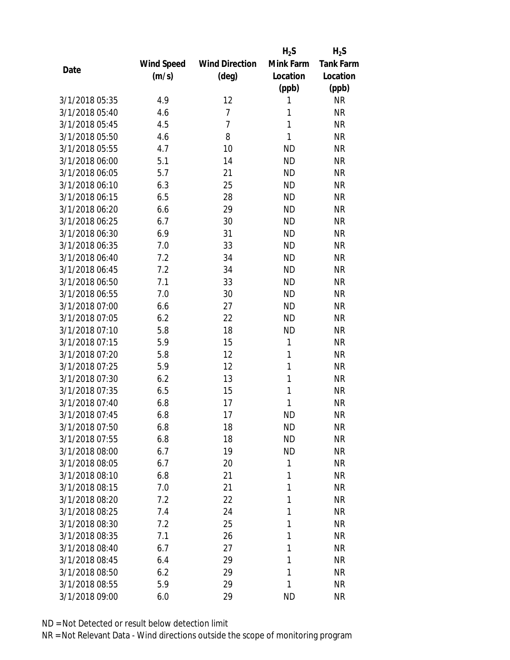|                |            |                       | $H_2S$       | $H_2S$           |
|----------------|------------|-----------------------|--------------|------------------|
|                | Wind Speed | <b>Wind Direction</b> | Mink Farm    | <b>Tank Farm</b> |
| Date           | (m/s)      | $(\text{deg})$        | Location     | Location         |
|                |            |                       | (ppb)        | (ppb)            |
| 3/1/2018 05:35 | 4.9        | 12                    | 1            | <b>NR</b>        |
| 3/1/2018 05:40 | 4.6        | 7                     | 1            | <b>NR</b>        |
| 3/1/2018 05:45 | 4.5        | $\overline{7}$        | 1            | <b>NR</b>        |
| 3/1/2018 05:50 | 4.6        | 8                     | 1            | <b>NR</b>        |
| 3/1/2018 05:55 | 4.7        | 10                    | <b>ND</b>    | <b>NR</b>        |
| 3/1/2018 06:00 | 5.1        | 14                    | <b>ND</b>    | <b>NR</b>        |
| 3/1/2018 06:05 | 5.7        | 21                    | <b>ND</b>    | <b>NR</b>        |
| 3/1/2018 06:10 | 6.3        | 25                    | <b>ND</b>    | <b>NR</b>        |
| 3/1/2018 06:15 | 6.5        | 28                    | <b>ND</b>    | <b>NR</b>        |
| 3/1/2018 06:20 | 6.6        | 29                    | <b>ND</b>    | <b>NR</b>        |
| 3/1/2018 06:25 | 6.7        | 30                    | <b>ND</b>    | <b>NR</b>        |
| 3/1/2018 06:30 | 6.9        | 31                    | <b>ND</b>    | <b>NR</b>        |
| 3/1/2018 06:35 | 7.0        | 33                    | <b>ND</b>    | <b>NR</b>        |
| 3/1/2018 06:40 | 7.2        | 34                    | <b>ND</b>    | <b>NR</b>        |
| 3/1/2018 06:45 | 7.2        | 34                    | <b>ND</b>    | <b>NR</b>        |
| 3/1/2018 06:50 | 7.1        | 33                    | <b>ND</b>    | <b>NR</b>        |
| 3/1/2018 06:55 | 7.0        | 30                    | <b>ND</b>    | <b>NR</b>        |
| 3/1/2018 07:00 | 6.6        | 27                    | <b>ND</b>    | <b>NR</b>        |
| 3/1/2018 07:05 | 6.2        | 22                    | <b>ND</b>    | <b>NR</b>        |
| 3/1/2018 07:10 | 5.8        | 18                    | <b>ND</b>    | <b>NR</b>        |
| 3/1/2018 07:15 | 5.9        | 15                    | $\mathbf{1}$ | <b>NR</b>        |
| 3/1/2018 07:20 | 5.8        | 12                    | 1            | <b>NR</b>        |
| 3/1/2018 07:25 | 5.9        | 12                    | 1            | <b>NR</b>        |
| 3/1/2018 07:30 | 6.2        | 13                    | 1            | <b>NR</b>        |
| 3/1/2018 07:35 | 6.5        | 15                    | 1            | <b>NR</b>        |
| 3/1/2018 07:40 | 6.8        | 17                    | 1            | <b>NR</b>        |
| 3/1/2018 07:45 | 6.8        | 17                    | <b>ND</b>    | <b>NR</b>        |
| 3/1/2018 07:50 | 6.8        | 18                    | <b>ND</b>    | <b>NR</b>        |
| 3/1/2018 07:55 | 6.8        | 18                    | <b>ND</b>    | <b>NR</b>        |
| 3/1/2018 08:00 | 6.7        | 19                    | <b>ND</b>    | <b>NR</b>        |
| 3/1/2018 08:05 | 6.7        | 20                    | 1            | <b>NR</b>        |
| 3/1/2018 08:10 | 6.8        | 21                    | 1            | <b>NR</b>        |
| 3/1/2018 08:15 | 7.0        | 21                    | 1            | <b>NR</b>        |
| 3/1/2018 08:20 | 7.2        | 22                    | 1            | <b>NR</b>        |
| 3/1/2018 08:25 | 7.4        | 24                    | 1            | <b>NR</b>        |
| 3/1/2018 08:30 | 7.2        | 25                    | 1            | <b>NR</b>        |
| 3/1/2018 08:35 | 7.1        | 26                    | 1            | <b>NR</b>        |
| 3/1/2018 08:40 | 6.7        | 27                    | 1            | <b>NR</b>        |
| 3/1/2018 08:45 | 6.4        | 29                    | 1            | <b>NR</b>        |
| 3/1/2018 08:50 | 6.2        | 29                    | 1            | <b>NR</b>        |
| 3/1/2018 08:55 | 5.9        | 29                    | 1            | <b>NR</b>        |
| 3/1/2018 09:00 | 6.0        | 29                    | <b>ND</b>    | <b>NR</b>        |
|                |            |                       |              |                  |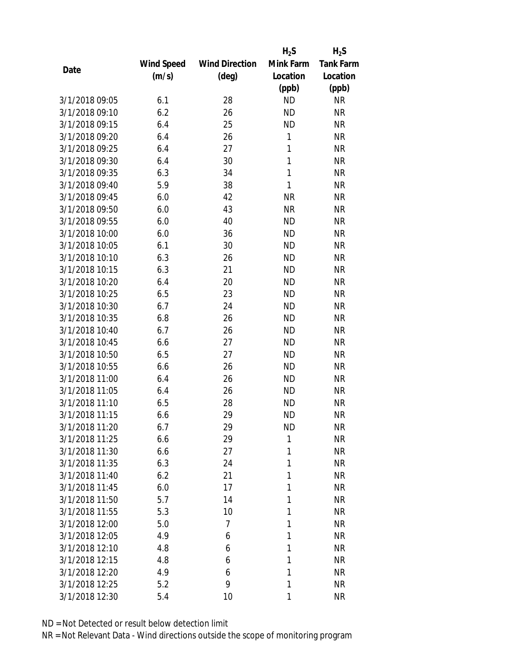|                |            |                       | $H_2S$    | $H_2S$           |
|----------------|------------|-----------------------|-----------|------------------|
|                | Wind Speed | <b>Wind Direction</b> | Mink Farm | <b>Tank Farm</b> |
| Date           | (m/s)      | $(\text{deg})$        | Location  | Location         |
|                |            |                       | (ppb)     | (ppb)            |
| 3/1/2018 09:05 | 6.1        | 28                    | <b>ND</b> | <b>NR</b>        |
| 3/1/2018 09:10 | 6.2        | 26                    | <b>ND</b> | <b>NR</b>        |
| 3/1/2018 09:15 | 6.4        | 25                    | <b>ND</b> | <b>NR</b>        |
| 3/1/2018 09:20 | 6.4        | 26                    | 1         | <b>NR</b>        |
| 3/1/2018 09:25 | 6.4        | 27                    | 1         | <b>NR</b>        |
| 3/1/2018 09:30 | 6.4        | 30                    | 1         | <b>NR</b>        |
| 3/1/2018 09:35 | 6.3        | 34                    | 1         | <b>NR</b>        |
| 3/1/2018 09:40 | 5.9        | 38                    | 1         | <b>NR</b>        |
| 3/1/2018 09:45 | 6.0        | 42                    | <b>NR</b> | <b>NR</b>        |
| 3/1/2018 09:50 | 6.0        | 43                    | <b>NR</b> | <b>NR</b>        |
| 3/1/2018 09:55 | 6.0        | 40                    | <b>ND</b> | <b>NR</b>        |
| 3/1/2018 10:00 | 6.0        | 36                    | <b>ND</b> | <b>NR</b>        |
| 3/1/2018 10:05 | 6.1        | 30                    | <b>ND</b> | <b>NR</b>        |
| 3/1/2018 10:10 | 6.3        | 26                    | <b>ND</b> | <b>NR</b>        |
| 3/1/2018 10:15 | 6.3        | 21                    | <b>ND</b> | <b>NR</b>        |
| 3/1/2018 10:20 | 6.4        | 20                    | <b>ND</b> | <b>NR</b>        |
| 3/1/2018 10:25 | 6.5        | 23                    | <b>ND</b> | <b>NR</b>        |
| 3/1/2018 10:30 | 6.7        | 24                    | <b>ND</b> | <b>NR</b>        |
| 3/1/2018 10:35 | 6.8        | 26                    | <b>ND</b> | <b>NR</b>        |
| 3/1/2018 10:40 | 6.7        | 26                    | <b>ND</b> | <b>NR</b>        |
| 3/1/2018 10:45 | 6.6        | 27                    | <b>ND</b> | <b>NR</b>        |
| 3/1/2018 10:50 | 6.5        | 27                    | <b>ND</b> | <b>NR</b>        |
| 3/1/2018 10:55 | 6.6        | 26                    | <b>ND</b> | <b>NR</b>        |
| 3/1/2018 11:00 | 6.4        | 26                    | <b>ND</b> | <b>NR</b>        |
| 3/1/2018 11:05 | 6.4        | 26                    | <b>ND</b> | <b>NR</b>        |
| 3/1/2018 11:10 | 6.5        | 28                    | <b>ND</b> | <b>NR</b>        |
| 3/1/2018 11:15 | 6.6        | 29                    | <b>ND</b> | <b>NR</b>        |
| 3/1/2018 11:20 | 6.7        | 29                    | ND        | <b>NR</b>        |
| 3/1/2018 11:25 | 6.6        | 29                    | 1         | <b>NR</b>        |
| 3/1/2018 11:30 | 6.6        | 27                    | 1         | <b>NR</b>        |
| 3/1/2018 11:35 | 6.3        | 24                    | 1         | <b>NR</b>        |
| 3/1/2018 11:40 | 6.2        | 21                    | 1         | <b>NR</b>        |
| 3/1/2018 11:45 | 6.0        | 17                    | 1         | <b>NR</b>        |
| 3/1/2018 11:50 | 5.7        | 14                    | 1         | <b>NR</b>        |
| 3/1/2018 11:55 | 5.3        | 10                    | 1         | <b>NR</b>        |
| 3/1/2018 12:00 | 5.0        | $\overline{7}$        | 1         | <b>NR</b>        |
| 3/1/2018 12:05 | 4.9        | 6                     | 1         | <b>NR</b>        |
| 3/1/2018 12:10 | 4.8        | 6                     | 1         | <b>NR</b>        |
| 3/1/2018 12:15 | 4.8        | 6                     | 1         | <b>NR</b>        |
| 3/1/2018 12:20 | 4.9        | 6                     | 1         | <b>NR</b>        |
| 3/1/2018 12:25 | 5.2        | 9                     | 1         | <b>NR</b>        |
| 3/1/2018 12:30 | 5.4        | 10                    | 1         | <b>NR</b>        |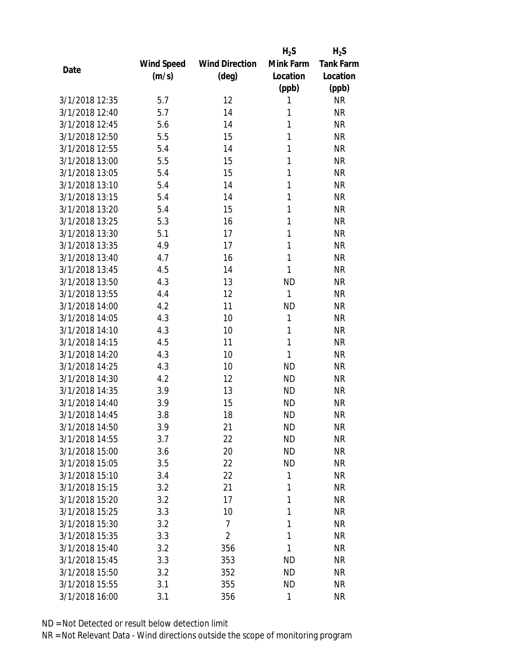|                |            |                       | $H_2S$       | $H_2S$           |
|----------------|------------|-----------------------|--------------|------------------|
|                | Wind Speed | <b>Wind Direction</b> | Mink Farm    | <b>Tank Farm</b> |
| Date           | (m/s)      | $(\text{deg})$        | Location     | Location         |
|                |            |                       | (ppb)        | (ppb)            |
| 3/1/2018 12:35 | 5.7        | 12                    | 1            | <b>NR</b>        |
| 3/1/2018 12:40 | 5.7        | 14                    | 1            | <b>NR</b>        |
| 3/1/2018 12:45 | 5.6        | 14                    | 1            | <b>NR</b>        |
| 3/1/2018 12:50 | 5.5        | 15                    | 1            | <b>NR</b>        |
| 3/1/2018 12:55 | 5.4        | 14                    | 1            | <b>NR</b>        |
| 3/1/2018 13:00 | 5.5        | 15                    | 1            | <b>NR</b>        |
| 3/1/2018 13:05 | 5.4        | 15                    | 1            | <b>NR</b>        |
| 3/1/2018 13:10 | 5.4        | 14                    | 1            | <b>NR</b>        |
| 3/1/2018 13:15 | 5.4        | 14                    | 1            | <b>NR</b>        |
| 3/1/2018 13:20 | 5.4        | 15                    | 1            | <b>NR</b>        |
| 3/1/2018 13:25 | 5.3        | 16                    | 1            | <b>NR</b>        |
| 3/1/2018 13:30 | 5.1        | 17                    | 1            | <b>NR</b>        |
| 3/1/2018 13:35 | 4.9        | 17                    | 1            | <b>NR</b>        |
| 3/1/2018 13:40 | 4.7        | 16                    | 1            | <b>NR</b>        |
| 3/1/2018 13:45 | 4.5        | 14                    | 1            | <b>NR</b>        |
| 3/1/2018 13:50 | 4.3        | 13                    | <b>ND</b>    | <b>NR</b>        |
| 3/1/2018 13:55 | 4.4        | 12                    | $\mathbf{1}$ | <b>NR</b>        |
| 3/1/2018 14:00 | 4.2        | 11                    | <b>ND</b>    | <b>NR</b>        |
| 3/1/2018 14:05 | 4.3        | 10                    | 1            | <b>NR</b>        |
| 3/1/2018 14:10 | 4.3        | 10                    | 1            | <b>NR</b>        |
| 3/1/2018 14:15 | 4.5        | 11                    | 1            | <b>NR</b>        |
| 3/1/2018 14:20 | 4.3        | 10                    | 1            | <b>NR</b>        |
| 3/1/2018 14:25 | 4.3        | 10                    | <b>ND</b>    | <b>NR</b>        |
| 3/1/2018 14:30 | 4.2        | 12                    | <b>ND</b>    | <b>NR</b>        |
| 3/1/2018 14:35 | 3.9        | 13                    | <b>ND</b>    | <b>NR</b>        |
| 3/1/2018 14:40 | 3.9        | 15                    | <b>ND</b>    | <b>NR</b>        |
| 3/1/2018 14:45 | 3.8        | 18                    | <b>ND</b>    | <b>NR</b>        |
| 3/1/2018 14:50 | 3.9        | 21                    | ND           | <b>NR</b>        |
| 3/1/2018 14:55 | 3.7        | 22                    | <b>ND</b>    | <b>NR</b>        |
| 3/1/2018 15:00 |            | 20                    | <b>ND</b>    | <b>NR</b>        |
| 3/1/2018 15:05 | 3.6<br>3.5 | 22                    | <b>ND</b>    | <b>NR</b>        |
|                |            | 22                    | 1            | <b>NR</b>        |
| 3/1/2018 15:10 | 3.4        |                       |              |                  |
| 3/1/2018 15:15 | 3.2        | 21                    | 1            | <b>NR</b>        |
| 3/1/2018 15:20 | 3.2        | 17                    | 1            | <b>NR</b>        |
| 3/1/2018 15:25 | 3.3        | 10                    | 1            | <b>NR</b>        |
| 3/1/2018 15:30 | 3.2        | 7                     | 1            | <b>NR</b>        |
| 3/1/2018 15:35 | 3.3        | $\overline{2}$        | 1            | <b>NR</b>        |
| 3/1/2018 15:40 | 3.2        | 356                   | 1            | <b>NR</b>        |
| 3/1/2018 15:45 | 3.3        | 353                   | <b>ND</b>    | <b>NR</b>        |
| 3/1/2018 15:50 | 3.2        | 352                   | ND           | <b>NR</b>        |
| 3/1/2018 15:55 | 3.1        | 355                   | <b>ND</b>    | <b>NR</b>        |
| 3/1/2018 16:00 | 3.1        | 356                   | 1            | <b>NR</b>        |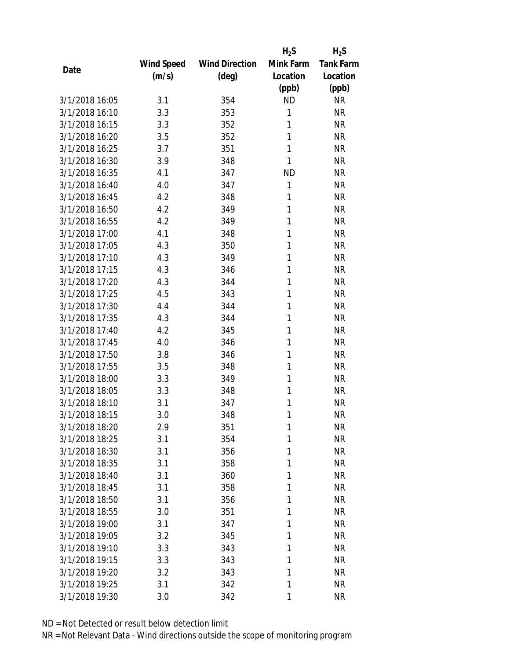|                |            |                       | $H_2S$    | $H_2S$           |
|----------------|------------|-----------------------|-----------|------------------|
|                | Wind Speed | <b>Wind Direction</b> | Mink Farm | <b>Tank Farm</b> |
| Date           | (m/s)      | (deg)                 | Location  | Location         |
|                |            |                       | (ppb)     | (ppb)            |
| 3/1/2018 16:05 | 3.1        | 354                   | <b>ND</b> | <b>NR</b>        |
| 3/1/2018 16:10 | 3.3        | 353                   | 1         | <b>NR</b>        |
| 3/1/2018 16:15 | 3.3        | 352                   | 1         | <b>NR</b>        |
| 3/1/2018 16:20 | 3.5        | 352                   | 1         | <b>NR</b>        |
| 3/1/2018 16:25 | 3.7        | 351                   | 1         | <b>NR</b>        |
| 3/1/2018 16:30 | 3.9        | 348                   | 1         | <b>NR</b>        |
| 3/1/2018 16:35 | 4.1        | 347                   | <b>ND</b> | <b>NR</b>        |
| 3/1/2018 16:40 | 4.0        | 347                   | 1         | <b>NR</b>        |
| 3/1/2018 16:45 | 4.2        | 348                   | 1         | <b>NR</b>        |
| 3/1/2018 16:50 | 4.2        | 349                   | 1         | <b>NR</b>        |
| 3/1/2018 16:55 | 4.2        | 349                   | 1         | <b>NR</b>        |
| 3/1/2018 17:00 | 4.1        | 348                   | 1         | <b>NR</b>        |
| 3/1/2018 17:05 | 4.3        | 350                   | 1         | <b>NR</b>        |
| 3/1/2018 17:10 | 4.3        | 349                   | 1         | <b>NR</b>        |
| 3/1/2018 17:15 | 4.3        | 346                   | 1         | <b>NR</b>        |
| 3/1/2018 17:20 | 4.3        | 344                   | 1         | <b>NR</b>        |
| 3/1/2018 17:25 | 4.5        | 343                   | 1         | <b>NR</b>        |
| 3/1/2018 17:30 | 4.4        | 344                   | 1         | <b>NR</b>        |
| 3/1/2018 17:35 | 4.3        | 344                   | 1         | <b>NR</b>        |
| 3/1/2018 17:40 | 4.2        | 345                   | 1         | <b>NR</b>        |
| 3/1/2018 17:45 | 4.0        | 346                   | 1         | <b>NR</b>        |
| 3/1/2018 17:50 | 3.8        | 346                   | 1         | <b>NR</b>        |
| 3/1/2018 17:55 | 3.5        | 348                   | 1         | <b>NR</b>        |
| 3/1/2018 18:00 | 3.3        | 349                   | 1         | <b>NR</b>        |
| 3/1/2018 18:05 | 3.3        | 348                   | 1         | <b>NR</b>        |
| 3/1/2018 18:10 | 3.1        | 347                   | 1         | <b>NR</b>        |
| 3/1/2018 18:15 | 3.0        | 348                   | 1         | <b>NR</b>        |
| 3/1/2018 18:20 | 2.9        | 351                   | 1         | <b>NR</b>        |
| 3/1/2018 18:25 | 3.1        | 354                   | 1         | <b>NR</b>        |
| 3/1/2018 18:30 | 3.1        | 356                   | 1         | <b>NR</b>        |
| 3/1/2018 18:35 | 3.1        | 358                   | 1         | <b>NR</b>        |
| 3/1/2018 18:40 | 3.1        | 360                   | 1         | <b>NR</b>        |
| 3/1/2018 18:45 | 3.1        | 358                   | 1         | <b>NR</b>        |
| 3/1/2018 18:50 | 3.1        | 356                   | 1         | <b>NR</b>        |
| 3/1/2018 18:55 | 3.0        | 351                   | 1         | <b>NR</b>        |
| 3/1/2018 19:00 | 3.1        | 347                   | 1         | <b>NR</b>        |
| 3/1/2018 19:05 | 3.2        | 345                   | 1         | <b>NR</b>        |
| 3/1/2018 19:10 | 3.3        | 343                   | 1         | <b>NR</b>        |
| 3/1/2018 19:15 | 3.3        | 343                   | 1         | <b>NR</b>        |
| 3/1/2018 19:20 | 3.2        | 343                   | 1         | <b>NR</b>        |
| 3/1/2018 19:25 | 3.1        | 342                   | 1         | <b>NR</b>        |
| 3/1/2018 19:30 | 3.0        | 342                   | 1         | <b>NR</b>        |
|                |            |                       |           |                  |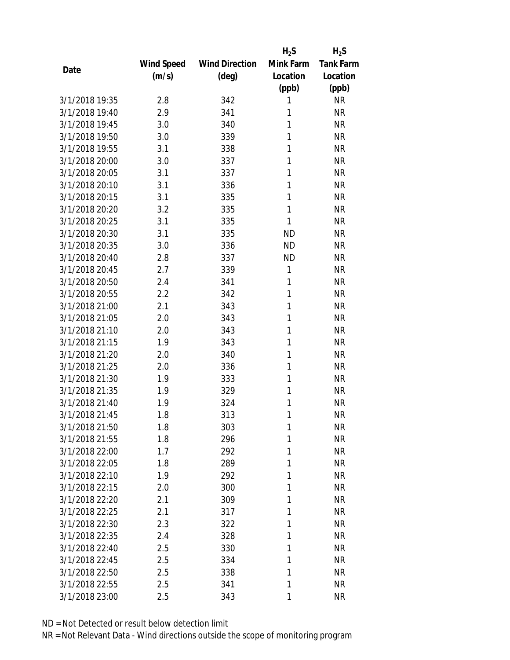|                |            |                       | $H_2S$    | $H_2S$           |
|----------------|------------|-----------------------|-----------|------------------|
|                | Wind Speed | <b>Wind Direction</b> | Mink Farm | <b>Tank Farm</b> |
| Date           | (m/s)      | (deg)                 | Location  | Location         |
|                |            |                       | (ppb)     | (ppb)            |
| 3/1/2018 19:35 | 2.8        | 342                   | 1         | <b>NR</b>        |
| 3/1/2018 19:40 | 2.9        | 341                   | 1         | <b>NR</b>        |
| 3/1/2018 19:45 | 3.0        | 340                   | 1         | <b>NR</b>        |
| 3/1/2018 19:50 | 3.0        | 339                   | 1         | <b>NR</b>        |
| 3/1/2018 19:55 | 3.1        | 338                   | 1         | <b>NR</b>        |
| 3/1/2018 20:00 | 3.0        | 337                   | 1         | <b>NR</b>        |
| 3/1/2018 20:05 | 3.1        | 337                   | 1         | <b>NR</b>        |
| 3/1/2018 20:10 | 3.1        | 336                   | 1         | <b>NR</b>        |
| 3/1/2018 20:15 | 3.1        | 335                   | 1         | <b>NR</b>        |
| 3/1/2018 20:20 | 3.2        | 335                   | 1         | <b>NR</b>        |
| 3/1/2018 20:25 | 3.1        | 335                   | 1         | <b>NR</b>        |
| 3/1/2018 20:30 | 3.1        | 335                   | <b>ND</b> | <b>NR</b>        |
| 3/1/2018 20:35 | 3.0        | 336                   | <b>ND</b> | <b>NR</b>        |
| 3/1/2018 20:40 | 2.8        | 337                   | <b>ND</b> | <b>NR</b>        |
| 3/1/2018 20:45 | 2.7        | 339                   | 1         | <b>NR</b>        |
| 3/1/2018 20:50 | 2.4        | 341                   | 1         | <b>NR</b>        |
| 3/1/2018 20:55 | 2.2        | 342                   | 1         | <b>NR</b>        |
| 3/1/2018 21:00 | 2.1        | 343                   | 1         | <b>NR</b>        |
| 3/1/2018 21:05 | 2.0        | 343                   | 1         | <b>NR</b>        |
| 3/1/2018 21:10 | 2.0        | 343                   | 1         | <b>NR</b>        |
| 3/1/2018 21:15 | 1.9        | 343                   | 1         | <b>NR</b>        |
| 3/1/2018 21:20 | 2.0        | 340                   | 1         | <b>NR</b>        |
| 3/1/2018 21:25 | 2.0        | 336                   | 1         | <b>NR</b>        |
| 3/1/2018 21:30 | 1.9        | 333                   | 1         | <b>NR</b>        |
| 3/1/2018 21:35 | 1.9        | 329                   | 1         | <b>NR</b>        |
| 3/1/2018 21:40 | 1.9        | 324                   | 1         | <b>NR</b>        |
| 3/1/2018 21:45 | 1.8        | 313                   | 1         | <b>NR</b>        |
| 3/1/2018 21:50 | 1.8        | 303                   | 1         | <b>NR</b>        |
| 3/1/2018 21:55 | 1.8        | 296                   | 1         | <b>NR</b>        |
| 3/1/2018 22:00 | 1.7        | 292                   | 1         | <b>NR</b>        |
| 3/1/2018 22:05 | 1.8        | 289                   | 1         | <b>NR</b>        |
| 3/1/2018 22:10 | 1.9        | 292                   | 1         | <b>NR</b>        |
| 3/1/2018 22:15 | 2.0        | 300                   | 1         | <b>NR</b>        |
| 3/1/2018 22:20 | 2.1        | 309                   | 1         | <b>NR</b>        |
| 3/1/2018 22:25 | 2.1        | 317                   | 1         | <b>NR</b>        |
| 3/1/2018 22:30 | 2.3        | 322                   | 1         | <b>NR</b>        |
| 3/1/2018 22:35 | 2.4        | 328                   | 1         | <b>NR</b>        |
| 3/1/2018 22:40 | 2.5        | 330                   | 1         | <b>NR</b>        |
| 3/1/2018 22:45 | 2.5        | 334                   | 1         | <b>NR</b>        |
| 3/1/2018 22:50 | 2.5        | 338                   | 1         | <b>NR</b>        |
| 3/1/2018 22:55 | 2.5        | 341                   | 1         | <b>NR</b>        |
| 3/1/2018 23:00 | 2.5        | 343                   | 1         | <b>NR</b>        |
|                |            |                       |           |                  |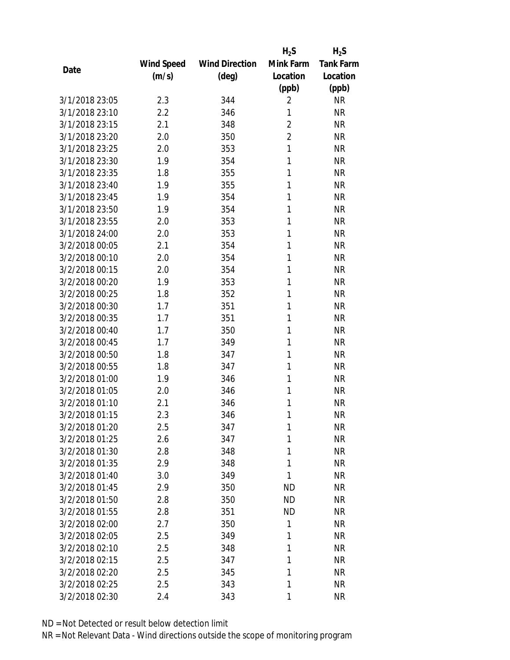|                |            |                       | $H_2S$         | $H_2S$           |
|----------------|------------|-----------------------|----------------|------------------|
|                | Wind Speed | <b>Wind Direction</b> | Mink Farm      | <b>Tank Farm</b> |
| Date           | (m/s)      | (deg)                 | Location       | Location         |
|                |            |                       | (ppb)          | (ppb)            |
| 3/1/2018 23:05 | 2.3        | 344                   | $\overline{2}$ | <b>NR</b>        |
| 3/1/2018 23:10 | 2.2        | 346                   | 1              | <b>NR</b>        |
| 3/1/2018 23:15 | 2.1        | 348                   | $\overline{2}$ | <b>NR</b>        |
| 3/1/2018 23:20 | 2.0        | 350                   | $\overline{2}$ | <b>NR</b>        |
| 3/1/2018 23:25 | 2.0        | 353                   | 1              | <b>NR</b>        |
| 3/1/2018 23:30 | 1.9        | 354                   | 1              | <b>NR</b>        |
| 3/1/2018 23:35 | 1.8        | 355                   | 1              | <b>NR</b>        |
| 3/1/2018 23:40 | 1.9        | 355                   | 1              | <b>NR</b>        |
| 3/1/2018 23:45 | 1.9        | 354                   | 1              | <b>NR</b>        |
| 3/1/2018 23:50 | 1.9        | 354                   | 1              | <b>NR</b>        |
| 3/1/2018 23:55 | 2.0        | 353                   | 1              | <b>NR</b>        |
| 3/1/2018 24:00 | 2.0        | 353                   | 1              | <b>NR</b>        |
| 3/2/2018 00:05 | 2.1        | 354                   | 1              | <b>NR</b>        |
| 3/2/2018 00:10 | 2.0        | 354                   | 1              | <b>NR</b>        |
| 3/2/2018 00:15 | 2.0        | 354                   | 1              | <b>NR</b>        |
| 3/2/2018 00:20 | 1.9        | 353                   | 1              | <b>NR</b>        |
| 3/2/2018 00:25 | 1.8        | 352                   | 1              | <b>NR</b>        |
| 3/2/2018 00:30 | 1.7        | 351                   | 1              | <b>NR</b>        |
| 3/2/2018 00:35 | 1.7        | 351                   | 1              | <b>NR</b>        |
| 3/2/2018 00:40 | 1.7        | 350                   | 1              | <b>NR</b>        |
| 3/2/2018 00:45 | 1.7        | 349                   | 1              | <b>NR</b>        |
| 3/2/2018 00:50 | 1.8        | 347                   | 1              | <b>NR</b>        |
| 3/2/2018 00:55 | 1.8        | 347                   | 1              | <b>NR</b>        |
| 3/2/2018 01:00 | 1.9        | 346                   | 1              | <b>NR</b>        |
| 3/2/2018 01:05 | 2.0        | 346                   | 1              | <b>NR</b>        |
| 3/2/2018 01:10 | 2.1        | 346                   | 1              | <b>NR</b>        |
| 3/2/2018 01:15 | 2.3        | 346                   | 1              | <b>NR</b>        |
| 3/2/2018 01:20 | 2.5        | 347                   | 1              | <b>NR</b>        |
| 3/2/2018 01:25 | 2.6        | 347                   | 1              | <b>NR</b>        |
| 3/2/2018 01:30 | 2.8        | 348                   | 1              | <b>NR</b>        |
| 3/2/2018 01:35 | 2.9        | 348                   | 1              | <b>NR</b>        |
| 3/2/2018 01:40 | 3.0        | 349                   | 1              | <b>NR</b>        |
| 3/2/2018 01:45 | 2.9        | 350                   | <b>ND</b>      | <b>NR</b>        |
| 3/2/2018 01:50 | 2.8        | 350                   | <b>ND</b>      | <b>NR</b>        |
| 3/2/2018 01:55 | 2.8        | 351                   | <b>ND</b>      | <b>NR</b>        |
| 3/2/2018 02:00 | 2.7        | 350                   | 1              | <b>NR</b>        |
| 3/2/2018 02:05 | 2.5        | 349                   | 1              | <b>NR</b>        |
| 3/2/2018 02:10 | 2.5        | 348                   | 1              | <b>NR</b>        |
| 3/2/2018 02:15 | 2.5        | 347                   | 1              | <b>NR</b>        |
| 3/2/2018 02:20 | 2.5        | 345                   | 1              | <b>NR</b>        |
| 3/2/2018 02:25 | 2.5        | 343                   | 1              | <b>NR</b>        |
| 3/2/2018 02:30 | 2.4        | 343                   | 1              | <b>NR</b>        |
|                |            |                       |                |                  |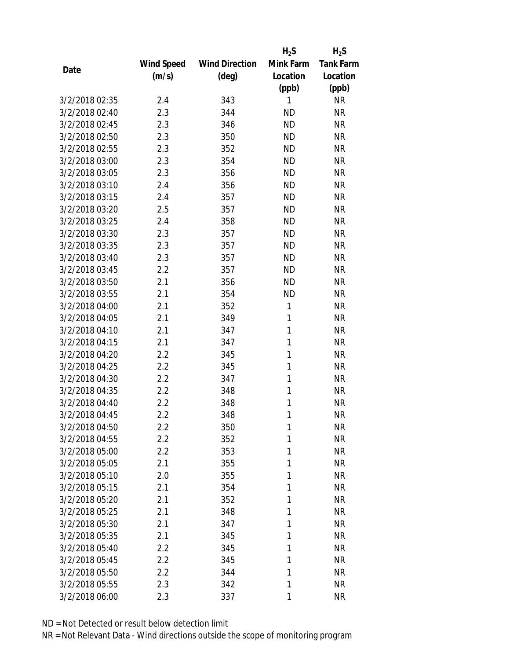|                |            |                       | $H_2S$    | $H_2S$           |
|----------------|------------|-----------------------|-----------|------------------|
|                | Wind Speed | <b>Wind Direction</b> | Mink Farm | <b>Tank Farm</b> |
| Date           | (m/s)      | $(\text{deg})$        | Location  | Location         |
|                |            |                       | (ppb)     | (ppb)            |
| 3/2/2018 02:35 | 2.4        | 343                   | 1         | <b>NR</b>        |
| 3/2/2018 02:40 | 2.3        | 344                   | <b>ND</b> | <b>NR</b>        |
| 3/2/2018 02:45 | 2.3        | 346                   | <b>ND</b> | <b>NR</b>        |
| 3/2/2018 02:50 | 2.3        | 350                   | <b>ND</b> | <b>NR</b>        |
| 3/2/2018 02:55 | 2.3        | 352                   | <b>ND</b> | <b>NR</b>        |
| 3/2/2018 03:00 | 2.3        | 354                   | <b>ND</b> | <b>NR</b>        |
| 3/2/2018 03:05 | 2.3        | 356                   | <b>ND</b> | <b>NR</b>        |
| 3/2/2018 03:10 | 2.4        | 356                   | <b>ND</b> | <b>NR</b>        |
| 3/2/2018 03:15 | 2.4        | 357                   | <b>ND</b> | <b>NR</b>        |
| 3/2/2018 03:20 | 2.5        | 357                   | <b>ND</b> | <b>NR</b>        |
| 3/2/2018 03:25 | 2.4        | 358                   | <b>ND</b> | <b>NR</b>        |
| 3/2/2018 03:30 | 2.3        | 357                   | <b>ND</b> | <b>NR</b>        |
| 3/2/2018 03:35 | 2.3        | 357                   | <b>ND</b> | <b>NR</b>        |
| 3/2/2018 03:40 | 2.3        | 357                   | <b>ND</b> | <b>NR</b>        |
| 3/2/2018 03:45 | 2.2        | 357                   | <b>ND</b> | <b>NR</b>        |
| 3/2/2018 03:50 | 2.1        | 356                   | <b>ND</b> | <b>NR</b>        |
| 3/2/2018 03:55 | 2.1        | 354                   | <b>ND</b> | <b>NR</b>        |
| 3/2/2018 04:00 | 2.1        | 352                   | 1         | <b>NR</b>        |
| 3/2/2018 04:05 | 2.1        | 349                   | 1         | <b>NR</b>        |
| 3/2/2018 04:10 | 2.1        | 347                   | 1         | <b>NR</b>        |
| 3/2/2018 04:15 | 2.1        | 347                   | 1         | <b>NR</b>        |
| 3/2/2018 04:20 | 2.2        | 345                   | 1         | <b>NR</b>        |
| 3/2/2018 04:25 | 2.2        | 345                   | 1         | <b>NR</b>        |
| 3/2/2018 04:30 | 2.2        | 347                   | 1         | <b>NR</b>        |
| 3/2/2018 04:35 | 2.2        | 348                   | 1         | <b>NR</b>        |
| 3/2/2018 04:40 | 2.2        | 348                   | 1         | <b>NR</b>        |
| 3/2/2018 04:45 | 2.2        | 348                   | 1         | <b>NR</b>        |
| 3/2/2018 04:50 | 2.2        | 350                   | 1         | <b>NR</b>        |
| 3/2/2018 04:55 | 2.2        | 352                   | 1         | <b>NR</b>        |
| 3/2/2018 05:00 | 2.2        | 353                   | 1         | <b>NR</b>        |
| 3/2/2018 05:05 | 2.1        | 355                   | 1         | <b>NR</b>        |
| 3/2/2018 05:10 | 2.0        | 355                   | 1         | <b>NR</b>        |
| 3/2/2018 05:15 | 2.1        | 354                   | 1         | <b>NR</b>        |
| 3/2/2018 05:20 | 2.1        | 352                   | 1         | <b>NR</b>        |
| 3/2/2018 05:25 | 2.1        | 348                   | 1         | <b>NR</b>        |
| 3/2/2018 05:30 | 2.1        | 347                   | 1         | <b>NR</b>        |
| 3/2/2018 05:35 | 2.1        | 345                   | 1         | <b>NR</b>        |
| 3/2/2018 05:40 | 2.2        | 345                   | 1         | <b>NR</b>        |
| 3/2/2018 05:45 | 2.2        | 345                   | 1         | <b>NR</b>        |
| 3/2/2018 05:50 | 2.2        | 344                   | 1         | <b>NR</b>        |
| 3/2/2018 05:55 | 2.3        | 342                   | 1         | <b>NR</b>        |
| 3/2/2018 06:00 | 2.3        | 337                   | 1         | <b>NR</b>        |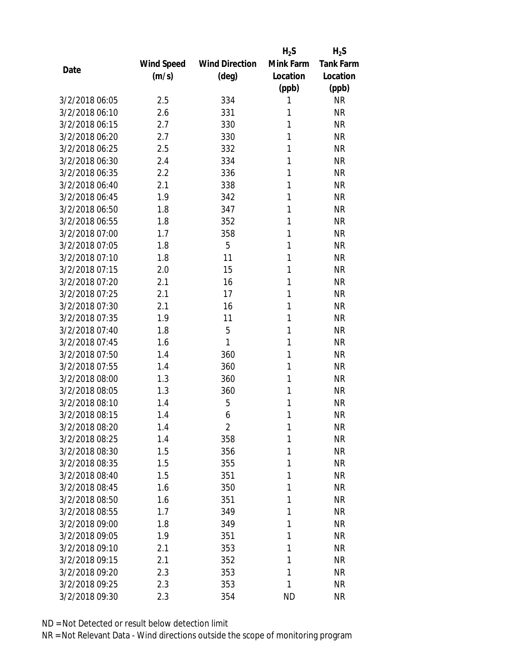|                |            |                       | $H_2S$    | $H_2S$           |
|----------------|------------|-----------------------|-----------|------------------|
|                | Wind Speed | <b>Wind Direction</b> | Mink Farm | <b>Tank Farm</b> |
| Date           | (m/s)      | (deg)                 | Location  | Location         |
|                |            |                       | (ppb)     | (ppb)            |
| 3/2/2018 06:05 | 2.5        | 334                   | 1         | <b>NR</b>        |
| 3/2/2018 06:10 | 2.6        | 331                   | 1         | <b>NR</b>        |
| 3/2/2018 06:15 | 2.7        | 330                   | 1         | <b>NR</b>        |
| 3/2/2018 06:20 | 2.7        | 330                   | 1         | <b>NR</b>        |
| 3/2/2018 06:25 | 2.5        | 332                   | 1         | <b>NR</b>        |
| 3/2/2018 06:30 | 2.4        | 334                   | 1         | <b>NR</b>        |
| 3/2/2018 06:35 | 2.2        | 336                   | 1         | <b>NR</b>        |
| 3/2/2018 06:40 | 2.1        | 338                   | 1         | <b>NR</b>        |
| 3/2/2018 06:45 | 1.9        | 342                   | 1         | <b>NR</b>        |
| 3/2/2018 06:50 | 1.8        | 347                   | 1         | <b>NR</b>        |
| 3/2/2018 06:55 | 1.8        | 352                   | 1         | <b>NR</b>        |
| 3/2/2018 07:00 | 1.7        | 358                   | 1         | <b>NR</b>        |
| 3/2/2018 07:05 | 1.8        | 5                     | 1         | <b>NR</b>        |
| 3/2/2018 07:10 | 1.8        | 11                    | 1         | <b>NR</b>        |
| 3/2/2018 07:15 | 2.0        | 15                    | 1         | <b>NR</b>        |
| 3/2/2018 07:20 | 2.1        | 16                    | 1         | <b>NR</b>        |
| 3/2/2018 07:25 | 2.1        | 17                    | 1         | <b>NR</b>        |
| 3/2/2018 07:30 | 2.1        | 16                    | 1         | <b>NR</b>        |
| 3/2/2018 07:35 | 1.9        | 11                    | 1         | <b>NR</b>        |
| 3/2/2018 07:40 | 1.8        | 5                     | 1         | <b>NR</b>        |
| 3/2/2018 07:45 | 1.6        | 1                     | 1         | <b>NR</b>        |
| 3/2/2018 07:50 | 1.4        | 360                   | 1         | <b>NR</b>        |
| 3/2/2018 07:55 | 1.4        | 360                   | 1         | <b>NR</b>        |
| 3/2/2018 08:00 | 1.3        | 360                   | 1         | <b>NR</b>        |
| 3/2/2018 08:05 | 1.3        | 360                   | 1         | <b>NR</b>        |
| 3/2/2018 08:10 | 1.4        | 5                     | 1         | <b>NR</b>        |
| 3/2/2018 08:15 | 1.4        | 6                     | 1         | <b>NR</b>        |
| 3/2/2018 08:20 | 1.4        | $\overline{2}$        | 1         | <b>NR</b>        |
| 3/2/2018 08:25 | 1.4        | 358                   | 1         | <b>NR</b>        |
| 3/2/2018 08:30 | 1.5        | 356                   | 1         | <b>NR</b>        |
| 3/2/2018 08:35 | 1.5        | 355                   | 1         | <b>NR</b>        |
| 3/2/2018 08:40 | 1.5        | 351                   | 1         | <b>NR</b>        |
| 3/2/2018 08:45 | 1.6        | 350                   | 1         | <b>NR</b>        |
| 3/2/2018 08:50 | 1.6        | 351                   | 1         | <b>NR</b>        |
| 3/2/2018 08:55 | 1.7        | 349                   | 1         | <b>NR</b>        |
| 3/2/2018 09:00 | 1.8        | 349                   | 1         | <b>NR</b>        |
| 3/2/2018 09:05 | 1.9        | 351                   | 1         | <b>NR</b>        |
| 3/2/2018 09:10 | 2.1        | 353                   | 1         | <b>NR</b>        |
| 3/2/2018 09:15 | 2.1        | 352                   | 1         | <b>NR</b>        |
| 3/2/2018 09:20 | 2.3        | 353                   | 1         | <b>NR</b>        |
| 3/2/2018 09:25 | 2.3        | 353                   | 1         | <b>NR</b>        |
| 3/2/2018 09:30 | 2.3        | 354                   | <b>ND</b> | <b>NR</b>        |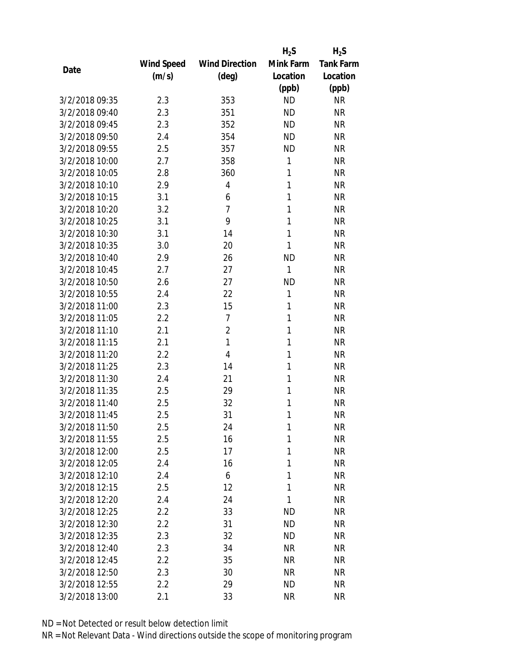|                |            |                       | $H_2S$    | $H_2S$           |
|----------------|------------|-----------------------|-----------|------------------|
|                | Wind Speed | <b>Wind Direction</b> | Mink Farm | <b>Tank Farm</b> |
| Date           | (m/s)      | $(\text{deg})$        | Location  | Location         |
|                |            |                       | (ppb)     | (ppb)            |
| 3/2/2018 09:35 | 2.3        | 353                   | <b>ND</b> | <b>NR</b>        |
| 3/2/2018 09:40 | 2.3        | 351                   | <b>ND</b> | <b>NR</b>        |
| 3/2/2018 09:45 | 2.3        | 352                   | <b>ND</b> | <b>NR</b>        |
| 3/2/2018 09:50 | 2.4        | 354                   | <b>ND</b> | <b>NR</b>        |
| 3/2/2018 09:55 | 2.5        | 357                   | <b>ND</b> | <b>NR</b>        |
| 3/2/2018 10:00 | 2.7        | 358                   | 1         | <b>NR</b>        |
| 3/2/2018 10:05 | 2.8        | 360                   | 1         | <b>NR</b>        |
| 3/2/2018 10:10 | 2.9        | $\overline{4}$        | 1         | <b>NR</b>        |
| 3/2/2018 10:15 | 3.1        | 6                     | 1         | <b>NR</b>        |
| 3/2/2018 10:20 | 3.2        | $\overline{7}$        | 1         | <b>NR</b>        |
| 3/2/2018 10:25 | 3.1        | 9                     | 1         | <b>NR</b>        |
| 3/2/2018 10:30 | 3.1        | 14                    | 1         | <b>NR</b>        |
| 3/2/2018 10:35 | 3.0        | 20                    | 1         | <b>NR</b>        |
| 3/2/2018 10:40 | 2.9        | 26                    | <b>ND</b> | <b>NR</b>        |
| 3/2/2018 10:45 | 2.7        | 27                    | 1         | <b>NR</b>        |
| 3/2/2018 10:50 | 2.6        | 27                    | <b>ND</b> | <b>NR</b>        |
| 3/2/2018 10:55 | 2.4        | 22                    | 1         | <b>NR</b>        |
| 3/2/2018 11:00 | 2.3        | 15                    | 1         | <b>NR</b>        |
| 3/2/2018 11:05 | 2.2        | 7                     | 1         | <b>NR</b>        |
| 3/2/2018 11:10 | 2.1        | $\overline{2}$        | 1         | <b>NR</b>        |
| 3/2/2018 11:15 | 2.1        | 1                     | 1         | <b>NR</b>        |
| 3/2/2018 11:20 | 2.2        | $\overline{4}$        | 1         | <b>NR</b>        |
| 3/2/2018 11:25 | 2.3        | 14                    | 1         | <b>NR</b>        |
| 3/2/2018 11:30 | 2.4        | 21                    | 1         | <b>NR</b>        |
| 3/2/2018 11:35 | 2.5        | 29                    | 1         | <b>NR</b>        |
| 3/2/2018 11:40 | 2.5        | 32                    | 1         | <b>NR</b>        |
| 3/2/2018 11:45 | 2.5        | 31                    | 1         | <b>NR</b>        |
| 3/2/2018 11:50 | 2.5        | 24                    | 1         | <b>NR</b>        |
| 3/2/2018 11:55 | 2.5        | 16                    | 1         | <b>NR</b>        |
| 3/2/2018 12:00 | 2.5        | 17                    | 1         | <b>NR</b>        |
| 3/2/2018 12:05 | 2.4        | 16                    | 1         | <b>NR</b>        |
| 3/2/2018 12:10 | 2.4        | 6                     | 1         | <b>NR</b>        |
| 3/2/2018 12:15 | 2.5        | 12                    | 1         | <b>NR</b>        |
| 3/2/2018 12:20 | 2.4        | 24                    | 1         | <b>NR</b>        |
| 3/2/2018 12:25 | 2.2        | 33                    | <b>ND</b> | <b>NR</b>        |
| 3/2/2018 12:30 | 2.2        | 31                    | <b>ND</b> | <b>NR</b>        |
| 3/2/2018 12:35 | 2.3        | 32                    | ND        | <b>NR</b>        |
| 3/2/2018 12:40 | 2.3        | 34                    | NR        | <b>NR</b>        |
| 3/2/2018 12:45 | 2.2        | 35                    | <b>NR</b> | <b>NR</b>        |
| 3/2/2018 12:50 | 2.3        | 30                    | NR        | <b>NR</b>        |
| 3/2/2018 12:55 | 2.2        | 29                    | <b>ND</b> | <b>NR</b>        |
| 3/2/2018 13:00 | 2.1        | 33                    | <b>NR</b> | <b>NR</b>        |
|                |            |                       |           |                  |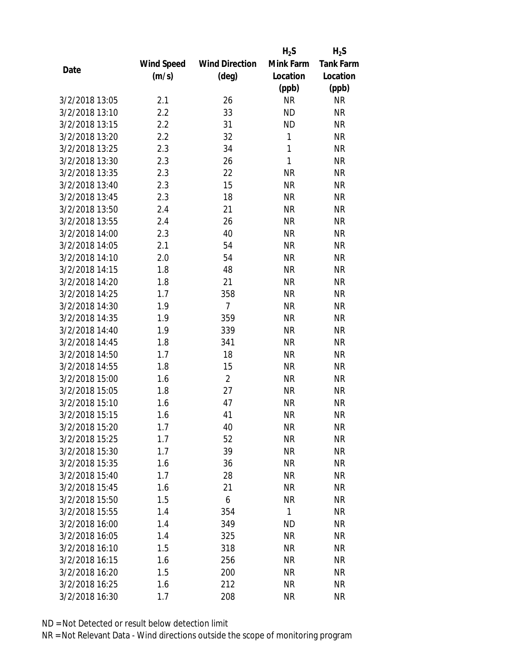|                |                   |                       | $H_2S$    | $H_2S$           |
|----------------|-------------------|-----------------------|-----------|------------------|
|                | <b>Wind Speed</b> | <b>Wind Direction</b> | Mink Farm | <b>Tank Farm</b> |
| Date           | (m/s)             | $(\text{deg})$        | Location  | Location         |
|                |                   |                       | (ppb)     | (ppb)            |
| 3/2/2018 13:05 | 2.1               | 26                    | <b>NR</b> | <b>NR</b>        |
| 3/2/2018 13:10 | 2.2               | 33                    | <b>ND</b> | <b>NR</b>        |
| 3/2/2018 13:15 | 2.2               | 31                    | <b>ND</b> | <b>NR</b>        |
| 3/2/2018 13:20 | 2.2               | 32                    | 1         | <b>NR</b>        |
| 3/2/2018 13:25 | 2.3               | 34                    | 1         | <b>NR</b>        |
| 3/2/2018 13:30 | 2.3               | 26                    | 1         | <b>NR</b>        |
| 3/2/2018 13:35 | 2.3               | 22                    | <b>NR</b> | <b>NR</b>        |
| 3/2/2018 13:40 | 2.3               | 15                    | <b>NR</b> | <b>NR</b>        |
| 3/2/2018 13:45 | 2.3               | 18                    | <b>NR</b> | <b>NR</b>        |
| 3/2/2018 13:50 | 2.4               | 21                    | <b>NR</b> | <b>NR</b>        |
| 3/2/2018 13:55 | 2.4               | 26                    | <b>NR</b> | <b>NR</b>        |
| 3/2/2018 14:00 | 2.3               | 40                    | <b>NR</b> | <b>NR</b>        |
| 3/2/2018 14:05 | 2.1               | 54                    | <b>NR</b> | <b>NR</b>        |
| 3/2/2018 14:10 | 2.0               | 54                    | <b>NR</b> | <b>NR</b>        |
| 3/2/2018 14:15 | 1.8               | 48                    | <b>NR</b> | <b>NR</b>        |
| 3/2/2018 14:20 | 1.8               | 21                    | <b>NR</b> | <b>NR</b>        |
| 3/2/2018 14:25 | 1.7               | 358                   | <b>NR</b> | <b>NR</b>        |
| 3/2/2018 14:30 | 1.9               | $\overline{7}$        | <b>NR</b> | <b>NR</b>        |
| 3/2/2018 14:35 | 1.9               | 359                   | <b>NR</b> | <b>NR</b>        |
| 3/2/2018 14:40 | 1.9               | 339                   | <b>NR</b> | <b>NR</b>        |
| 3/2/2018 14:45 | 1.8               | 341                   | <b>NR</b> | <b>NR</b>        |
| 3/2/2018 14:50 | 1.7               | 18                    | <b>NR</b> | <b>NR</b>        |
| 3/2/2018 14:55 | 1.8               | 15                    | <b>NR</b> | <b>NR</b>        |
| 3/2/2018 15:00 | 1.6               | $\overline{2}$        | <b>NR</b> | <b>NR</b>        |
| 3/2/2018 15:05 | 1.8               | 27                    | <b>NR</b> | <b>NR</b>        |
| 3/2/2018 15:10 | 1.6               | 47                    | <b>NR</b> | <b>NR</b>        |
| 3/2/2018 15:15 | 1.6               | 41                    | <b>NR</b> | <b>NR</b>        |
| 3/2/2018 15:20 | 1.7               | 40                    | ΝR        | <b>NR</b>        |
| 3/2/2018 15:25 | 1.7               | 52                    | <b>NR</b> | <b>NR</b>        |
| 3/2/2018 15:30 | 1.7               | 39                    | <b>NR</b> | <b>NR</b>        |
| 3/2/2018 15:35 | 1.6               | 36                    | <b>NR</b> | <b>NR</b>        |
| 3/2/2018 15:40 | 1.7               | 28                    | <b>NR</b> | <b>NR</b>        |
| 3/2/2018 15:45 | 1.6               | 21                    | <b>NR</b> | <b>NR</b>        |
| 3/2/2018 15:50 | 1.5               | 6                     | <b>NR</b> | <b>NR</b>        |
| 3/2/2018 15:55 | 1.4               | 354                   | 1         | <b>NR</b>        |
| 3/2/2018 16:00 | 1.4               | 349                   | <b>ND</b> | <b>NR</b>        |
| 3/2/2018 16:05 | 1.4               | 325                   | <b>NR</b> | <b>NR</b>        |
| 3/2/2018 16:10 | 1.5               | 318                   | ΝR        | <b>NR</b>        |
| 3/2/2018 16:15 | 1.6               | 256                   | <b>NR</b> | <b>NR</b>        |
| 3/2/2018 16:20 | 1.5               | 200                   | NR        | <b>NR</b>        |
|                |                   |                       |           |                  |
| 3/2/2018 16:25 | 1.6               | 212                   | <b>NR</b> | <b>NR</b>        |
| 3/2/2018 16:30 | 1.7               | 208                   | <b>NR</b> | <b>NR</b>        |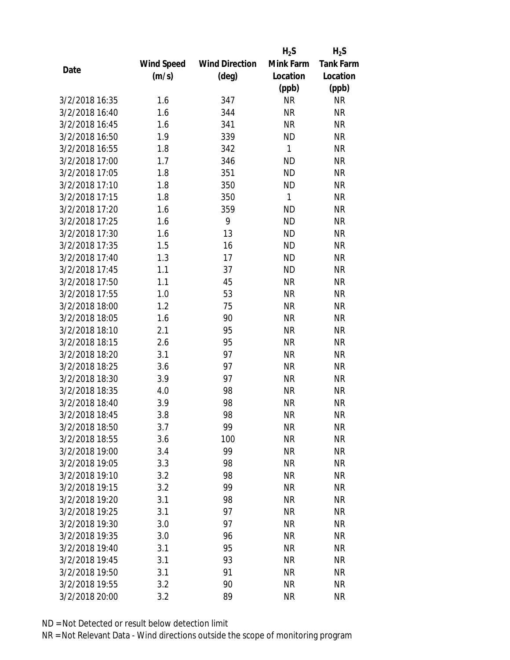|                |            |                       | $H_2S$    | $H_2S$           |
|----------------|------------|-----------------------|-----------|------------------|
|                | Wind Speed | <b>Wind Direction</b> | Mink Farm | <b>Tank Farm</b> |
| Date           | (m/s)      | $(\text{deg})$        | Location  | Location         |
|                |            |                       | (ppb)     | (ppb)            |
| 3/2/2018 16:35 | 1.6        | 347                   | <b>NR</b> | <b>NR</b>        |
| 3/2/2018 16:40 | 1.6        | 344                   | <b>NR</b> | <b>NR</b>        |
| 3/2/2018 16:45 | 1.6        | 341                   | <b>NR</b> | <b>NR</b>        |
| 3/2/2018 16:50 | 1.9        | 339                   | <b>ND</b> | <b>NR</b>        |
| 3/2/2018 16:55 | 1.8        | 342                   | 1         | <b>NR</b>        |
| 3/2/2018 17:00 | 1.7        | 346                   | <b>ND</b> | <b>NR</b>        |
| 3/2/2018 17:05 | 1.8        | 351                   | <b>ND</b> | <b>NR</b>        |
| 3/2/2018 17:10 | 1.8        | 350                   | <b>ND</b> | <b>NR</b>        |
| 3/2/2018 17:15 | 1.8        | 350                   | 1         | <b>NR</b>        |
| 3/2/2018 17:20 | 1.6        | 359                   | <b>ND</b> | <b>NR</b>        |
| 3/2/2018 17:25 | 1.6        | 9                     | <b>ND</b> | <b>NR</b>        |
| 3/2/2018 17:30 | 1.6        | 13                    | <b>ND</b> | <b>NR</b>        |
| 3/2/2018 17:35 | 1.5        | 16                    | <b>ND</b> | <b>NR</b>        |
| 3/2/2018 17:40 | 1.3        | 17                    | <b>ND</b> | <b>NR</b>        |
| 3/2/2018 17:45 | 1.1        | 37                    | <b>ND</b> | <b>NR</b>        |
| 3/2/2018 17:50 | 1.1        | 45                    | <b>NR</b> | <b>NR</b>        |
| 3/2/2018 17:55 | 1.0        | 53                    | <b>NR</b> | <b>NR</b>        |
| 3/2/2018 18:00 | 1.2        | 75                    | <b>NR</b> | <b>NR</b>        |
| 3/2/2018 18:05 | 1.6        | 90                    | <b>NR</b> | <b>NR</b>        |
| 3/2/2018 18:10 | 2.1        | 95                    | <b>NR</b> | <b>NR</b>        |
| 3/2/2018 18:15 | 2.6        | 95                    | <b>NR</b> | <b>NR</b>        |
| 3/2/2018 18:20 | 3.1        | 97                    | <b>NR</b> | <b>NR</b>        |
| 3/2/2018 18:25 | 3.6        | 97                    | <b>NR</b> | <b>NR</b>        |
| 3/2/2018 18:30 | 3.9        | 97                    | <b>NR</b> | <b>NR</b>        |
| 3/2/2018 18:35 | 4.0        | 98                    | <b>NR</b> | <b>NR</b>        |
| 3/2/2018 18:40 | 3.9        | 98                    | <b>NR</b> | <b>NR</b>        |
| 3/2/2018 18:45 | 3.8        | 98                    | <b>NR</b> | <b>NR</b>        |
| 3/2/2018 18:50 | 3.7        | 99                    | ΝR        | <b>NR</b>        |
| 3/2/2018 18:55 | 3.6        | 100                   | <b>NR</b> | <b>NR</b>        |
| 3/2/2018 19:00 | 3.4        | 99                    | <b>NR</b> | <b>NR</b>        |
| 3/2/2018 19:05 | 3.3        | 98                    | <b>NR</b> | <b>NR</b>        |
| 3/2/2018 19:10 | 3.2        | 98                    | <b>NR</b> | <b>NR</b>        |
| 3/2/2018 19:15 | 3.2        | 99                    | <b>NR</b> | <b>NR</b>        |
| 3/2/2018 19:20 | 3.1        | 98                    | <b>NR</b> | <b>NR</b>        |
| 3/2/2018 19:25 | 3.1        | 97                    | <b>NR</b> | <b>NR</b>        |
| 3/2/2018 19:30 | 3.0        | 97                    | <b>NR</b> | <b>NR</b>        |
| 3/2/2018 19:35 | 3.0        | 96                    | <b>NR</b> | <b>NR</b>        |
| 3/2/2018 19:40 | 3.1        | 95                    | <b>NR</b> | <b>NR</b>        |
| 3/2/2018 19:45 | 3.1        | 93                    | <b>NR</b> | <b>NR</b>        |
| 3/2/2018 19:50 | 3.1        | 91                    | <b>NR</b> | <b>NR</b>        |
| 3/2/2018 19:55 | 3.2        | 90                    | <b>NR</b> | <b>NR</b>        |
| 3/2/2018 20:00 |            | 89                    | <b>NR</b> | <b>NR</b>        |
|                | 3.2        |                       |           |                  |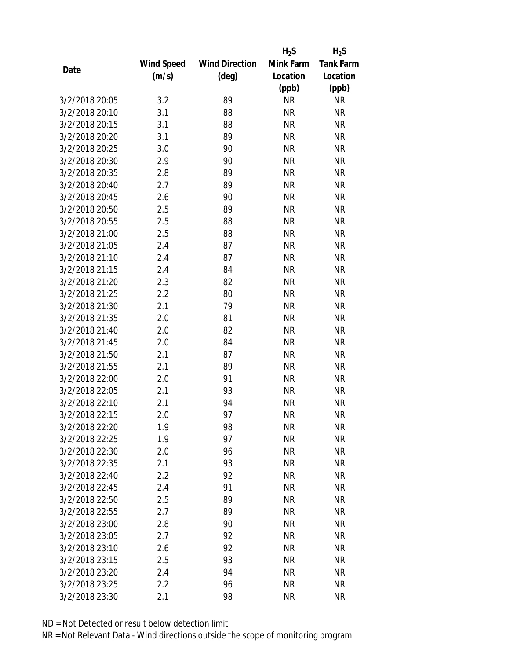|                |                   |                       | $H_2S$    | $H_2S$           |
|----------------|-------------------|-----------------------|-----------|------------------|
|                | <b>Wind Speed</b> | <b>Wind Direction</b> | Mink Farm | <b>Tank Farm</b> |
| Date           | (m/s)             | $(\text{deg})$        | Location  | Location         |
|                |                   |                       | (ppb)     | (ppb)            |
| 3/2/2018 20:05 | 3.2               | 89                    | <b>NR</b> | <b>NR</b>        |
| 3/2/2018 20:10 | 3.1               | 88                    | <b>NR</b> | <b>NR</b>        |
| 3/2/2018 20:15 | 3.1               | 88                    | <b>NR</b> | <b>NR</b>        |
| 3/2/2018 20:20 | 3.1               | 89                    | <b>NR</b> | <b>NR</b>        |
| 3/2/2018 20:25 | 3.0               | 90                    | <b>NR</b> | <b>NR</b>        |
| 3/2/2018 20:30 | 2.9               | 90                    | <b>NR</b> | <b>NR</b>        |
| 3/2/2018 20:35 | 2.8               | 89                    | <b>NR</b> | <b>NR</b>        |
| 3/2/2018 20:40 | 2.7               | 89                    | <b>NR</b> | <b>NR</b>        |
| 3/2/2018 20:45 | 2.6               | 90                    | <b>NR</b> | <b>NR</b>        |
| 3/2/2018 20:50 | 2.5               | 89                    | <b>NR</b> | <b>NR</b>        |
| 3/2/2018 20:55 | 2.5               | 88                    | <b>NR</b> | <b>NR</b>        |
| 3/2/2018 21:00 | 2.5               | 88                    | <b>NR</b> | <b>NR</b>        |
| 3/2/2018 21:05 | 2.4               | 87                    | <b>NR</b> | <b>NR</b>        |
| 3/2/2018 21:10 | 2.4               | 87                    | <b>NR</b> | <b>NR</b>        |
| 3/2/2018 21:15 | 2.4               | 84                    | <b>NR</b> | <b>NR</b>        |
| 3/2/2018 21:20 | 2.3               | 82                    | <b>NR</b> | <b>NR</b>        |
| 3/2/2018 21:25 | 2.2               | 80                    | <b>NR</b> | <b>NR</b>        |
| 3/2/2018 21:30 | 2.1               | 79                    | <b>NR</b> | <b>NR</b>        |
| 3/2/2018 21:35 | 2.0               | 81                    | <b>NR</b> | <b>NR</b>        |
| 3/2/2018 21:40 | 2.0               | 82                    | <b>NR</b> | <b>NR</b>        |
| 3/2/2018 21:45 | 2.0               | 84                    | <b>NR</b> | <b>NR</b>        |
| 3/2/2018 21:50 | 2.1               | 87                    | <b>NR</b> | <b>NR</b>        |
| 3/2/2018 21:55 | 2.1               | 89                    | <b>NR</b> | <b>NR</b>        |
| 3/2/2018 22:00 | 2.0               | 91                    | <b>NR</b> | <b>NR</b>        |
| 3/2/2018 22:05 | 2.1               | 93                    | <b>NR</b> | <b>NR</b>        |
| 3/2/2018 22:10 | 2.1               | 94                    | <b>NR</b> | <b>NR</b>        |
| 3/2/2018 22:15 | 2.0               | 97                    | <b>NR</b> | <b>NR</b>        |
| 3/2/2018 22:20 | 1.9               | 98                    | ΝR        | <b>NR</b>        |
| 3/2/2018 22:25 | 1.9               | 97                    | <b>NR</b> | <b>NR</b>        |
| 3/2/2018 22:30 | 2.0               | 96                    | <b>NR</b> | <b>NR</b>        |
| 3/2/2018 22:35 | 2.1               | 93                    | <b>NR</b> | <b>NR</b>        |
| 3/2/2018 22:40 | 2.2               | 92                    | <b>NR</b> | <b>NR</b>        |
| 3/2/2018 22:45 | 2.4               | 91                    | <b>NR</b> | <b>NR</b>        |
| 3/2/2018 22:50 | 2.5               | 89                    | <b>NR</b> | <b>NR</b>        |
| 3/2/2018 22:55 | 2.7               | 89                    | <b>NR</b> | <b>NR</b>        |
| 3/2/2018 23:00 | 2.8               | 90                    | <b>NR</b> | <b>NR</b>        |
| 3/2/2018 23:05 | 2.7               | 92                    | <b>NR</b> | <b>NR</b>        |
| 3/2/2018 23:10 | 2.6               | 92                    | ΝR        | <b>NR</b>        |
| 3/2/2018 23:15 | 2.5               | 93                    | <b>NR</b> | <b>NR</b>        |
| 3/2/2018 23:20 | 2.4               | 94                    | ΝR        | <b>NR</b>        |
|                |                   |                       |           |                  |
| 3/2/2018 23:25 | 2.2               | 96                    | <b>NR</b> | <b>NR</b>        |
| 3/2/2018 23:30 | 2.1               | 98                    | <b>NR</b> | <b>NR</b>        |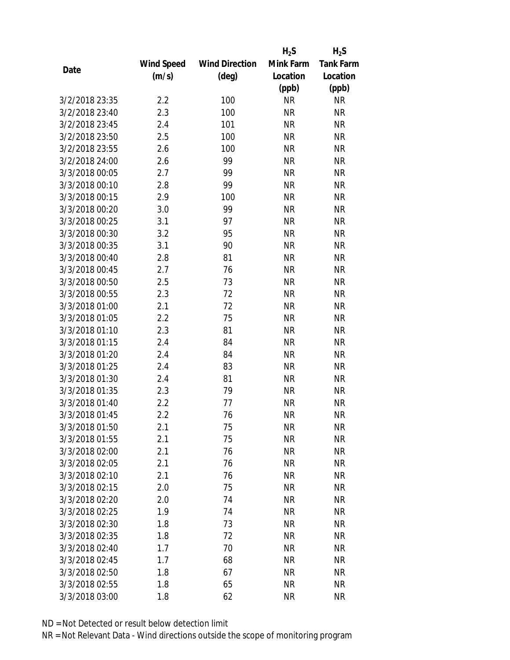|                |                   |                       | $H_2S$    | $H_2S$           |
|----------------|-------------------|-----------------------|-----------|------------------|
|                | <b>Wind Speed</b> | <b>Wind Direction</b> | Mink Farm | <b>Tank Farm</b> |
| Date           | (m/s)             | $(\text{deg})$        | Location  | Location         |
|                |                   |                       | (ppb)     | (ppb)            |
| 3/2/2018 23:35 | 2.2               | 100                   | <b>NR</b> | <b>NR</b>        |
| 3/2/2018 23:40 | 2.3               | 100                   | <b>NR</b> | <b>NR</b>        |
| 3/2/2018 23:45 | 2.4               | 101                   | <b>NR</b> | <b>NR</b>        |
| 3/2/2018 23:50 | 2.5               | 100                   | <b>NR</b> | <b>NR</b>        |
| 3/2/2018 23:55 | 2.6               | 100                   | <b>NR</b> | <b>NR</b>        |
| 3/2/2018 24:00 | 2.6               | 99                    | <b>NR</b> | <b>NR</b>        |
| 3/3/2018 00:05 | 2.7               | 99                    | <b>NR</b> | <b>NR</b>        |
| 3/3/2018 00:10 | 2.8               | 99                    | <b>NR</b> | <b>NR</b>        |
| 3/3/2018 00:15 | 2.9               | 100                   | <b>NR</b> | <b>NR</b>        |
| 3/3/2018 00:20 | 3.0               | 99                    | <b>NR</b> | <b>NR</b>        |
| 3/3/2018 00:25 | 3.1               | 97                    | <b>NR</b> | <b>NR</b>        |
| 3/3/2018 00:30 | 3.2               | 95                    | <b>NR</b> | <b>NR</b>        |
| 3/3/2018 00:35 | 3.1               | 90                    | <b>NR</b> | <b>NR</b>        |
| 3/3/2018 00:40 | 2.8               | 81                    | <b>NR</b> | <b>NR</b>        |
| 3/3/2018 00:45 | 2.7               | 76                    | <b>NR</b> | <b>NR</b>        |
| 3/3/2018 00:50 | 2.5               | 73                    | <b>NR</b> | <b>NR</b>        |
| 3/3/2018 00:55 | 2.3               | 72                    | <b>NR</b> | <b>NR</b>        |
| 3/3/2018 01:00 | 2.1               | 72                    | <b>NR</b> | <b>NR</b>        |
| 3/3/2018 01:05 | 2.2               | 75                    | <b>NR</b> | <b>NR</b>        |
| 3/3/2018 01:10 | 2.3               | 81                    | <b>NR</b> | <b>NR</b>        |
| 3/3/2018 01:15 | 2.4               | 84                    | <b>NR</b> | <b>NR</b>        |
| 3/3/2018 01:20 | 2.4               | 84                    | <b>NR</b> | <b>NR</b>        |
| 3/3/2018 01:25 | 2.4               | 83                    | <b>NR</b> | <b>NR</b>        |
| 3/3/2018 01:30 | 2.4               | 81                    | <b>NR</b> | <b>NR</b>        |
| 3/3/2018 01:35 | 2.3               | 79                    | <b>NR</b> | <b>NR</b>        |
| 3/3/2018 01:40 | 2.2               | 77                    | <b>NR</b> | <b>NR</b>        |
| 3/3/2018 01:45 | 2.2               | 76                    | <b>NR</b> | <b>NR</b>        |
| 3/3/2018 01:50 | 2.1               | 75                    | ΝR        | <b>NR</b>        |
| 3/3/2018 01:55 | 2.1               | 75                    | <b>NR</b> | <b>NR</b>        |
| 3/3/2018 02:00 | 2.1               | 76                    | NR        | <b>NR</b>        |
| 3/3/2018 02:05 | 2.1               | 76                    | <b>NR</b> | <b>NR</b>        |
| 3/3/2018 02:10 | 2.1               | 76                    | <b>NR</b> | <b>NR</b>        |
| 3/3/2018 02:15 | 2.0               | 75                    | ΝR        | <b>NR</b>        |
| 3/3/2018 02:20 | 2.0               | 74                    | <b>NR</b> | <b>NR</b>        |
| 3/3/2018 02:25 | 1.9               | 74                    | <b>NR</b> | <b>NR</b>        |
| 3/3/2018 02:30 | 1.8               | 73                    | <b>NR</b> | <b>NR</b>        |
| 3/3/2018 02:35 | 1.8               | 72                    | <b>NR</b> | <b>NR</b>        |
| 3/3/2018 02:40 | 1.7               | 70                    | ΝR        | <b>NR</b>        |
| 3/3/2018 02:45 | 1.7               | 68                    | <b>NR</b> | <b>NR</b>        |
| 3/3/2018 02:50 | 1.8               | 67                    | ΝR        | <b>NR</b>        |
| 3/3/2018 02:55 | 1.8               | 65                    | <b>NR</b> | <b>NR</b>        |
| 3/3/2018 03:00 | 1.8               | 62                    | <b>NR</b> | <b>NR</b>        |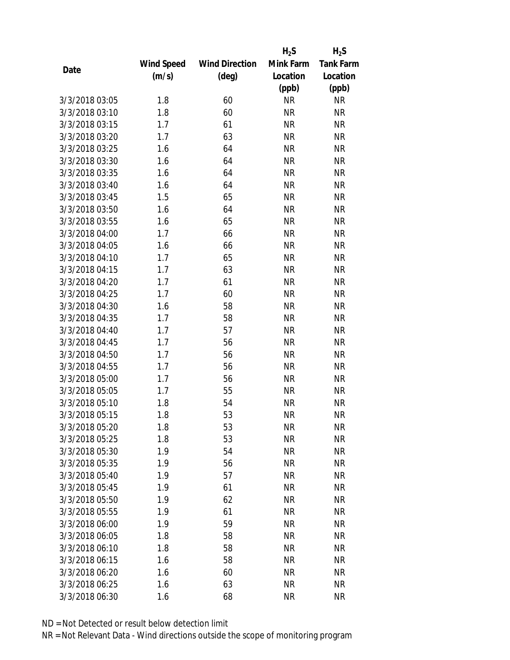|                |                   |                       | $H_2S$    | $H_2S$           |
|----------------|-------------------|-----------------------|-----------|------------------|
|                | <b>Wind Speed</b> | <b>Wind Direction</b> | Mink Farm | <b>Tank Farm</b> |
| Date           | (m/s)             | $(\text{deg})$        | Location  | Location         |
|                |                   |                       | (ppb)     | (ppb)            |
| 3/3/2018 03:05 | 1.8               | 60                    | <b>NR</b> | <b>NR</b>        |
| 3/3/2018 03:10 | 1.8               | 60                    | <b>NR</b> | <b>NR</b>        |
| 3/3/2018 03:15 | 1.7               | 61                    | <b>NR</b> | <b>NR</b>        |
| 3/3/2018 03:20 | 1.7               | 63                    | <b>NR</b> | <b>NR</b>        |
| 3/3/2018 03:25 | 1.6               | 64                    | <b>NR</b> | <b>NR</b>        |
| 3/3/2018 03:30 | 1.6               | 64                    | <b>NR</b> | <b>NR</b>        |
| 3/3/2018 03:35 | 1.6               | 64                    | <b>NR</b> | <b>NR</b>        |
| 3/3/2018 03:40 | 1.6               | 64                    | <b>NR</b> | <b>NR</b>        |
| 3/3/2018 03:45 | 1.5               | 65                    | <b>NR</b> | <b>NR</b>        |
| 3/3/2018 03:50 | 1.6               | 64                    | <b>NR</b> | <b>NR</b>        |
| 3/3/2018 03:55 | 1.6               | 65                    | <b>NR</b> | <b>NR</b>        |
| 3/3/2018 04:00 | 1.7               | 66                    | <b>NR</b> | <b>NR</b>        |
| 3/3/2018 04:05 | 1.6               | 66                    | <b>NR</b> | <b>NR</b>        |
| 3/3/2018 04:10 | 1.7               | 65                    | <b>NR</b> | <b>NR</b>        |
| 3/3/2018 04:15 | 1.7               | 63                    | <b>NR</b> | <b>NR</b>        |
| 3/3/2018 04:20 | 1.7               | 61                    | <b>NR</b> | <b>NR</b>        |
| 3/3/2018 04:25 | 1.7               | 60                    | <b>NR</b> | <b>NR</b>        |
| 3/3/2018 04:30 | 1.6               | 58                    | <b>NR</b> | <b>NR</b>        |
| 3/3/2018 04:35 | 1.7               | 58                    | <b>NR</b> | <b>NR</b>        |
| 3/3/2018 04:40 | 1.7               | 57                    | <b>NR</b> | <b>NR</b>        |
| 3/3/2018 04:45 | 1.7               | 56                    | <b>NR</b> | <b>NR</b>        |
| 3/3/2018 04:50 | 1.7               | 56                    | <b>NR</b> | <b>NR</b>        |
| 3/3/2018 04:55 | 1.7               | 56                    | <b>NR</b> | <b>NR</b>        |
| 3/3/2018 05:00 | 1.7               | 56                    | <b>NR</b> | <b>NR</b>        |
| 3/3/2018 05:05 | 1.7               | 55                    | <b>NR</b> | <b>NR</b>        |
| 3/3/2018 05:10 | 1.8               | 54                    | <b>NR</b> | <b>NR</b>        |
| 3/3/2018 05:15 | 1.8               | 53                    | <b>NR</b> | <b>NR</b>        |
| 3/3/2018 05:20 | 1.8               | 53                    | ΝR        | <b>NR</b>        |
| 3/3/2018 05:25 | 1.8               | 53                    | <b>NR</b> | <b>NR</b>        |
| 3/3/2018 05:30 | 1.9               | 54                    | <b>NR</b> | <b>NR</b>        |
| 3/3/2018 05:35 | 1.9               | 56                    | <b>NR</b> | <b>NR</b>        |
| 3/3/2018 05:40 | 1.9               | 57                    | <b>NR</b> | <b>NR</b>        |
| 3/3/2018 05:45 | 1.9               | 61                    | <b>NR</b> | <b>NR</b>        |
| 3/3/2018 05:50 | 1.9               | 62                    | <b>NR</b> | <b>NR</b>        |
| 3/3/2018 05:55 | 1.9               | 61                    | <b>NR</b> | <b>NR</b>        |
| 3/3/2018 06:00 | 1.9               | 59                    | <b>NR</b> | <b>NR</b>        |
| 3/3/2018 06:05 | 1.8               | 58                    | <b>NR</b> | <b>NR</b>        |
| 3/3/2018 06:10 | 1.8               | 58                    | ΝR        | <b>NR</b>        |
| 3/3/2018 06:15 | 1.6               | 58                    | <b>NR</b> | <b>NR</b>        |
| 3/3/2018 06:20 | 1.6               | 60                    | ΝR        | <b>NR</b>        |
| 3/3/2018 06:25 | 1.6               | 63                    | <b>NR</b> | <b>NR</b>        |
| 3/3/2018 06:30 | 1.6               | 68                    | <b>NR</b> | <b>NR</b>        |
|                |                   |                       |           |                  |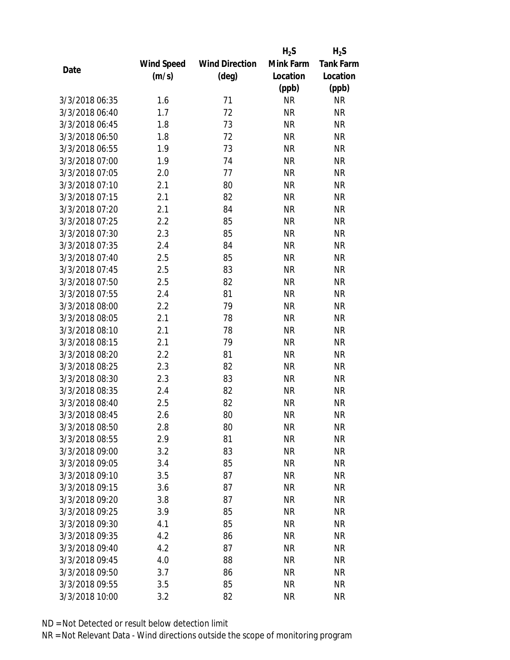|                |                   |                       | $H_2S$    | $H_2S$           |
|----------------|-------------------|-----------------------|-----------|------------------|
|                | <b>Wind Speed</b> | <b>Wind Direction</b> | Mink Farm | <b>Tank Farm</b> |
| Date           | (m/s)             | $(\text{deg})$        | Location  | Location         |
|                |                   |                       | (ppb)     | (ppb)            |
| 3/3/2018 06:35 | 1.6               | 71                    | <b>NR</b> | <b>NR</b>        |
| 3/3/2018 06:40 | 1.7               | 72                    | <b>NR</b> | <b>NR</b>        |
| 3/3/2018 06:45 | 1.8               | 73                    | <b>NR</b> | <b>NR</b>        |
| 3/3/2018 06:50 | 1.8               | 72                    | <b>NR</b> | <b>NR</b>        |
| 3/3/2018 06:55 | 1.9               | 73                    | <b>NR</b> | <b>NR</b>        |
| 3/3/2018 07:00 | 1.9               | 74                    | <b>NR</b> | <b>NR</b>        |
| 3/3/2018 07:05 | 2.0               | 77                    | <b>NR</b> | <b>NR</b>        |
| 3/3/2018 07:10 | 2.1               | 80                    | <b>NR</b> | <b>NR</b>        |
| 3/3/2018 07:15 | 2.1               | 82                    | <b>NR</b> | <b>NR</b>        |
| 3/3/2018 07:20 | 2.1               | 84                    | <b>NR</b> | <b>NR</b>        |
| 3/3/2018 07:25 | 2.2               | 85                    | <b>NR</b> | <b>NR</b>        |
| 3/3/2018 07:30 | 2.3               | 85                    | <b>NR</b> | <b>NR</b>        |
| 3/3/2018 07:35 | 2.4               | 84                    | <b>NR</b> | <b>NR</b>        |
| 3/3/2018 07:40 | 2.5               | 85                    | <b>NR</b> | <b>NR</b>        |
| 3/3/2018 07:45 | 2.5               | 83                    | <b>NR</b> | <b>NR</b>        |
| 3/3/2018 07:50 | 2.5               | 82                    | <b>NR</b> | <b>NR</b>        |
| 3/3/2018 07:55 | 2.4               | 81                    | <b>NR</b> | <b>NR</b>        |
| 3/3/2018 08:00 | 2.2               | 79                    | <b>NR</b> | <b>NR</b>        |
| 3/3/2018 08:05 | 2.1               | 78                    | <b>NR</b> | <b>NR</b>        |
| 3/3/2018 08:10 | 2.1               | 78                    | <b>NR</b> | <b>NR</b>        |
| 3/3/2018 08:15 | 2.1               | 79                    | <b>NR</b> | <b>NR</b>        |
| 3/3/2018 08:20 | 2.2               | 81                    | <b>NR</b> | <b>NR</b>        |
| 3/3/2018 08:25 | 2.3               | 82                    | <b>NR</b> | <b>NR</b>        |
| 3/3/2018 08:30 | 2.3               | 83                    | <b>NR</b> | <b>NR</b>        |
| 3/3/2018 08:35 | 2.4               | 82                    | <b>NR</b> | <b>NR</b>        |
| 3/3/2018 08:40 | 2.5               | 82                    | <b>NR</b> | <b>NR</b>        |
| 3/3/2018 08:45 | 2.6               | 80                    | <b>NR</b> | <b>NR</b>        |
| 3/3/2018 08:50 | 2.8               | 80                    | ΝR        | <b>NR</b>        |
| 3/3/2018 08:55 | 2.9               | 81                    | <b>NR</b> | <b>NR</b>        |
| 3/3/2018 09:00 | 3.2               | 83                    | <b>NR</b> | <b>NR</b>        |
| 3/3/2018 09:05 | 3.4               | 85                    | <b>NR</b> | <b>NR</b>        |
| 3/3/2018 09:10 | 3.5               | 87                    | <b>NR</b> | <b>NR</b>        |
| 3/3/2018 09:15 | 3.6               | 87                    | <b>NR</b> | <b>NR</b>        |
| 3/3/2018 09:20 | 3.8               | 87                    | <b>NR</b> | <b>NR</b>        |
| 3/3/2018 09:25 | 3.9               | 85                    | <b>NR</b> | <b>NR</b>        |
| 3/3/2018 09:30 | 4.1               | 85                    | <b>NR</b> | <b>NR</b>        |
| 3/3/2018 09:35 | 4.2               | 86                    | NR        | <b>NR</b>        |
| 3/3/2018 09:40 | 4.2               | 87                    | NR        | <b>NR</b>        |
| 3/3/2018 09:45 | 4.0               | 88                    | <b>NR</b> | <b>NR</b>        |
| 3/3/2018 09:50 | 3.7               | 86                    | NR        | <b>NR</b>        |
| 3/3/2018 09:55 | 3.5               | 85                    | <b>NR</b> | <b>NR</b>        |
| 3/3/2018 10:00 | 3.2               | 82                    | <b>NR</b> | <b>NR</b>        |
|                |                   |                       |           |                  |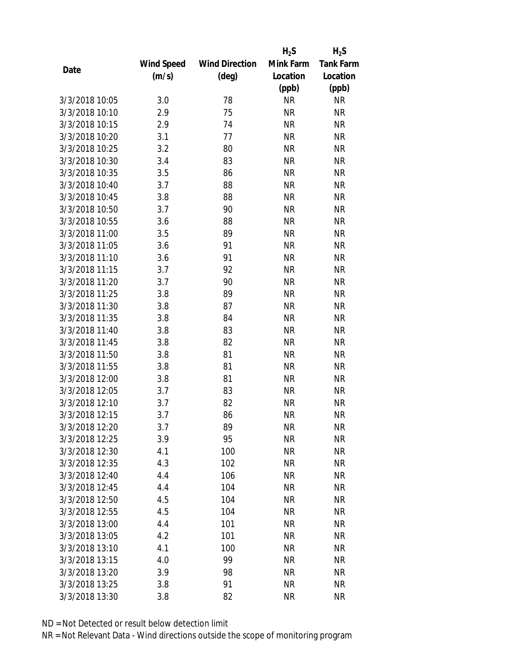|                |                   |                       | $H_2S$    | $H_2S$           |
|----------------|-------------------|-----------------------|-----------|------------------|
|                | <b>Wind Speed</b> | <b>Wind Direction</b> | Mink Farm | <b>Tank Farm</b> |
| Date           | (m/s)             | $(\text{deg})$        | Location  | Location         |
|                |                   |                       | (ppb)     | (ppb)            |
| 3/3/2018 10:05 | 3.0               | 78                    | <b>NR</b> | <b>NR</b>        |
| 3/3/2018 10:10 | 2.9               | 75                    | <b>NR</b> | <b>NR</b>        |
| 3/3/2018 10:15 | 2.9               | 74                    | <b>NR</b> | <b>NR</b>        |
| 3/3/2018 10:20 | 3.1               | 77                    | <b>NR</b> | <b>NR</b>        |
| 3/3/2018 10:25 | 3.2               | 80                    | <b>NR</b> | <b>NR</b>        |
| 3/3/2018 10:30 | 3.4               | 83                    | <b>NR</b> | <b>NR</b>        |
| 3/3/2018 10:35 | 3.5               | 86                    | <b>NR</b> | <b>NR</b>        |
| 3/3/2018 10:40 | 3.7               | 88                    | <b>NR</b> | <b>NR</b>        |
| 3/3/2018 10:45 | 3.8               | 88                    | <b>NR</b> | <b>NR</b>        |
| 3/3/2018 10:50 | 3.7               | 90                    | <b>NR</b> | <b>NR</b>        |
| 3/3/2018 10:55 | 3.6               | 88                    | <b>NR</b> | <b>NR</b>        |
| 3/3/2018 11:00 | 3.5               | 89                    | <b>NR</b> | <b>NR</b>        |
| 3/3/2018 11:05 | 3.6               | 91                    | <b>NR</b> | <b>NR</b>        |
| 3/3/2018 11:10 | 3.6               | 91                    | <b>NR</b> | <b>NR</b>        |
| 3/3/2018 11:15 | 3.7               | 92                    | <b>NR</b> | <b>NR</b>        |
| 3/3/2018 11:20 | 3.7               | 90                    | <b>NR</b> | <b>NR</b>        |
| 3/3/2018 11:25 | 3.8               | 89                    | <b>NR</b> | <b>NR</b>        |
| 3/3/2018 11:30 | 3.8               | 87                    | <b>NR</b> | <b>NR</b>        |
| 3/3/2018 11:35 | 3.8               | 84                    | <b>NR</b> | <b>NR</b>        |
| 3/3/2018 11:40 | 3.8               | 83                    | <b>NR</b> | <b>NR</b>        |
| 3/3/2018 11:45 | 3.8               | 82                    | <b>NR</b> | <b>NR</b>        |
| 3/3/2018 11:50 | 3.8               | 81                    | <b>NR</b> | <b>NR</b>        |
| 3/3/2018 11:55 | 3.8               | 81                    | <b>NR</b> | <b>NR</b>        |
| 3/3/2018 12:00 | 3.8               | 81                    | <b>NR</b> | <b>NR</b>        |
| 3/3/2018 12:05 | 3.7               | 83                    | <b>NR</b> | <b>NR</b>        |
| 3/3/2018 12:10 | 3.7               | 82                    | <b>NR</b> | <b>NR</b>        |
| 3/3/2018 12:15 | 3.7               | 86                    | <b>NR</b> | <b>NR</b>        |
| 3/3/2018 12:20 | 3.7               | 89                    | ΝR        | <b>NR</b>        |
| 3/3/2018 12:25 | 3.9               | 95                    | <b>NR</b> | <b>NR</b>        |
| 3/3/2018 12:30 | 4.1               | 100                   | ΝR        | <b>NR</b>        |
| 3/3/2018 12:35 | 4.3               | 102                   | <b>NR</b> | <b>NR</b>        |
| 3/3/2018 12:40 | 4.4               | 106                   | <b>NR</b> | <b>NR</b>        |
| 3/3/2018 12:45 | 4.4               | 104                   | <b>NR</b> | <b>NR</b>        |
| 3/3/2018 12:50 | 4.5               | 104                   | <b>NR</b> | <b>NR</b>        |
| 3/3/2018 12:55 | 4.5               | 104                   | <b>NR</b> | <b>NR</b>        |
| 3/3/2018 13:00 | 4.4               | 101                   | <b>NR</b> | <b>NR</b>        |
| 3/3/2018 13:05 | 4.2               | 101                   | ΝR        | <b>NR</b>        |
| 3/3/2018 13:10 | 4.1               | 100                   | ΝR        | <b>NR</b>        |
| 3/3/2018 13:15 | 4.0               | 99                    | <b>NR</b> | <b>NR</b>        |
| 3/3/2018 13:20 | 3.9               | 98                    | ΝR        | <b>NR</b>        |
| 3/3/2018 13:25 | 3.8               | 91                    | <b>NR</b> | <b>NR</b>        |
| 3/3/2018 13:30 | 3.8               | 82                    | <b>NR</b> | <b>NR</b>        |
|                |                   |                       |           |                  |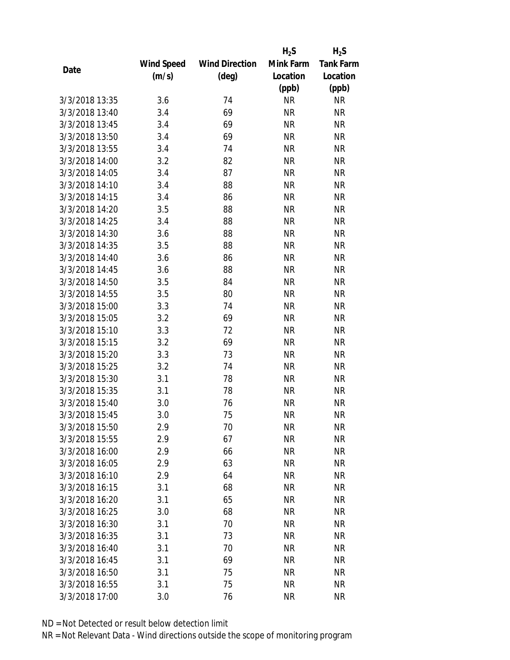|                |                   |                       | $H_2S$    | $H_2S$           |
|----------------|-------------------|-----------------------|-----------|------------------|
|                | <b>Wind Speed</b> | <b>Wind Direction</b> | Mink Farm | <b>Tank Farm</b> |
| Date           | (m/s)             | $(\text{deg})$        | Location  | Location         |
|                |                   |                       | (ppb)     | (ppb)            |
| 3/3/2018 13:35 | 3.6               | 74                    | <b>NR</b> | <b>NR</b>        |
| 3/3/2018 13:40 | 3.4               | 69                    | <b>NR</b> | <b>NR</b>        |
| 3/3/2018 13:45 | 3.4               | 69                    | <b>NR</b> | <b>NR</b>        |
| 3/3/2018 13:50 | 3.4               | 69                    | <b>NR</b> | <b>NR</b>        |
| 3/3/2018 13:55 | 3.4               | 74                    | <b>NR</b> | <b>NR</b>        |
| 3/3/2018 14:00 | 3.2               | 82                    | <b>NR</b> | <b>NR</b>        |
| 3/3/2018 14:05 | 3.4               | 87                    | <b>NR</b> | <b>NR</b>        |
| 3/3/2018 14:10 | 3.4               | 88                    | <b>NR</b> | <b>NR</b>        |
| 3/3/2018 14:15 | 3.4               | 86                    | <b>NR</b> | <b>NR</b>        |
| 3/3/2018 14:20 | 3.5               | 88                    | <b>NR</b> | <b>NR</b>        |
| 3/3/2018 14:25 | 3.4               | 88                    | <b>NR</b> | <b>NR</b>        |
| 3/3/2018 14:30 | 3.6               | 88                    | <b>NR</b> | <b>NR</b>        |
| 3/3/2018 14:35 | 3.5               | 88                    | <b>NR</b> | <b>NR</b>        |
| 3/3/2018 14:40 | 3.6               | 86                    | <b>NR</b> | <b>NR</b>        |
| 3/3/2018 14:45 | 3.6               | 88                    | <b>NR</b> | <b>NR</b>        |
| 3/3/2018 14:50 | 3.5               | 84                    | <b>NR</b> | <b>NR</b>        |
| 3/3/2018 14:55 | 3.5               | 80                    | <b>NR</b> | <b>NR</b>        |
| 3/3/2018 15:00 | 3.3               | 74                    | <b>NR</b> | <b>NR</b>        |
| 3/3/2018 15:05 | 3.2               | 69                    | <b>NR</b> | <b>NR</b>        |
| 3/3/2018 15:10 | 3.3               | 72                    | <b>NR</b> | <b>NR</b>        |
| 3/3/2018 15:15 | 3.2               | 69                    | <b>NR</b> | <b>NR</b>        |
| 3/3/2018 15:20 | 3.3               | 73                    | <b>NR</b> | <b>NR</b>        |
| 3/3/2018 15:25 | 3.2               | 74                    | <b>NR</b> | <b>NR</b>        |
| 3/3/2018 15:30 | 3.1               | 78                    | <b>NR</b> | <b>NR</b>        |
| 3/3/2018 15:35 | 3.1               | 78                    | <b>NR</b> | <b>NR</b>        |
| 3/3/2018 15:40 | 3.0               | 76                    | <b>NR</b> | <b>NR</b>        |
| 3/3/2018 15:45 | 3.0               | 75                    | <b>NR</b> | <b>NR</b>        |
| 3/3/2018 15:50 | 2.9               | 70                    | ΝR        | <b>NR</b>        |
| 3/3/2018 15:55 | 2.9               | 67                    | <b>NR</b> | <b>NR</b>        |
| 3/3/2018 16:00 | 2.9               | 66                    | ΝR        | <b>NR</b>        |
| 3/3/2018 16:05 | 2.9               | 63                    | <b>NR</b> | <b>NR</b>        |
| 3/3/2018 16:10 | 2.9               | 64                    | <b>NR</b> | <b>NR</b>        |
| 3/3/2018 16:15 | 3.1               | 68                    | NR        | <b>NR</b>        |
| 3/3/2018 16:20 | 3.1               | 65                    | <b>NR</b> | <b>NR</b>        |
| 3/3/2018 16:25 | 3.0               | 68                    | ΝR        | <b>NR</b>        |
| 3/3/2018 16:30 | 3.1               | 70                    | <b>NR</b> | <b>NR</b>        |
| 3/3/2018 16:35 | 3.1               | 73                    | ΝR        | <b>NR</b>        |
| 3/3/2018 16:40 | 3.1               | 70                    | ΝR        | <b>NR</b>        |
| 3/3/2018 16:45 | 3.1               | 69                    | <b>NR</b> | <b>NR</b>        |
| 3/3/2018 16:50 | 3.1               | 75                    | ΝR        | <b>NR</b>        |
| 3/3/2018 16:55 | 3.1               | 75                    | <b>NR</b> | <b>NR</b>        |
| 3/3/2018 17:00 | 3.0               | 76                    | <b>NR</b> | <b>NR</b>        |
|                |                   |                       |           |                  |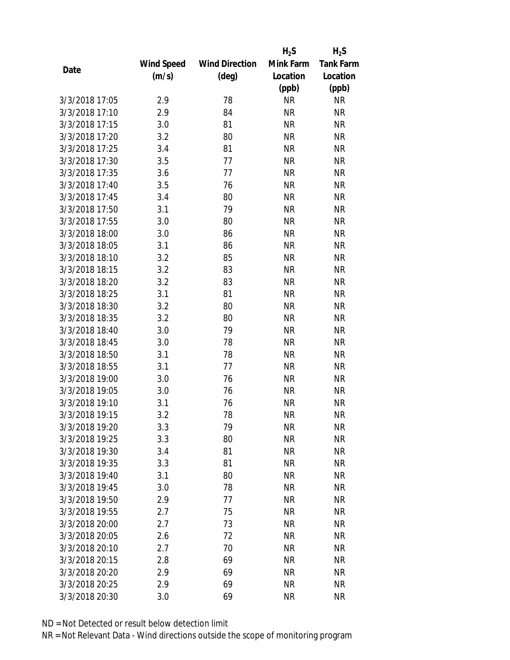|                |                   |                       | $H_2S$    | $H_2S$           |
|----------------|-------------------|-----------------------|-----------|------------------|
|                | <b>Wind Speed</b> | <b>Wind Direction</b> | Mink Farm | <b>Tank Farm</b> |
| Date           | (m/s)             | $(\text{deg})$        | Location  | Location         |
|                |                   |                       | (ppb)     | (ppb)            |
| 3/3/2018 17:05 | 2.9               | 78                    | <b>NR</b> | <b>NR</b>        |
| 3/3/2018 17:10 | 2.9               | 84                    | <b>NR</b> | <b>NR</b>        |
| 3/3/2018 17:15 | 3.0               | 81                    | <b>NR</b> | <b>NR</b>        |
| 3/3/2018 17:20 | 3.2               | 80                    | <b>NR</b> | <b>NR</b>        |
| 3/3/2018 17:25 | 3.4               | 81                    | <b>NR</b> | <b>NR</b>        |
| 3/3/2018 17:30 | 3.5               | 77                    | <b>NR</b> | <b>NR</b>        |
| 3/3/2018 17:35 | 3.6               | 77                    | <b>NR</b> | <b>NR</b>        |
| 3/3/2018 17:40 | 3.5               | 76                    | <b>NR</b> | <b>NR</b>        |
| 3/3/2018 17:45 | 3.4               | 80                    | <b>NR</b> | <b>NR</b>        |
| 3/3/2018 17:50 | 3.1               | 79                    | <b>NR</b> | <b>NR</b>        |
| 3/3/2018 17:55 | 3.0               | 80                    | <b>NR</b> | <b>NR</b>        |
| 3/3/2018 18:00 | 3.0               | 86                    | <b>NR</b> | <b>NR</b>        |
| 3/3/2018 18:05 | 3.1               | 86                    | <b>NR</b> | <b>NR</b>        |
| 3/3/2018 18:10 | 3.2               | 85                    | <b>NR</b> | <b>NR</b>        |
| 3/3/2018 18:15 | 3.2               | 83                    | <b>NR</b> | <b>NR</b>        |
| 3/3/2018 18:20 | 3.2               | 83                    | <b>NR</b> | <b>NR</b>        |
| 3/3/2018 18:25 | 3.1               | 81                    | <b>NR</b> | <b>NR</b>        |
| 3/3/2018 18:30 | 3.2               | 80                    | <b>NR</b> | <b>NR</b>        |
| 3/3/2018 18:35 | 3.2               | 80                    | <b>NR</b> | <b>NR</b>        |
| 3/3/2018 18:40 | 3.0               | 79                    | <b>NR</b> | <b>NR</b>        |
| 3/3/2018 18:45 | 3.0               | 78                    | <b>NR</b> | <b>NR</b>        |
| 3/3/2018 18:50 | 3.1               | 78                    | <b>NR</b> | <b>NR</b>        |
| 3/3/2018 18:55 | 3.1               | 77                    | <b>NR</b> | <b>NR</b>        |
| 3/3/2018 19:00 | 3.0               | 76                    | <b>NR</b> | <b>NR</b>        |
| 3/3/2018 19:05 | 3.0               | 76                    | <b>NR</b> | <b>NR</b>        |
| 3/3/2018 19:10 | 3.1               | 76                    | <b>NR</b> | <b>NR</b>        |
| 3/3/2018 19:15 | 3.2               | 78                    | <b>NR</b> | <b>NR</b>        |
| 3/3/2018 19:20 | 3.3               | 79                    | ΝR        | <b>NR</b>        |
| 3/3/2018 19:25 | 3.3               | 80                    | <b>NR</b> | <b>NR</b>        |
| 3/3/2018 19:30 | 3.4               | 81                    | ΝR        | <b>NR</b>        |
| 3/3/2018 19:35 | 3.3               | 81                    | <b>NR</b> | <b>NR</b>        |
| 3/3/2018 19:40 | 3.1               | 80                    | <b>NR</b> | <b>NR</b>        |
| 3/3/2018 19:45 | 3.0               | 78                    | <b>NR</b> | <b>NR</b>        |
| 3/3/2018 19:50 | 2.9               | 77                    | <b>NR</b> | <b>NR</b>        |
| 3/3/2018 19:55 | 2.7               | 75                    | <b>NR</b> | <b>NR</b>        |
| 3/3/2018 20:00 | 2.7               | 73                    | <b>NR</b> | <b>NR</b>        |
| 3/3/2018 20:05 | 2.6               | 72                    | ΝR        | <b>NR</b>        |
| 3/3/2018 20:10 | 2.7               | 70                    | ΝR        | <b>NR</b>        |
| 3/3/2018 20:15 | 2.8               | 69                    | <b>NR</b> | <b>NR</b>        |
| 3/3/2018 20:20 | 2.9               | 69                    | ΝR        | <b>NR</b>        |
| 3/3/2018 20:25 | 2.9               | 69                    | <b>NR</b> | <b>NR</b>        |
| 3/3/2018 20:30 |                   | 69                    | <b>NR</b> | <b>NR</b>        |
|                | 3.0               |                       |           |                  |